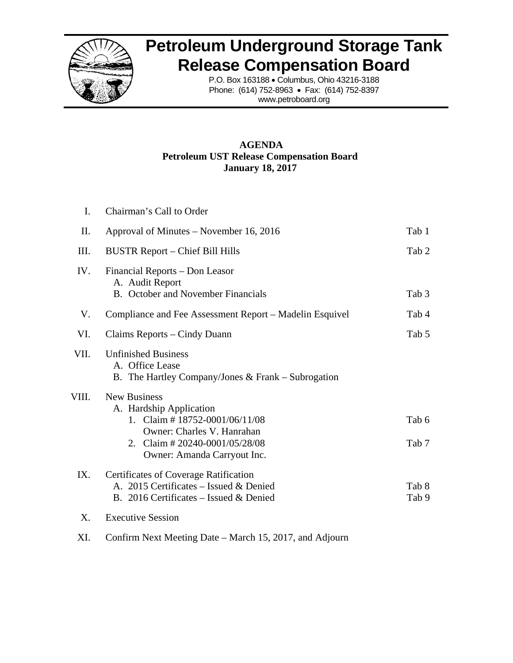

# **Petroleum Underground Storage Tank Release Compensation Board**

P.O. Box 163188 • Columbus, Ohio 43216-3188 Phone: (614) 752-8963 • Fax: (614) 752-8397 www.petroboard.org

# **AGENDA Petroleum UST Release Compensation Board January 18, 2017**

| I.    | Chairman's Call to Order                                                                                                                                                                       |                |
|-------|------------------------------------------------------------------------------------------------------------------------------------------------------------------------------------------------|----------------|
| П.    | Approval of Minutes – November 16, 2016                                                                                                                                                        | Tab 1          |
| III.  | <b>BUSTR Report – Chief Bill Hills</b>                                                                                                                                                         | Tab 2          |
| IV.   | Financial Reports – Don Leasor<br>A. Audit Report<br><b>B.</b> October and November Financials                                                                                                 | Tab 3          |
| V.    | Compliance and Fee Assessment Report – Madelin Esquivel                                                                                                                                        | Tab 4          |
| VI.   | Claims Reports – Cindy Duann                                                                                                                                                                   | Tab 5          |
| VII.  | <b>Unfinished Business</b><br>A. Office Lease<br>B. The Hartley Company/Jones $&$ Frank – Subrogation                                                                                          |                |
| VIII. | <b>New Business</b><br>A. Hardship Application<br>1. Claim # $18752 - 0001/06/11/08$<br>Owner: Charles V. Hanrahan<br>Claim #20240-0001/05/28/08<br>$2^{\circ}$<br>Owner: Amanda Carryout Inc. | Tab 6<br>Tab 7 |
| IX.   | Certificates of Coverage Ratification<br>A. 2015 Certificates - Issued & Denied<br>B. 2016 Certificates – Issued & Denied                                                                      | Tab 8<br>Tab 9 |
| X.    | <b>Executive Session</b>                                                                                                                                                                       |                |

XI. Confirm Next Meeting Date – March 15, 2017, and Adjourn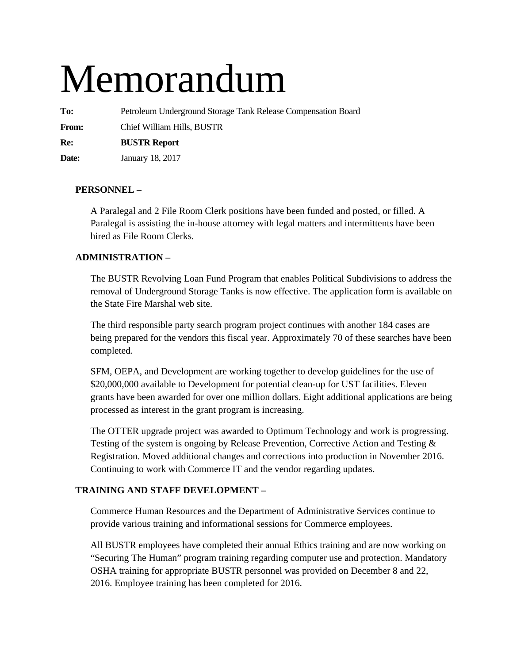# Memorandum

**To:** Petroleum Underground Storage Tank Release Compensation Board

**From:** Chief William Hills, BUSTR

**Re: BUSTR Report** 

**Date:** January 18, 2017

# **PERSONNEL –**

A Paralegal and 2 File Room Clerk positions have been funded and posted, or filled. A Paralegal is assisting the in-house attorney with legal matters and intermittents have been hired as File Room Clerks.

# **ADMINISTRATION –**

The BUSTR Revolving Loan Fund Program that enables Political Subdivisions to address the removal of Underground Storage Tanks is now effective. The application form is available on the State Fire Marshal web site.

The third responsible party search program project continues with another 184 cases are being prepared for the vendors this fiscal year. Approximately 70 of these searches have been completed.

SFM, OEPA, and Development are working together to develop guidelines for the use of \$20,000,000 available to Development for potential clean-up for UST facilities. Eleven grants have been awarded for over one million dollars. Eight additional applications are being processed as interest in the grant program is increasing.

The OTTER upgrade project was awarded to Optimum Technology and work is progressing. Testing of the system is ongoing by Release Prevention, Corrective Action and Testing & Registration. Moved additional changes and corrections into production in November 2016. Continuing to work with Commerce IT and the vendor regarding updates.

# **TRAINING AND STAFF DEVELOPMENT –**

Commerce Human Resources and the Department of Administrative Services continue to provide various training and informational sessions for Commerce employees.

All BUSTR employees have completed their annual Ethics training and are now working on "Securing The Human" program training regarding computer use and protection. Mandatory OSHA training for appropriate BUSTR personnel was provided on December 8 and 22, 2016. Employee training has been completed for 2016.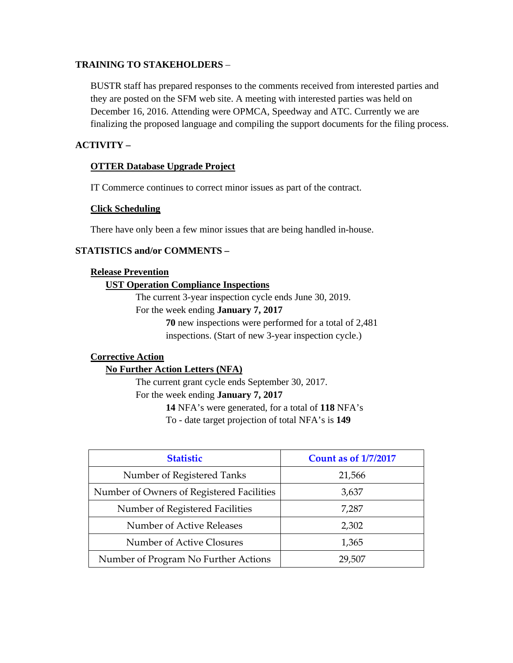# **TRAINING TO STAKEHOLDERS** –

BUSTR staff has prepared responses to the comments received from interested parties and they are posted on the SFM web site. A meeting with interested parties was held on December 16, 2016. Attending were OPMCA, Speedway and ATC. Currently we are finalizing the proposed language and compiling the support documents for the filing process.

# **ACTIVITY –**

# **OTTER Database Upgrade Project**

IT Commerce continues to correct minor issues as part of the contract.

## **Click Scheduling**

There have only been a few minor issues that are being handled in-house.

# **STATISTICS and/or COMMENTS –**

### **Release Prevention**

## **UST Operation Compliance Inspections**

The current 3-year inspection cycle ends June 30, 2019.

For the week ending **January 7, 2017** 

 **70** new inspections were performed for a total of 2,481 inspections. (Start of new 3-year inspection cycle.)

# **Corrective Action**

# **No Further Action Letters (NFA)**

The current grant cycle ends September 30, 2017. For the week ending **January 7, 2017 14** NFA's were generated, for a total of **118** NFA's

To - date target projection of total NFA's is **149** 

| <b>Statistic</b>                          | <b>Count as of 1/7/2017</b> |
|-------------------------------------------|-----------------------------|
| Number of Registered Tanks                | 21,566                      |
| Number of Owners of Registered Facilities | 3,637                       |
| Number of Registered Facilities           | 7,287                       |
| Number of Active Releases                 | 2,302                       |
| Number of Active Closures                 | 1,365                       |
| Number of Program No Further Actions      | 29,507                      |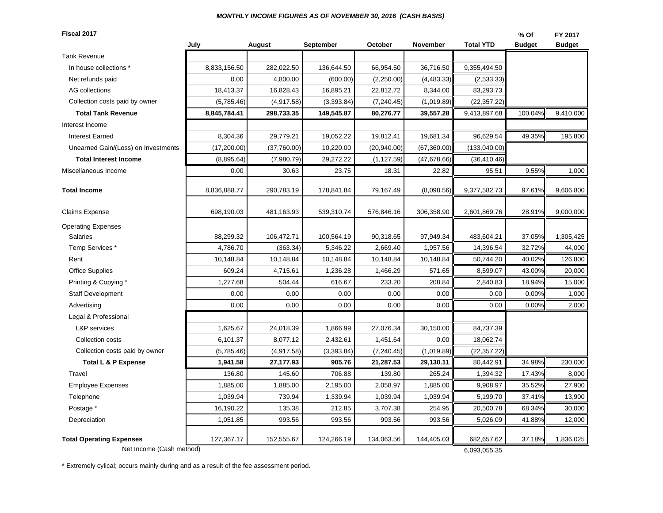#### *MONTHLY INCOME FIGURES AS OF NOVEMBER 30, 2016 (CASH BASIS)*

**Fiscal 2017**

| Fiscal 2017                         |              |             |             |              |              |                  | % Of          | FY 2017       |
|-------------------------------------|--------------|-------------|-------------|--------------|--------------|------------------|---------------|---------------|
|                                     | July         | August      | September   | October      | November     | <b>Total YTD</b> | <b>Budget</b> | <b>Budget</b> |
| Tank Revenue                        |              |             |             |              |              |                  |               |               |
| In house collections *              | 8,833,156.50 | 282,022.50  | 136,644.50  | 66,954.50    | 36,716.50    | 9,355,494.50     |               |               |
| Net refunds paid                    | 0.00         | 4,800.00    | (600.00)    | (2,250.00)   | (4, 483.33)  | (2,533.33)       |               |               |
| <b>AG</b> collections               | 18,413.37    | 16,828.43   | 16,895.21   | 22,812.72    | 8,344.00     | 83,293.73        |               |               |
| Collection costs paid by owner      | (5,785.46)   | (4,917.58)  | (3,393.84)  | (7, 240.45)  | (1,019.89)   | (22, 357.22)     |               |               |
| <b>Total Tank Revenue</b>           | 8,845,784.41 | 298,733.35  | 149,545.87  | 80,276.77    | 39,557.28    | 9,413,897.68     | 100.04%       | 9,410,000     |
| Interest Income                     |              |             |             |              |              |                  |               |               |
| <b>Interest Earned</b>              | 8,304.36     | 29,779.21   | 19,052.22   | 19,812.41    | 19,681.34    | 96,629.54        | 49.35%        | 195,800       |
| Unearned Gain/(Loss) on Investments | (17, 200.00) | (37,760.00) | 10,220.00   | (20, 940.00) | (67,360.00)  | (133,040.00)     |               |               |
| <b>Total Interest Income</b>        | (8,895.64)   | (7,980.79)  | 29,272.22   | (1, 127.59)  | (47, 678.66) | (36, 410.46)     |               |               |
| Miscellaneous Income                | 0.00         | 30.63       | 23.75       | 18.31        | 22.82        | 95.51            | 9.55%         | 1,000         |
| Total Income                        | 8,836,888.77 | 290,783.19  | 178,841.84  | 79,167.49    | (8,098.56)   | 9,377,582.73     | 97.61%        | 9,606,800     |
| Claims Expense                      | 698,190.03   | 481,163.93  | 539,310.74  | 576,846.16   | 306,358.90   | 2,601,869.76     | 28.91%        | 9,000,000     |
| <b>Operating Expenses</b>           |              |             |             |              |              |                  |               |               |
| <b>Salaries</b>                     | 88,299.32    | 106,472.71  | 100,564.19  | 90,318.65    | 97,949.34    | 483,604.21       | 37.05%        | 1,305,425     |
| Temp Services*                      | 4,786.70     | (363.34)    | 5,346.22    | 2,669.40     | 1,957.56     | 14,396.54        | 32.72%        | 44,000        |
| Rent                                | 10,148.84    | 10,148.84   | 10,148.84   | 10,148.84    | 10,148.84    | 50,744.20        | 40.02%        | 126,800       |
| <b>Office Supplies</b>              | 609.24       | 4,715.61    | 1,236.28    | 1,466.29     | 571.65       | 8,599.07         | 43.00%        | 20,000        |
| Printing & Copying *                | 1,277.68     | 504.44      | 616.67      | 233.20       | 208.84       | 2,840.83         | 18.94%        | 15,000        |
| <b>Staff Development</b>            | 0.00         | 0.00        | 0.00        | 0.00         | 0.00         | 0.00             | 0.00%         | 1,000         |
| Advertising                         | 0.00         | 0.00        | 0.00        | 0.00         | 0.00         | 0.00             | 0.00%         | 2,000         |
| Legal & Professional                |              |             |             |              |              |                  |               |               |
| <b>L&amp;P</b> services             | 1,625.67     | 24,018.39   | 1,866.99    | 27,076.34    | 30,150.00    | 84,737.39        |               |               |
| Collection costs                    | 6,101.37     | 8,077.12    | 2,432.61    | 1,451.64     | 0.00         | 18,062.74        |               |               |
| Collection costs paid by owner      | (5,785.46)   | (4,917.58)  | (3, 393.84) | (7, 240.45)  | (1,019.89)   | (22, 357.22)     |               |               |
| <b>Total L &amp; P Expense</b>      | 1,941.58     | 27,177.93   | 905.76      | 21,287.53    | 29,130.11    | 80,442.91        | 34.98%        | 230,000       |
| Travel                              | 136.80       | 145.60      | 706.88      | 139.80       | 265.24       | 1,394.32         | 17.43%        | 8,000         |
| <b>Employee Expenses</b>            | 1,885.00     | 1,885.00    | 2,195.00    | 2,058.97     | 1,885.00     | 9,908.97         | 35.52%        | 27,900        |
| Telephone                           | 1,039.94     | 739.94      | 1,339.94    | 1,039.94     | 1,039.94     | 5,199.70         | 37.41%        | 13,900        |
| Postage *                           | 16,190.22    | 135.38      | 212.85      | 3,707.38     | 254.95       | 20,500.78        | 68.34%        | 30,000        |
| Depreciation                        | 1,051.85     | 993.56      | 993.56      | 993.56       | 993.56       | 5,026.09         | 41.88%        | 12,000        |
| <b>Total Operating Expenses</b>     | 127,367.17   | 152,555.67  | 124,266.19  | 134,063.56   | 144,405.03   | 682,657.62       | 37.18%        | 1,836,025     |
| Net Income (Cash method)            |              |             |             |              |              | 6,093,055.35     |               |               |

\* Extremely cylical; occurs mainly during and as a result of the fee assessment period.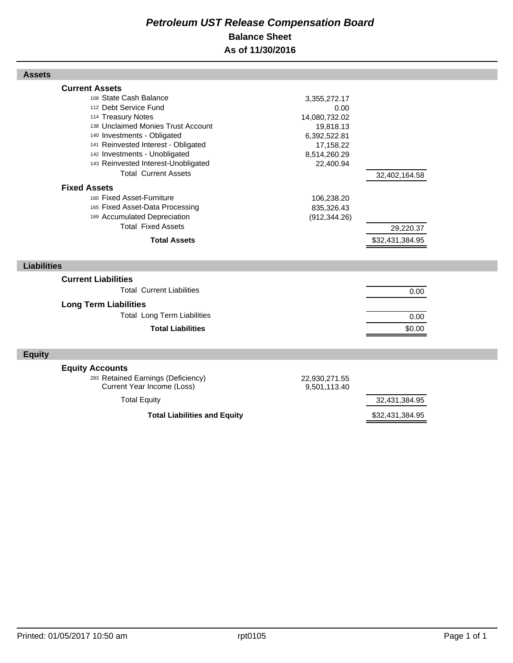# *Petroleum UST Release Compensation Board*  **Balance Sheet As of 11/30/2016**

| <b>Assets</b>                                                                                                                                                                                                                                                                                                                                                                                                                                                                                |                                                                                                                                                           |                                               |  |
|----------------------------------------------------------------------------------------------------------------------------------------------------------------------------------------------------------------------------------------------------------------------------------------------------------------------------------------------------------------------------------------------------------------------------------------------------------------------------------------------|-----------------------------------------------------------------------------------------------------------------------------------------------------------|-----------------------------------------------|--|
| <b>Current Assets</b><br>108 State Cash Balance<br>112 Debt Service Fund<br>114 Treasury Notes<br>138 Unclaimed Monies Trust Account<br>140 Investments - Obligated<br>141 Reinvested Interest - Obligated<br>142 Investments - Unobligated<br>143 Reinvested Interest-Unobligated<br><b>Total Current Assets</b><br><b>Fixed Assets</b><br>160 Fixed Asset-Furniture<br>165 Fixed Asset-Data Processing<br>169 Accumulated Depreciation<br><b>Total Fixed Assets</b><br><b>Total Assets</b> | 3,355,272.17<br>0.00<br>14,080,732.02<br>19,818.13<br>6,392,522.81<br>17,158.22<br>8,514,260.29<br>22,400.94<br>106,238.20<br>835,326.43<br>(912, 344.26) | 32,402,164.58<br>29,220.37<br>\$32,431,384.95 |  |
|                                                                                                                                                                                                                                                                                                                                                                                                                                                                                              |                                                                                                                                                           |                                               |  |
| <b>Liabilities</b>                                                                                                                                                                                                                                                                                                                                                                                                                                                                           |                                                                                                                                                           |                                               |  |
| <b>Current Liabilities</b><br><b>Total Current Liabilities</b><br><b>Long Term Liabilities</b><br><b>Total Long Term Liabilities</b><br><b>Total Liabilities</b>                                                                                                                                                                                                                                                                                                                             |                                                                                                                                                           | 0.00<br>0.00<br>\$0.00                        |  |
| <b>Equity</b>                                                                                                                                                                                                                                                                                                                                                                                                                                                                                |                                                                                                                                                           |                                               |  |
| <b>Equity Accounts</b><br>283 Retained Earnings (Deficiency)<br>Current Year Income (Loss)<br><b>Total Equity</b>                                                                                                                                                                                                                                                                                                                                                                            | 22,930,271.55<br>9,501,113.40                                                                                                                             | 32,431,384.95                                 |  |
| <b>Total Liabilities and Equity</b>                                                                                                                                                                                                                                                                                                                                                                                                                                                          |                                                                                                                                                           | \$32,431,384.95                               |  |

Г

Г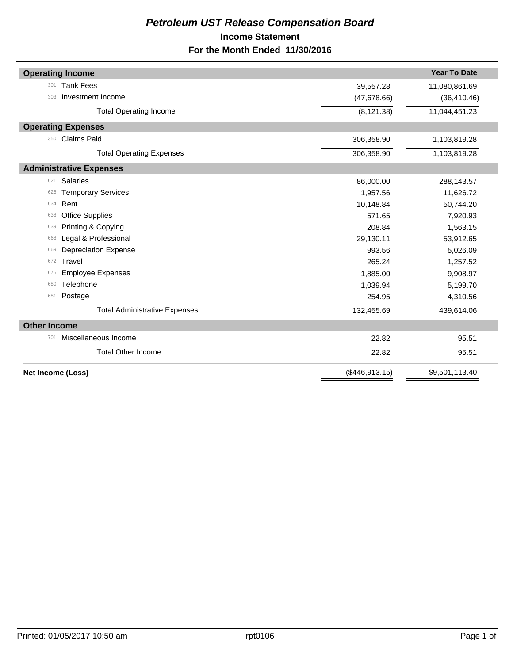# *Petroleum UST Release Compensation Board*  **Income Statement For the Month Ended 11/30/2016**

|                     | <b>Operating Income</b>              |                | <b>Year To Date</b> |
|---------------------|--------------------------------------|----------------|---------------------|
| 301                 | <b>Tank Fees</b>                     | 39,557.28      | 11,080,861.69       |
| 303                 | Investment Income                    | (47, 678.66)   | (36, 410.46)        |
|                     | <b>Total Operating Income</b>        | (8, 121.38)    | 11,044,451.23       |
|                     | <b>Operating Expenses</b>            |                |                     |
| 350                 | <b>Claims Paid</b>                   | 306,358.90     | 1,103,819.28        |
|                     | <b>Total Operating Expenses</b>      | 306,358.90     | 1,103,819.28        |
|                     | <b>Administrative Expenses</b>       |                |                     |
| 621                 | <b>Salaries</b>                      | 86,000.00      | 288,143.57          |
| 626                 | <b>Temporary Services</b>            | 1,957.56       | 11,626.72           |
| 634                 | Rent                                 | 10,148.84      | 50,744.20           |
| 638                 | <b>Office Supplies</b>               | 571.65         | 7,920.93            |
| 639                 | Printing & Copying                   | 208.84         | 1,563.15            |
| 668                 | Legal & Professional                 | 29,130.11      | 53,912.65           |
| 669                 | <b>Depreciation Expense</b>          | 993.56         | 5,026.09            |
| 672                 | Travel                               | 265.24         | 1,257.52            |
| 675                 | <b>Employee Expenses</b>             | 1,885.00       | 9,908.97            |
| 680                 | Telephone                            | 1,039.94       | 5,199.70            |
| 681                 | Postage                              | 254.95         | 4,310.56            |
|                     | <b>Total Administrative Expenses</b> | 132,455.69     | 439,614.06          |
| <b>Other Income</b> |                                      |                |                     |
| 701                 | Miscellaneous Income                 | 22.82          | 95.51               |
|                     | <b>Total Other Income</b>            | 22.82          | 95.51               |
|                     | Net Income (Loss)                    | (\$446,913.15) | \$9,501,113.40      |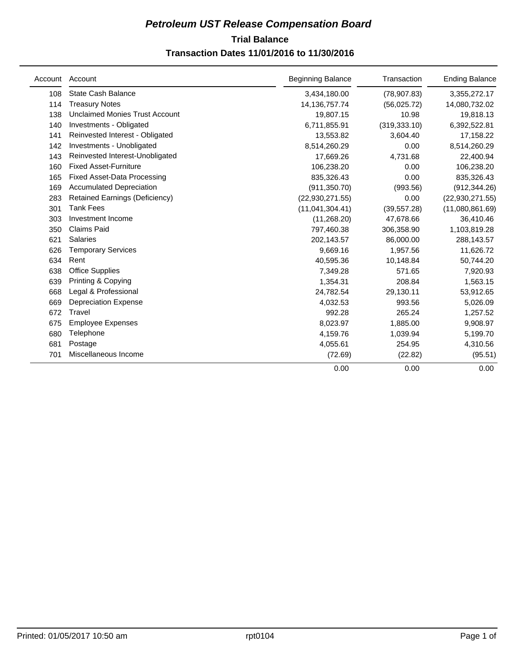# **Trial Balance** *Petroleum UST Release Compensation Board*

# **Transaction Dates 11/01/2016 to 11/30/2016**

| Account | Account                               | <b>Beginning Balance</b> | Transaction   | <b>Ending Balance</b> |
|---------|---------------------------------------|--------------------------|---------------|-----------------------|
| 108     | State Cash Balance                    | 3,434,180.00             | (78, 907.83)  | 3,355,272.17          |
| 114     | <b>Treasury Notes</b>                 | 14, 136, 757. 74         | (56,025.72)   | 14,080,732.02         |
| 138     | <b>Unclaimed Monies Trust Account</b> | 19,807.15                | 10.98         | 19,818.13             |
| 140     | Investments - Obligated               | 6,711,855.91             | (319, 333.10) | 6,392,522.81          |
| 141     | Reinvested Interest - Obligated       | 13,553.82                | 3,604.40      | 17,158.22             |
| 142     | Investments - Unobligated             | 8,514,260.29             | 0.00          | 8,514,260.29          |
| 143     | Reinvested Interest-Unobligated       | 17,669.26                | 4,731.68      | 22,400.94             |
| 160     | <b>Fixed Asset-Furniture</b>          | 106,238.20               | 0.00          | 106,238.20            |
| 165     | <b>Fixed Asset-Data Processing</b>    | 835,326.43               | 0.00          | 835,326.43            |
| 169     | <b>Accumulated Depreciation</b>       | (911, 350.70)            | (993.56)      | (912, 344.26)         |
| 283     | <b>Retained Earnings (Deficiency)</b> | (22,930,271.55)          | 0.00          | (22, 930, 271.55)     |
| 301     | <b>Tank Fees</b>                      | (11,041,304.41)          | (39, 557.28)  | (11,080,861.69)       |
| 303     | Investment Income                     | (11, 268.20)             | 47,678.66     | 36,410.46             |
| 350     | <b>Claims Paid</b>                    | 797,460.38               | 306,358.90    | 1,103,819.28          |
| 621     | <b>Salaries</b>                       | 202,143.57               | 86,000.00     | 288,143.57            |
| 626     | <b>Temporary Services</b>             | 9,669.16                 | 1,957.56      | 11,626.72             |
| 634     | Rent                                  | 40,595.36                | 10,148.84     | 50,744.20             |
| 638     | <b>Office Supplies</b>                | 7,349.28                 | 571.65        | 7,920.93              |
| 639     | Printing & Copying                    | 1,354.31                 | 208.84        | 1,563.15              |
| 668     | Legal & Professional                  | 24,782.54                | 29,130.11     | 53,912.65             |
| 669     | <b>Depreciation Expense</b>           | 4,032.53                 | 993.56        | 5,026.09              |
| 672     | Travel                                | 992.28                   | 265.24        | 1,257.52              |
| 675     | <b>Employee Expenses</b>              | 8,023.97                 | 1,885.00      | 9,908.97              |
| 680     | Telephone                             | 4,159.76                 | 1,039.94      | 5,199.70              |
| 681     | Postage                               | 4,055.61                 | 254.95        | 4,310.56              |
| 701     | Miscellaneous Income                  | (72.69)                  | (22.82)       | (95.51)               |
|         |                                       | 0.00                     | 0.00          | 0.00                  |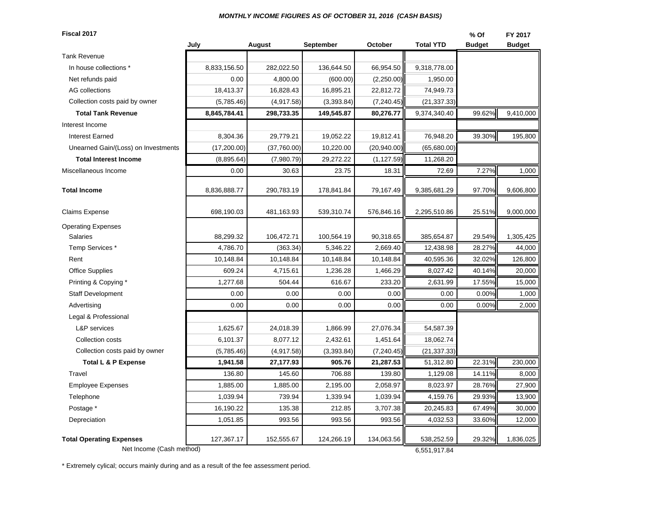#### *MONTHLY INCOME FIGURES AS OF OCTOBER 31, 2016 (CASH BASIS)*

**Fiscal 2017 % Of FY 2017July August September October Total YTD Budget Budget** Tank RevenueIn house collections \* The Resolution of the Resolution of the 8,833,156.50 | 282,022.50 | 136,644.50 | 66,954.50 | 9,318,778.00 Net refunds paid **1.950.00 1.950.00 1.950.00 1.950.00 1.950.00 1.950.00 1.950.00 1.950.00** AG collections 18,413.37 16,828.43 16,895.21 22,812.72 74,949.73  $(5,785.46)$   $(4,917.58)$   $(3,393.84)$   $(7,240.45)$   $(21,337.33)$ **Total Tank Revenue 8,845,784.41 298,733.35 149,545.87 80,276.77** 9,374,340.40 99.62% 9,410,000 Interest IncomeInterest Earned 8,304.36 | 29,779.21 | 19,052.22 | 19,812.41 || 76,948.20 | 39.30%|| 195,800 Unearned Gain/(Loss) on Investments (17,200.00) (37,760.00) (37,760.00) (20,940.00) (65,680.00) **Total Interest Income**  $(8,895.64)$  $(7,980.79)$  $29,272.22$  $(1,127.59)$  **11,268.20** Miscellaneous Income 0.00 30.63 23.75 18.31 72.69 7.27% 1,000 **Total Income**8,836,888.77 | 290,783.19 | 178,841.84 | 79,167.49 || 9,385,681.29 | 97.70%|| 9,606,800 | 97.70% || 9,606,800 Claims Expense 698,190.03 | 481,163.93 | 539,310.74 | 576,846.16 || 2,295,510.86 | 25.51%|| 9,000,000 Operating Expenses Salaries 88,299.32 106,472.71 100,564.19 90,318.65 385,654.87 29.54% 1,305,425 Temp Services \* 4,786.70 | (363.34)| 5,346.22 | 2,669.40 || 12,438.98 | 28.27%|| 44,000 Rent 10,148.84 10,148.84 10,148.84 10,148.84 40,595.36 32.02% 126,800 Office Supplies 609.24 | 4,715.61 | 1,236.28 | 1,466.29 || 8,027.42 | 40.14%|| 20,000 Printing & Copying \* The set of the set of the set of the set of the set of the set of the set of the set of the set of the set of the set of the set of the set of the set of the set of the set of the set of the set of the Staff Development 0.00 0.00 0.00 0.00 0.00 0.00% 1,000 Advertising 0.00 | 0.00 | 0.00 | 0.00 | 0.00 | 0.00%|| 2,000 Legal & Professional L&P services 1,625.67 | 24,018.39 | 1,866.99 | 27,076.34 || 54,587.39 Collection costs **6,101.37** 8,077.12 2,432.61 1,451.64 18,062.74  $(5,785.46)$   $(4,917.58)$   $(3,393.84)$   $(7,240.45)$   $(21,337.33)$ **Total L & P Expense 1,941.58 27,177.93 905.76 21,287.53** 51,312.80 22.31% 230,000 Travel 136.80 145.60 706.88 139.80 1,129.08 14.11% 8,000 Employee Expenses 1, 1,885.00 | 1,885.00 | 2,195.00 | 2,058.97 | 8,023.97 | 28.76% | 27,900 Telephone 1,039.94 739.94 1,339.94 1,039.94 4,159.76 29.93% 13,900 Postage \* 16,190.22 | 135.38 | 212.85 | 3,707.38 || 20,245.83 | 67.49%|| 30,000 Depreciation 1,051.85 993.56 993.56 993.56 4,032.53 33.60% 12,000 **Total Operating Expenses** 127,367.17 152,555.67 124,266.19 134,063.56 538,252.59 29.32% 1,836,025 Net Income (Cash method) 6,551,917.84 Collection costs paid by owner Collection costs paid by owner

\* Extremely cylical; occurs mainly during and as a result of the fee assessment period.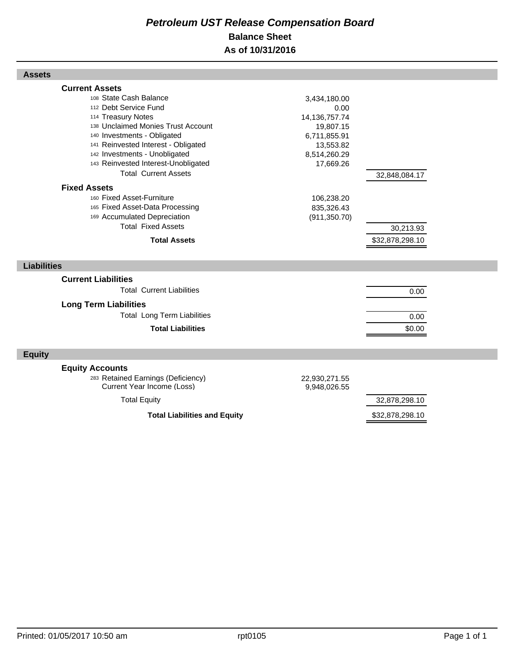# *Petroleum UST Release Compensation Board*  **Balance Sheet As of 10/31/2016**

| <b>Assets</b>                                                                                                                                                                                                                                                                                                                                                                                            |                                                                                                                                             |                              |  |
|----------------------------------------------------------------------------------------------------------------------------------------------------------------------------------------------------------------------------------------------------------------------------------------------------------------------------------------------------------------------------------------------------------|---------------------------------------------------------------------------------------------------------------------------------------------|------------------------------|--|
| <b>Current Assets</b><br>108 State Cash Balance<br>112 Debt Service Fund<br>114 Treasury Notes<br>138 Unclaimed Monies Trust Account<br>140 Investments - Obligated<br>141 Reinvested Interest - Obligated<br>142 Investments - Unobligated<br>143 Reinvested Interest-Unobligated<br><b>Total Current Assets</b><br><b>Fixed Assets</b><br>160 Fixed Asset-Furniture<br>165 Fixed Asset-Data Processing | 3,434,180.00<br>0.00<br>14, 136, 757. 74<br>19,807.15<br>6,711,855.91<br>13,553.82<br>8,514,260.29<br>17,669.26<br>106,238.20<br>835,326.43 | 32,848,084.17                |  |
| 169 Accumulated Depreciation<br><b>Total Fixed Assets</b><br><b>Total Assets</b>                                                                                                                                                                                                                                                                                                                         | (911, 350.70)                                                                                                                               | 30,213.93<br>\$32,878,298.10 |  |
| <b>Liabilities</b>                                                                                                                                                                                                                                                                                                                                                                                       |                                                                                                                                             |                              |  |
| <b>Current Liabilities</b><br><b>Total Current Liabilities</b><br><b>Long Term Liabilities</b><br><b>Total Long Term Liabilities</b><br><b>Total Liabilities</b>                                                                                                                                                                                                                                         |                                                                                                                                             | 0.00<br>0.00<br>\$0.00       |  |
| <b>Equity</b>                                                                                                                                                                                                                                                                                                                                                                                            |                                                                                                                                             |                              |  |
| <b>Equity Accounts</b><br>283 Retained Earnings (Deficiency)<br>Current Year Income (Loss)                                                                                                                                                                                                                                                                                                               | 22,930,271.55<br>9,948,026.55                                                                                                               |                              |  |
| <b>Total Equity</b>                                                                                                                                                                                                                                                                                                                                                                                      |                                                                                                                                             | 32,878,298.10                |  |
| <b>Total Liabilities and Equity</b>                                                                                                                                                                                                                                                                                                                                                                      |                                                                                                                                             | \$32,878,298.10              |  |

Г

Г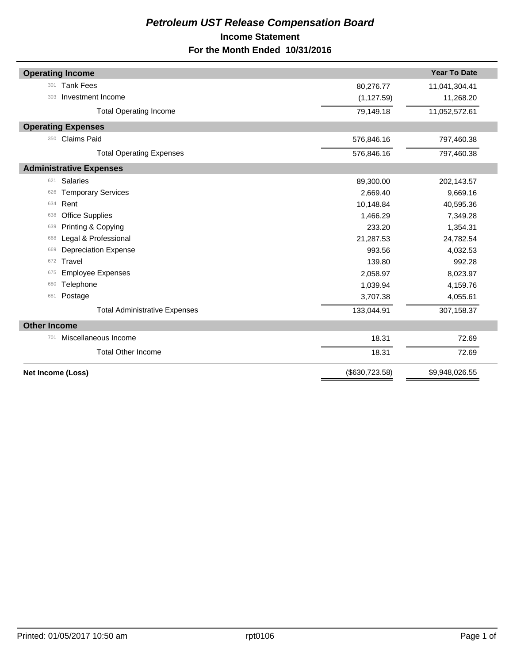# *Petroleum UST Release Compensation Board*  **Income Statement For the Month Ended 10/31/2016**

|                     | <b>Operating Income</b>              |                 | <b>Year To Date</b> |
|---------------------|--------------------------------------|-----------------|---------------------|
| 301                 | <b>Tank Fees</b>                     | 80,276.77       | 11,041,304.41       |
| 303                 | Investment Income                    | (1, 127.59)     | 11,268.20           |
|                     | <b>Total Operating Income</b>        | 79,149.18       | 11,052,572.61       |
|                     | <b>Operating Expenses</b>            |                 |                     |
| 350                 | <b>Claims Paid</b>                   | 576,846.16      | 797,460.38          |
|                     | <b>Total Operating Expenses</b>      | 576,846.16      | 797,460.38          |
|                     | <b>Administrative Expenses</b>       |                 |                     |
| 621                 | <b>Salaries</b>                      | 89,300.00       | 202,143.57          |
| 626                 | <b>Temporary Services</b>            | 2,669.40        | 9,669.16            |
| 634                 | Rent                                 | 10,148.84       | 40,595.36           |
| 638                 | <b>Office Supplies</b>               | 1,466.29        | 7,349.28            |
| 639                 | Printing & Copying                   | 233.20          | 1,354.31            |
| 668                 | Legal & Professional                 | 21,287.53       | 24,782.54           |
| 669                 | <b>Depreciation Expense</b>          | 993.56          | 4,032.53            |
| 672                 | Travel                               | 139.80          | 992.28              |
| 675                 | <b>Employee Expenses</b>             | 2,058.97        | 8,023.97            |
| 680                 | Telephone                            | 1,039.94        | 4,159.76            |
| 681                 | Postage                              | 3,707.38        | 4,055.61            |
|                     | <b>Total Administrative Expenses</b> | 133,044.91      | 307,158.37          |
| <b>Other Income</b> |                                      |                 |                     |
| 701                 | Miscellaneous Income                 | 18.31           | 72.69               |
|                     | <b>Total Other Income</b>            | 18.31           | 72.69               |
|                     | Net Income (Loss)                    | (\$630, 723.58) | \$9,948,026.55      |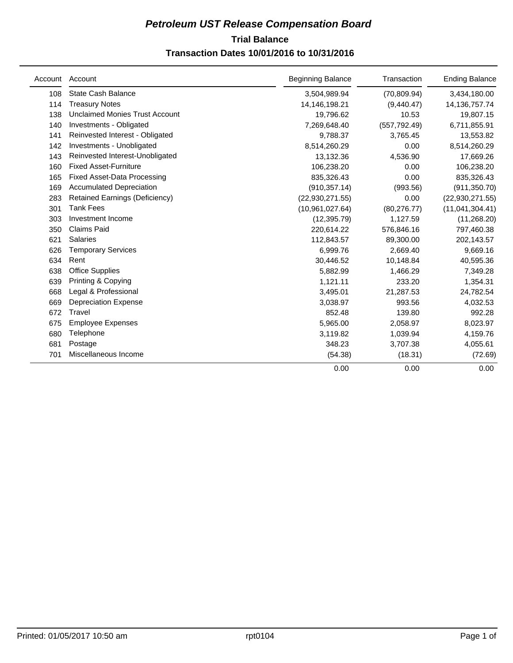# **Trial Balance** *Petroleum UST Release Compensation Board*

# **Transaction Dates 10/01/2016 to 10/31/2016**

| Account | Account                               | <b>Beginning Balance</b> | Transaction   | <b>Ending Balance</b> |
|---------|---------------------------------------|--------------------------|---------------|-----------------------|
| 108     | State Cash Balance                    | 3,504,989.94             | (70, 809.94)  | 3,434,180.00          |
| 114     | <b>Treasury Notes</b>                 | 14,146,198.21            | (9,440.47)    | 14, 136, 757. 74      |
| 138     | <b>Unclaimed Monies Trust Account</b> | 19,796.62                | 10.53         | 19,807.15             |
| 140     | Investments - Obligated               | 7,269,648.40             | (557, 792.49) | 6,711,855.91          |
| 141     | Reinvested Interest - Obligated       | 9,788.37                 | 3,765.45      | 13,553.82             |
| 142     | Investments - Unobligated             | 8,514,260.29             | 0.00          | 8,514,260.29          |
| 143     | Reinvested Interest-Unobligated       | 13,132.36                | 4,536.90      | 17,669.26             |
| 160     | <b>Fixed Asset-Furniture</b>          | 106,238.20               | 0.00          | 106,238.20            |
| 165     | <b>Fixed Asset-Data Processing</b>    | 835,326.43               | 0.00          | 835,326.43            |
| 169     | <b>Accumulated Depreciation</b>       | (910, 357.14)            | (993.56)      | (911, 350.70)         |
| 283     | <b>Retained Earnings (Deficiency)</b> | (22,930,271.55)          | 0.00          | (22, 930, 271.55)     |
| 301     | <b>Tank Fees</b>                      | (10,961,027.64)          | (80, 276.77)  | (11,041,304.41)       |
| 303     | Investment Income                     | (12, 395.79)             | 1,127.59      | (11, 268.20)          |
| 350     | <b>Claims Paid</b>                    | 220,614.22               | 576,846.16    | 797,460.38            |
| 621     | <b>Salaries</b>                       | 112,843.57               | 89,300.00     | 202,143.57            |
| 626     | <b>Temporary Services</b>             | 6,999.76                 | 2,669.40      | 9,669.16              |
| 634     | Rent                                  | 30,446.52                | 10,148.84     | 40,595.36             |
| 638     | <b>Office Supplies</b>                | 5,882.99                 | 1,466.29      | 7,349.28              |
| 639     | Printing & Copying                    | 1,121.11                 | 233.20        | 1,354.31              |
| 668     | Legal & Professional                  | 3,495.01                 | 21,287.53     | 24,782.54             |
| 669     | <b>Depreciation Expense</b>           | 3,038.97                 | 993.56        | 4,032.53              |
| 672     | Travel                                | 852.48                   | 139.80        | 992.28                |
| 675     | <b>Employee Expenses</b>              | 5,965.00                 | 2,058.97      | 8,023.97              |
| 680     | Telephone                             | 3,119.82                 | 1,039.94      | 4,159.76              |
| 681     | Postage                               | 348.23                   | 3,707.38      | 4,055.61              |
| 701     | Miscellaneous Income                  | (54.38)                  | (18.31)       | (72.69)               |
|         |                                       | 0.00                     | 0.00          | 0.00                  |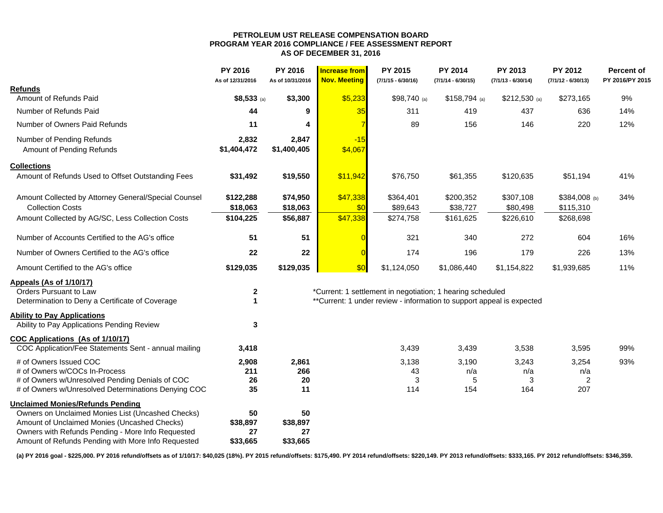#### **PETROLEUM UST RELEASE COMPENSATION BOARD PROGRAM YEAR 2016 COMPLIANCE / FEE ASSESSMENT REPORT AS OF DECEMBER 31, 2016**

|                                                      | <b>PY 2016</b><br>As of 12/31/2016 | <b>PY 2016</b><br>As of 10/31/2016 | <b>Increase from</b><br><b>Nov. Meeting</b> | PY 2015<br>$(7/1/15 - 6/30/16)$                                        | <b>PY 2014</b><br>$(7/1/14 - 6/30/15)$ | <b>PY 2013</b><br>$(7/1/13 - 6/30/14)$ | <b>PY 2012</b><br>$(7/1/12 - 6/30/13)$ | <b>Percent of</b><br>PY 2016/PY 2015 |
|------------------------------------------------------|------------------------------------|------------------------------------|---------------------------------------------|------------------------------------------------------------------------|----------------------------------------|----------------------------------------|----------------------------------------|--------------------------------------|
| <b>Refunds</b>                                       |                                    |                                    |                                             |                                                                        |                                        |                                        |                                        |                                      |
| Amount of Refunds Paid                               | \$8,533 (a)                        | \$3,300                            | \$5,233                                     | $$98,740$ (a)                                                          | $$158,794$ (a)                         | \$212,530 (a)                          | \$273,165                              | 9%                                   |
| Number of Refunds Paid                               | 44                                 | 9                                  | 35                                          | 311                                                                    | 419                                    | 437                                    | 636                                    | 14%                                  |
| Number of Owners Paid Refunds                        | 11                                 | Δ                                  | $\overline{7}$                              | 89                                                                     | 156                                    | 146                                    | 220                                    | 12%                                  |
| Number of Pending Refunds                            | 2,832                              | 2,847                              | $-15$                                       |                                                                        |                                        |                                        |                                        |                                      |
| Amount of Pending Refunds                            | \$1,404,472                        | \$1,400,405                        | \$4,067                                     |                                                                        |                                        |                                        |                                        |                                      |
| <b>Collections</b>                                   |                                    |                                    |                                             |                                                                        |                                        |                                        |                                        |                                      |
| Amount of Refunds Used to Offset Outstanding Fees    | \$31,492                           | \$19,550                           | \$11,942                                    | \$76,750                                                               | \$61,355                               | \$120,635                              | \$51,194                               | 41%                                  |
| Amount Collected by Attorney General/Special Counsel | \$122,288                          | \$74,950                           | \$47,338                                    | \$364,401                                                              | \$200,352                              | \$307,108                              | \$384,008 (b)                          | 34%                                  |
| <b>Collection Costs</b>                              | \$18,063                           | \$18,063                           | \$0                                         | \$89,643                                                               | \$38,727                               | \$80,498                               | \$115,310                              |                                      |
| Amount Collected by AG/SC, Less Collection Costs     | \$104,225                          | \$56,887                           | \$47,338                                    | \$274,758                                                              | \$161,625                              | \$226,610                              | \$268,698                              |                                      |
| Number of Accounts Certified to the AG's office      | 51                                 | 51                                 |                                             | 321                                                                    | 340                                    | 272                                    | 604                                    | 16%                                  |
| Number of Owners Certified to the AG's office        | 22                                 | 22                                 | $\overline{0}$                              | 174                                                                    | 196                                    | 179                                    | 226                                    | 13%                                  |
| Amount Certified to the AG's office                  | \$129,035                          | \$129,035                          | \$0                                         | \$1,124,050                                                            | \$1,086,440                            | \$1,154,822                            | \$1,939,685                            | 11%                                  |
| <b>Appeals (As of 1/10/17)</b>                       |                                    |                                    |                                             |                                                                        |                                        |                                        |                                        |                                      |
| Orders Pursuant to Law                               | $\boldsymbol{2}$                   |                                    |                                             | *Current: 1 settlement in negotiation; 1 hearing scheduled             |                                        |                                        |                                        |                                      |
| Determination to Deny a Certificate of Coverage      | $\mathbf 1$                        |                                    |                                             | ** Current: 1 under review - information to support appeal is expected |                                        |                                        |                                        |                                      |
| <b>Ability to Pay Applications</b>                   |                                    |                                    |                                             |                                                                        |                                        |                                        |                                        |                                      |
| Ability to Pay Applications Pending Review           | 3                                  |                                    |                                             |                                                                        |                                        |                                        |                                        |                                      |
| COC Applications (As of 1/10/17)                     |                                    |                                    |                                             |                                                                        |                                        |                                        |                                        |                                      |
| COC Application/Fee Statements Sent - annual mailing | 3,418                              |                                    |                                             | 3,439                                                                  | 3,439                                  | 3,538                                  | 3,595                                  | 99%                                  |
| # of Owners Issued COC                               | 2,908                              | 2,861                              |                                             | 3,138                                                                  | 3,190                                  | 3,243                                  | 3,254                                  | 93%                                  |
| # of Owners w/COCs In-Process                        | 211                                | 266                                |                                             | 43                                                                     | n/a                                    | n/a                                    | n/a                                    |                                      |
| # of Owners w/Unresolved Pending Denials of COC      | 26                                 | 20                                 |                                             | 3                                                                      | 5                                      | 3                                      | $\overline{c}$                         |                                      |
| # of Owners w/Unresolved Determinations Denying COC  | 35                                 | 11                                 |                                             | 114                                                                    | 154                                    | 164                                    | 207                                    |                                      |
| <b>Unclaimed Monies/Refunds Pending</b>              |                                    |                                    |                                             |                                                                        |                                        |                                        |                                        |                                      |
| Owners on Unclaimed Monies List (Uncashed Checks)    | 50                                 | 50                                 |                                             |                                                                        |                                        |                                        |                                        |                                      |
| Amount of Unclaimed Monies (Uncashed Checks)         | \$38,897                           | \$38,897                           |                                             |                                                                        |                                        |                                        |                                        |                                      |
| Owners with Refunds Pending - More Info Requested    | 27                                 | 27                                 |                                             |                                                                        |                                        |                                        |                                        |                                      |
| Amount of Refunds Pending with More Info Requested   | \$33,665                           | \$33,665                           |                                             |                                                                        |                                        |                                        |                                        |                                      |

**(a) PY 2016 goal - \$225,000. PY 2016 refund/offsets as of 1/10/17: \$40,025 (18%). PY 2015 refund/offsets: \$175,490. PY 2014 refund/offsets: \$220,149. PY 2013 refund/offsets: \$333,165. PY 2012 refund/offsets: \$346,359.**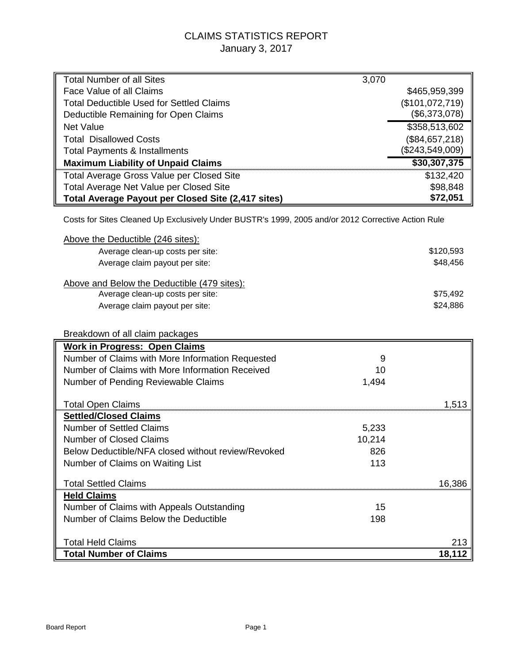# CLAIMS STATISTICS REPORT January 3, 2017

| <b>Total Number of all Sites</b>                                                                   | 3,070           |
|----------------------------------------------------------------------------------------------------|-----------------|
| Face Value of all Claims                                                                           | \$465,959,399   |
| Total Deductible Used for Settled Claims                                                           | (\$101,072,719) |
| Deductible Remaining for Open Claims                                                               | (\$6,373,078)   |
| <b>Net Value</b>                                                                                   | \$358,513,602   |
| <b>Total Disallowed Costs</b>                                                                      | (\$84,657,218)  |
| <b>Total Payments &amp; Installments</b>                                                           | (\$243,549,009) |
| <b>Maximum Liability of Unpaid Claims</b>                                                          | \$30,307,375    |
| Total Average Gross Value per Closed Site                                                          | \$132,420       |
| Total Average Net Value per Closed Site                                                            | \$98,848        |
| <b>Total Average Payout per Closed Site (2,417 sites)</b>                                          | \$72,051        |
| Costs for Sites Cleaned Up Exclusively Under BUSTR's 1999, 2005 and/or 2012 Corrective Action Rule |                 |
| Above the Deductible (246 sites):                                                                  |                 |

| Average clean-up costs per site:            | \$120,593 |
|---------------------------------------------|-----------|
| Average claim payout per site:              | \$48,456  |
| Above and Below the Deductible (479 sites): |           |
| Average clean-up costs per site:            | \$75.492  |
| Average claim payout per site:              | \$24,886  |

| Breakdown of all claim packages                    |        |        |
|----------------------------------------------------|--------|--------|
| <b>Work in Progress: Open Claims</b>               |        |        |
| Number of Claims with More Information Requested   | 9      |        |
| Number of Claims with More Information Received    | 10     |        |
| Number of Pending Reviewable Claims                | 1,494  |        |
|                                                    |        |        |
| <b>Total Open Claims</b>                           |        | 1.513  |
| <b>Settled/Closed Claims</b>                       |        |        |
| <b>Number of Settled Claims</b>                    | 5,233  |        |
| Number of Closed Claims                            | 10,214 |        |
| Below Deductible/NFA closed without review/Revoked | 826    |        |
| Number of Claims on Waiting List                   | 113    |        |
|                                                    |        |        |
| <b>Total Settled Claims</b>                        |        | 16.386 |
| <b>Held Claims</b>                                 |        |        |
| Number of Claims with Appeals Outstanding          | 15     |        |
| Number of Claims Below the Deductible              | 198    |        |
|                                                    |        |        |
| <b>Total Held Claims</b>                           |        | 213    |
| <b>Total Number of Claims</b>                      |        | 18,112 |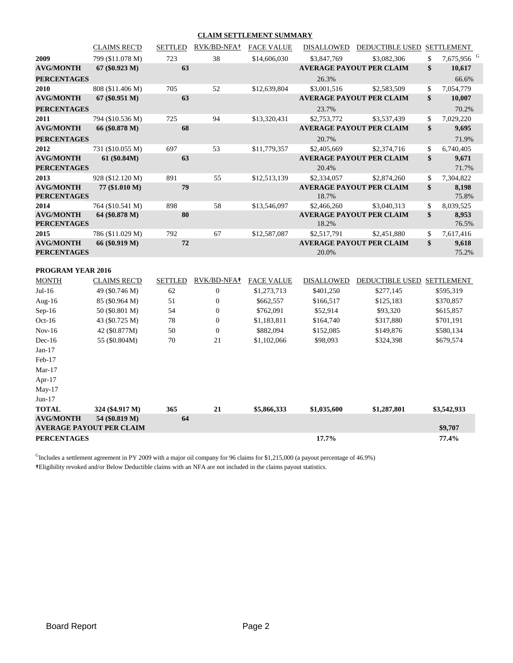#### **CLAIM SETTLEMENT SUMMARY**

|                                        | <b>CLAIMS REC'D</b> | <b>SETTLED</b> | RVK/BD-NFA <sup>+</sup> | <b>FACE VALUE</b> | DISALLOWED        | DEDUCTIBLE USED SETTLEMENT      |                              |
|----------------------------------------|---------------------|----------------|-------------------------|-------------------|-------------------|---------------------------------|------------------------------|
| 2009                                   | 799 (\$11.078 M)    | 723            | 38                      | \$14,606,030      | \$3,847,769       | \$3,082,306                     | \$<br>7,675,956 <sup>G</sup> |
| <b>AVG/MONTH</b>                       | $67 (\$0.923 M)$    | 63             |                         |                   |                   | <b>AVERAGE PAYOUT PER CLAIM</b> | \$<br>10,617                 |
| <b>PERCENTAGES</b>                     |                     |                |                         |                   | 26.3%             |                                 | 66.6%                        |
| 2010                                   | 808 (\$11.406 M)    | 705            | 52                      | \$12,639,804      | \$3,001,516       | \$2,583,509                     | \$<br>7,054,779              |
| <b>AVG/MONTH</b>                       | 67 (\$0.951 M)      | 63             |                         |                   |                   | <b>AVERAGE PAYOUT PER CLAIM</b> | \$<br>10,007                 |
| <b>PERCENTAGES</b>                     |                     |                |                         |                   | 23.7%             |                                 | 70.2%                        |
| 2011                                   | 794 (\$10.536 M)    | 725            | 94                      | \$13,320,431      | \$2,753,772       | \$3,537,439                     | \$<br>7,029,220              |
| <b>AVG/MONTH</b>                       | 66 (\$0.878 M)      | 68             |                         |                   |                   | <b>AVERAGE PAYOUT PER CLAIM</b> | \$<br>9,695                  |
| <b>PERCENTAGES</b>                     |                     |                |                         |                   | 20.7%             |                                 | 71.9%                        |
| 2012                                   | 731 (\$10.055 M)    | 697            | 53                      | \$11,779,357      | \$2,405,669       | \$2,374,716                     | \$<br>6,740,405              |
| <b>AVG/MONTH</b>                       | 61 (\$0.84M)        | 63             |                         |                   |                   | <b>AVERAGE PAYOUT PER CLAIM</b> | \$<br>9,671                  |
| <b>PERCENTAGES</b>                     |                     |                |                         |                   | 20.4%             |                                 | 71.7%                        |
| 2013                                   | 928 (\$12.120 M)    | 891            | 55                      | \$12,513,139      | \$2,334,057       | \$2,874,260                     | \$<br>7,304,822              |
| <b>AVG/MONTH</b>                       | 77 (\$1.010 M)      | 79             |                         |                   |                   | <b>AVERAGE PAYOUT PER CLAIM</b> | \$<br>8,198                  |
| <b>PERCENTAGES</b>                     |                     |                |                         |                   | 18.7%             |                                 | 75.8%                        |
| 2014                                   | 764 (\$10.541 M)    | 898            | 58                      | \$13,546,097      | \$2,466,260       | \$3,040,313                     | \$<br>8,039,525              |
| <b>AVG/MONTH</b><br><b>PERCENTAGES</b> | 64 (\$0.878 M)      | 80             |                         |                   | 18.2%             | <b>AVERAGE PAYOUT PER CLAIM</b> | \$<br>8,953<br>76.5%         |
| 2015                                   | 786 (\$11.029 M)    | 792            | 67                      | \$12,587,087      | \$2,517,791       | \$2,451,880                     | \$<br>7,617,416              |
| <b>AVG/MONTH</b>                       | 66 (\$0.919 M)      | 72             |                         |                   |                   | <b>AVERAGE PAYOUT PER CLAIM</b> | \$<br>9,618                  |
| <b>PERCENTAGES</b>                     |                     |                |                         |                   | 20.0%             |                                 | 75.2%                        |
| PROGRAM YEAR 2016                      |                     |                |                         |                   |                   |                                 |                              |
| <b>MONTH</b>                           | <b>CLAIMS REC'D</b> | <b>SETTLED</b> | RVK/BD-NFA+             | <b>FACE VALUE</b> | <b>DISALLOWED</b> | DEDUCTIBLE USED SETTLEMENT      |                              |
| $Jul-16$                               | 49 (\$0.746 M)      | 62             | $\boldsymbol{0}$        | \$1,273,713       | \$401,250         | \$277,145                       | \$595,319                    |
| Aug-16                                 | 85 (\$0.964 M)      | 51             | $\boldsymbol{0}$        | \$662,557         | \$166,517         | \$125,183                       | \$370,857                    |
| Sep-16                                 | 50 (\$0.801 M)      | 54             | $\mathbf{0}$            | \$762,091         | \$52,914          | \$93,320                        | \$615,857                    |
| $Oct-16$                               | 43 (\$0.725 M)      | 78             | $\boldsymbol{0}$        | \$1,183,811       | \$164,740         | \$317,880                       | \$701,191                    |
| $Nov-16$                               | 42 (\$0.877M)       | 50             | $\boldsymbol{0}$        | \$882,094         | \$152,085         | \$149,876                       | \$580,134                    |
| $Dec-16$                               | 55 (\$0.804M)       | 70             | 21                      | \$1,102,066       | \$98,093          | \$324,398                       | \$679,574                    |
| $Jan-17$                               |                     |                |                         |                   |                   |                                 |                              |
| Feb-17                                 |                     |                |                         |                   |                   |                                 |                              |
| $Mar-17$                               |                     |                |                         |                   |                   |                                 |                              |
| Apr- $17$                              |                     |                |                         |                   |                   |                                 |                              |
| $May-17$                               |                     |                |                         |                   |                   |                                 |                              |
| $Jun-17$                               |                     |                |                         |                   |                   |                                 |                              |
| <b>TOTAL</b>                           | 324 (\$4.917 M)     | 365            | 21                      | \$5,866,333       | \$1,035,600       | \$1,287,801                     | \$3,542,933                  |
| <b>AVG/MONTH</b>                       | 54 (\$0.819 M)      | 64             |                         |                   |                   |                                 |                              |
| <b>AVERAGE PAYOUT PER CLAIM</b>        |                     |                |                         |                   |                   |                                 | \$9,707                      |
| <b>PERCENTAGES</b>                     |                     |                |                         |                   | 17.7%             |                                 | 77.4%                        |

 $<sup>G</sup>$ Includes a settlement agreement in PY 2009 with a major oil company for 96 claims for \$1,215,000 (a payout percentage of 46.9%)</sup> **†**Eligibility revoked and/or Below Deductible claims with an NFA are not included in the claims payout statistics.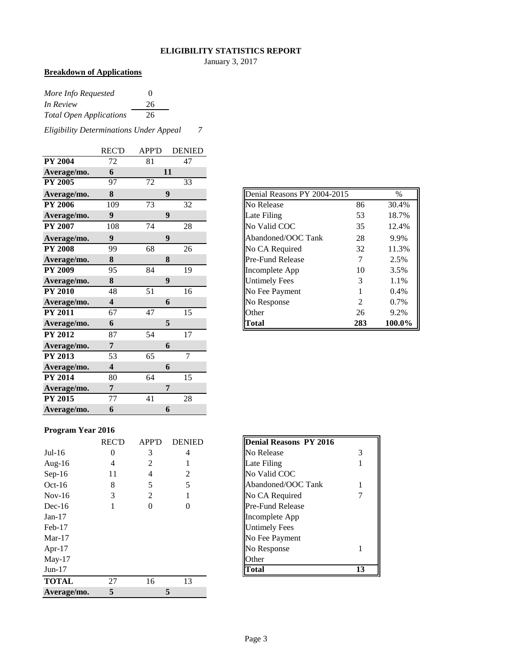#### **ELIGIBILITY STATISTICS REPORT**

January 3, 2017

# **Breakdown of Applications**

| More Info Requested            | $\Omega$ |
|--------------------------------|----------|
| In Review                      | 26       |
| <b>Total Open Applications</b> | 26       |

*Eligibility Determinations Under Appeal 7*

|                | <b>REC'D</b>            | <b>APP'D</b> | <b>DENIED</b>    |
|----------------|-------------------------|--------------|------------------|
| <b>PY 2004</b> | 72                      | 81           | 47               |
| Average/mo.    | 6                       |              | 11               |
| <b>PY 2005</b> | 97                      | 72           | 33               |
| Average/mo.    | 8                       |              | 9                |
| <b>PY 2006</b> | 109                     | 73           | 32               |
| Average/mo.    | 9                       |              | 9                |
| <b>PY 2007</b> | 108                     | 74           | 28               |
| Average/mo.    | 9                       |              | $\boldsymbol{9}$ |
| <b>PY 2008</b> | 99                      | 68           | 26               |
| Average/mo.    | 8                       |              | 8                |
| <b>PY 2009</b> | 95                      | 84           | 19               |
| Average/mo.    | 8                       |              | 9                |
| <b>PY 2010</b> | 48                      | 51           | 16               |
| Average/mo.    | $\overline{\mathbf{4}}$ |              | 6                |
| <b>PY 2011</b> | 67                      | 47           | 15               |
| Average/mo.    | 6                       |              | 5                |
| <b>PY 2012</b> | 87                      | 54           | 17               |
| Average/mo.    | 7                       |              | 6                |
| <b>PY 2013</b> | 53                      | 65           | $\overline{7}$   |
| Average/mo.    | $\overline{\mathbf{4}}$ |              | 6                |
| <b>PY 2014</b> | 80                      | 64           | 15               |
| Average/mo.    | 7                       |              | 7                |
| PY 2015        | 77                      | 41           | 28               |
| Average/mo.    | 6                       |              | 6                |

| Average/mo.    | 8                       | 9  |    |
|----------------|-------------------------|----|----|
| <b>PY 2006</b> | 109                     | 73 | 32 |
| Average/mo.    | 9                       | 9  |    |
| <b>PY 2007</b> | 108                     | 74 | 28 |
| Average/mo.    | 9                       | 9  |    |
| <b>PY 2008</b> | 99                      | 68 | 26 |
| Average/mo.    | 8                       | 8  |    |
| <b>PY 2009</b> | 95                      | 84 | 19 |
| Average/mo.    | 8                       | 9  |    |
| <b>PY 2010</b> | 48                      | 51 | 16 |
| Average/mo.    | $\overline{\mathbf{4}}$ | 6  |    |
| <b>PY 2011</b> | 67                      | 47 | 15 |
| Average/mo.    | 6                       | 5  |    |

# **Program Year 2016**

|              | <b>REC'D</b>   | <b>APP'D</b> | <b>DENIED</b> | <b>Denial Reasons PY 2016</b> |
|--------------|----------------|--------------|---------------|-------------------------------|
| $Jul-16$     | $\overline{0}$ | 3            | 4             | No Release<br>3               |
| Aug- $16$    | $\overline{4}$ | 2            |               | Late Filing                   |
| $Sep-16$     | 11             | 4            | 2             | No Valid COC                  |
| $Oct-16$     | 8              | 5            | 5             | Abandoned/OOC Tank            |
| $Nov-16$     | 3              | 2            |               | No CA Required                |
| $Dec-16$     |                | 0            | $\theta$      | <b>Pre-Fund Release</b>       |
| $Jan-17$     |                |              |               | Incomplete App                |
| $Feb-17$     |                |              |               | <b>Untimely Fees</b>          |
| $Mar-17$     |                |              |               | No Fee Payment                |
| Apr- $17$    |                |              |               | No Response<br>1              |
| $May-17$     |                |              |               | Other                         |
| $Jun-17$     |                |              |               | 13<br><b>Total</b>            |
| <b>TOTAL</b> | 27             | 16           | 13            |                               |
| Average/mo.  | 5              |              |               |                               |

| <b>Denial Reasons PY 2016</b> |    |
|-------------------------------|----|
| No Release                    | 3  |
| Late Filing                   |    |
| No Valid COC                  |    |
| Abandoned/OOC Tank            |    |
| No CA Required                |    |
| <b>Pre-Fund Release</b>       |    |
| Incomplete App                |    |
| <b>Untimely Fees</b>          |    |
| No Fee Payment                |    |
| No Response                   |    |
| Other                         |    |
| 'otal                         | 13 |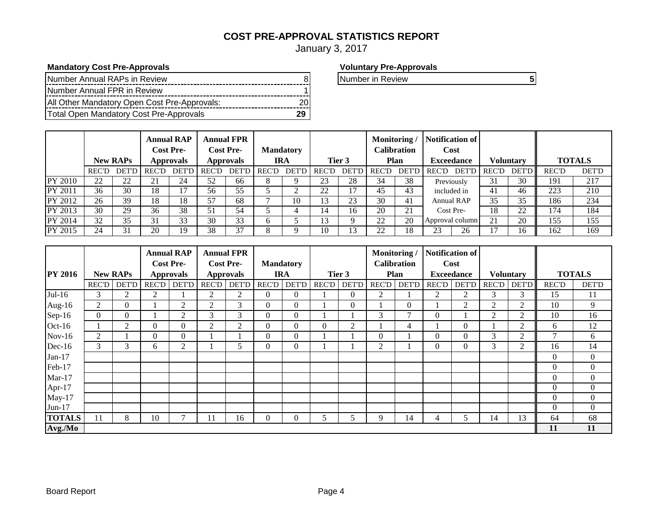# **COST PRE-APPROVAL STATISTICS REPORT**

January 3, 2017

## **Mandatory Cost Pre-Approvals Voluntary Pre-Approvals**

| Number Annual RAPs in Review                 |  |
|----------------------------------------------|--|
| Number Annual FPR in Review                  |  |
| All Other Mandatory Open Cost Pre-Approvals: |  |
| Total Open Mandatory Cost Pre-Approvals      |  |

Number in Review **5** 

|                |              | <b>New RAPs</b>     |              | Annual RAP<br><b>Cost Pre-</b><br><b>Approvals</b> |       | <b>Annual FPR</b><br><b>Cost Pre-</b><br><b>Approvals</b> |              | <b>Mandatory</b><br>IRA | Tier 3       |              | <b>Monitoring</b> /<br>Calibration<br><b>Plan</b> |       | Notification of<br>Cost<br><b>Exceedance</b> |                   | <b>Voluntary</b> |              | <b>TOTALS</b> |              |
|----------------|--------------|---------------------|--------------|----------------------------------------------------|-------|-----------------------------------------------------------|--------------|-------------------------|--------------|--------------|---------------------------------------------------|-------|----------------------------------------------|-------------------|------------------|--------------|---------------|--------------|
|                | <b>REC'D</b> | <b>DET'L</b>        | <b>REC'D</b> | <b>DET'D</b>                                       | REC'D | <b>DET'D</b>                                              | <b>REC'D</b> | DET'D                   | <b>REC'D</b> | <b>DET'D</b> | <b>REC'D</b>                                      | DET'D | <b>REC'D</b>                                 | <b>DET'D</b>      | REC'D            | <b>DET'D</b> | <b>REC'D</b>  | <b>DET'D</b> |
| PY 2010        | 22           | $\mathcal{D}$<br>∠∠ | 21           | 24                                                 | 52    | 66                                                        | Ω            |                         | 23           | 28           | 34                                                | 38    |                                              | Previously        | 31               | 30           | 191           | 217          |
| PY 2011        | 36           | 30                  | 18           | 7                                                  | 56    | 55                                                        |              |                         | 22           | 17           | 45                                                | 43    |                                              | included in       | 41               | 46           | 223           | 210          |
| PY 2012        | 26           | 39                  | 18           | 18                                                 | 57    | 68                                                        |              | 10                      | 13           | 23           | 30                                                | 41    |                                              | <b>Annual RAP</b> | 35               | 35           | 186           | 234          |
| PY 2013        | 30           | 29                  | 36           | 38                                                 | 51    | 54                                                        |              |                         |              | 16           | 20                                                | 21    |                                              | Cost Pre-         | 18               | 22           | 174           | 184          |
| <b>PY 2014</b> | 32           | 35                  | 31           | 33                                                 | 30    | 33                                                        | o            |                         | 13           |              | 22                                                | 20    |                                              | Approval column   | 21               | 20           | 155           | 155          |
| PY 2015        | 24           | 31                  | 20           | 19                                                 | 38    | 37                                                        | Ω            |                         | 10           | 13           | 22                                                | 18    | $2^{\circ}$                                  | 26                |                  | 16           | 162           | 169          |

|                |              |                 |                  | <b>Annual RAP</b> |                  | <b>Annual FPR</b> |              |                  |               |                | Monitoring/        |                | <b>Notification of</b> |                   |                  |                |                |                  |
|----------------|--------------|-----------------|------------------|-------------------|------------------|-------------------|--------------|------------------|---------------|----------------|--------------------|----------------|------------------------|-------------------|------------------|----------------|----------------|------------------|
|                |              |                 | <b>Cost Pre-</b> |                   | <b>Cost Pre-</b> |                   |              | <b>Mandatory</b> |               |                | <b>Calibration</b> |                | Cost                   |                   |                  |                |                |                  |
| <b>PY 2016</b> |              | <b>New RAPs</b> |                  | <b>Approvals</b>  |                  | <b>Approvals</b>  | <b>IRA</b>   |                  |               | Tier 3         |                    | Plan           |                        | <b>Exceedance</b> | <b>Voluntary</b> |                | <b>TOTALS</b>  |                  |
|                | <b>REC'D</b> | <b>DET'D</b>    | <b>REC'D</b>     | <b>DET'D</b>      | <b>REC'D</b>     | <b>DET'D</b>      | <b>REC'D</b> | <b>DET'D</b>     | <b>REC'D</b>  | <b>DET'D</b>   | <b>REC'D</b>       | <b>DET'D</b>   | <b>REC'D</b>           | <b>DET'D</b>      | <b>REC'D</b>     | DET'D          | <b>REC'D</b>   | <b>DET'D</b>     |
| $Jul-16$       | 3            | $\overline{2}$  | 2                |                   | $\overline{2}$   | 2                 | $\Omega$     | $\Omega$         |               | $\overline{0}$ | 2                  |                | 2                      | $\overline{2}$    | 3                | 3              | 15             | 11               |
| Aug- $16$      | 2            | $\overline{0}$  |                  | 2                 | $\overline{2}$   | 3                 | $\Omega$     | $\Omega$         |               | $\theta$       |                    | $\overline{0}$ |                        | $\overline{2}$    | 2                | 2              | 10             | 9                |
| $Sep-16$       | $\Omega$     | $\Omega$        |                  | $\overline{2}$    | 3                | 3                 | $\Omega$     | $\Omega$         |               |                | 3                  | $\mathbf{r}$   | $\Omega$               |                   | 2                | 2              | 10             | 16               |
| Oct-16         |              | 2               | $\mathbf{0}$     | $\boldsymbol{0}$  | 2                | $\overline{2}$    | $\Omega$     | $\Omega$         | $\Omega$      | $\overline{2}$ |                    | 4              |                        | $\theta$          |                  | 2              | 6              | 12               |
| $Nov-16$       | 2            |                 | $\Omega$         | $\mathbf{0}$      |                  |                   | $\Omega$     | $\Omega$         |               |                | $\mathbf{0}$       |                | $\Omega$               | $\Omega$          | 3                | $\overline{2}$ | 7              | 6                |
| Dec-16         | 3            | 3               | 6                | $\overline{2}$    |                  | 5                 | $\Omega$     | 0                |               |                | 2                  |                | $\Omega$               | $\Omega$          | 3                | $\overline{2}$ | 16             | 14               |
| $Jan-17$       |              |                 |                  |                   |                  |                   |              |                  |               |                |                    |                |                        |                   |                  |                | $\theta$       | $\overline{0}$   |
| Feb-17         |              |                 |                  |                   |                  |                   |              |                  |               |                |                    |                |                        |                   |                  |                | $\overline{0}$ | $\overline{0}$   |
| $Mar-17$       |              |                 |                  |                   |                  |                   |              |                  |               |                |                    |                |                        |                   |                  |                | $\overline{0}$ | $\boldsymbol{0}$ |
| Apr- $17$      |              |                 |                  |                   |                  |                   |              |                  |               |                |                    |                |                        |                   |                  |                | $\theta$       | $\overline{0}$   |
| $May-17$       |              |                 |                  |                   |                  |                   |              |                  |               |                |                    |                |                        |                   |                  |                | $\theta$       | $\overline{0}$   |
| Jun-17         |              |                 |                  |                   |                  |                   |              |                  |               |                |                    |                |                        |                   |                  |                | $\theta$       | $\mathbf{0}$     |
| <b>TOTALS</b>  | 11           | 8               | 10               | ┑                 | 11               | 16                | $\Omega$     | 0                | $\mathcal{D}$ | 5              | 9                  | 14             | 4                      | 5                 | 14               | 13             | 64             | 68               |
| Avg./Mo        |              |                 |                  |                   |                  |                   |              |                  |               |                | 11                 | 11             |                        |                   |                  |                |                |                  |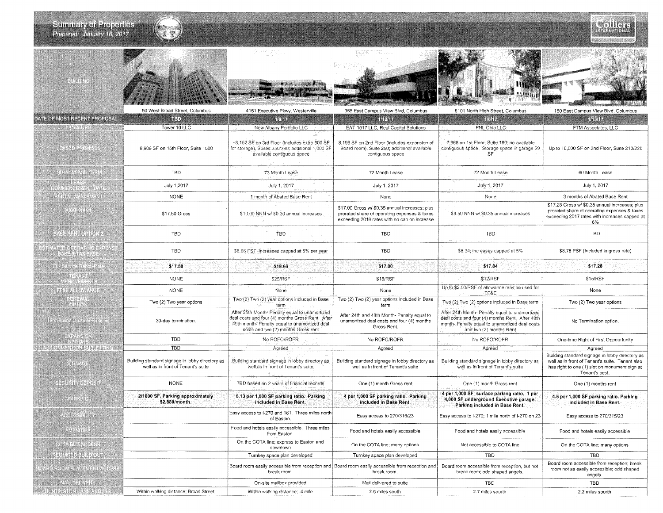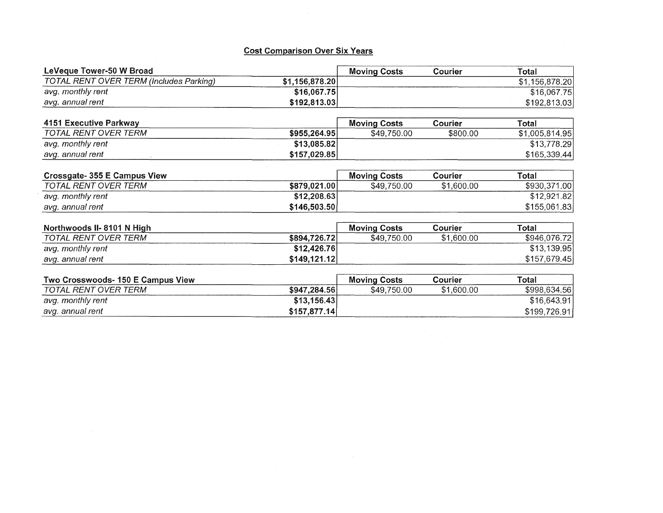# Cost Comparison Over **Six** Years

 $\sim$ 

| LeVeque Tower-50 W Broad                       |                | <b>Moving Costs</b> | Courier    | Total          |
|------------------------------------------------|----------------|---------------------|------------|----------------|
| <b>TOTAL RENT OVER TERM (Includes Parking)</b> | \$1,156,878.20 |                     |            | \$1,156,878.20 |
| avg. monthly rent                              | \$16,067.75    |                     |            | \$16,067.75    |
| avg. annual rent                               | \$192,813.03   |                     |            | \$192,813.03   |
| 4151 Executive Parkway                         |                | <b>Moving Costs</b> | Courier    | Total          |
| TOTAL RENT OVER TERM                           | \$955,264.95   | \$49,750.00         | \$800.00   | \$1,005,814.95 |
| avg. monthly rent                              | \$13,085.82    |                     |            | \$13,778.29    |
| avg. annual rent                               | \$157,029.85   |                     |            | \$165,339.44   |
| Crossgate- 355 E Campus View                   |                | <b>Moving Costs</b> | Courier    | Total          |
| TOTAL RENT OVER TERM                           | \$879,021.00   | \$49,750.00         | \$1,600.00 | \$930,371.00   |
| avg. monthly rent                              | \$12,208.63    |                     |            | \$12,921.82    |
| avg. annual rent                               | \$146,503.50   |                     |            | \$155,061.83   |
| Northwoods II-8101 N High                      |                | <b>Moving Costs</b> | Courier    | Total          |
| TOTAL RENT OVER TERM                           | \$894,726.72   | \$49,750.00         | \$1,600.00 | \$946,076.72   |
| avg. monthly rent                              | \$12,426.76    |                     |            | \$13,139.95    |
| avg. annual rent                               | \$149,121.12   |                     |            | \$157,679.45   |
| Two Crosswoods-150 F Campus View               |                | Moving Costs        | Courier    | Total          |

| Two Crosswoods- 150 E Campus View |              | <b>Moving Costs</b> | Courier    | Total        |
|-----------------------------------|--------------|---------------------|------------|--------------|
| TOTAL RENT OVER TERM              | \$947,284.56 | \$49,750.00         | \$1.600.00 | \$998,634.56 |
| avg. monthly rent                 | \$13,156.43  |                     |            | \$16,643.91  |
| avg. annual rent                  | \$157.877.14 |                     |            | \$199,726.91 |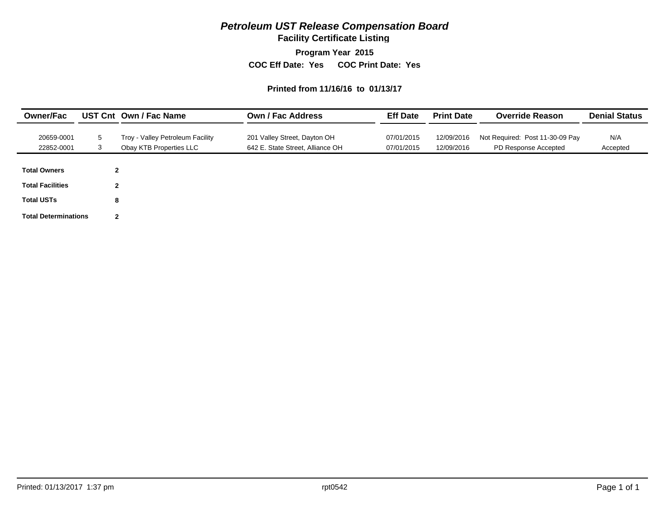**Facility Certificate Listing**

**Program Year 2015**

**COC Eff Date: Yes COC Print Date: Yes** 

#### **Printed from 11/16/16 to 01/13/17**

| <b>Owner/Fac</b>            |              | UST Cnt Own / Fac Name                                      | Own / Fac Address                                                | <b>Eff Date</b>          | <b>Print Date</b>        | <b>Override Reason</b>                                  | <b>Denial Status</b> |
|-----------------------------|--------------|-------------------------------------------------------------|------------------------------------------------------------------|--------------------------|--------------------------|---------------------------------------------------------|----------------------|
| 20659-0001<br>22852-0001    | 5<br>3       | Troy - Valley Petroleum Facility<br>Obay KTB Properties LLC | 201 Valley Street, Dayton OH<br>642 E. State Street, Alliance OH | 07/01/2015<br>07/01/2015 | 12/09/2016<br>12/09/2016 | Not Required: Post 11-30-09 Pay<br>PD Response Accepted | N/A<br>Accepted      |
| <b>Total Owners</b>         | $\mathbf{2}$ |                                                             |                                                                  |                          |                          |                                                         |                      |
| <b>Total Facilities</b>     | $\mathbf{2}$ |                                                             |                                                                  |                          |                          |                                                         |                      |
| <b>Total USTs</b>           | 8            |                                                             |                                                                  |                          |                          |                                                         |                      |
| <b>Total Determinations</b> | $\mathbf{2}$ |                                                             |                                                                  |                          |                          |                                                         |                      |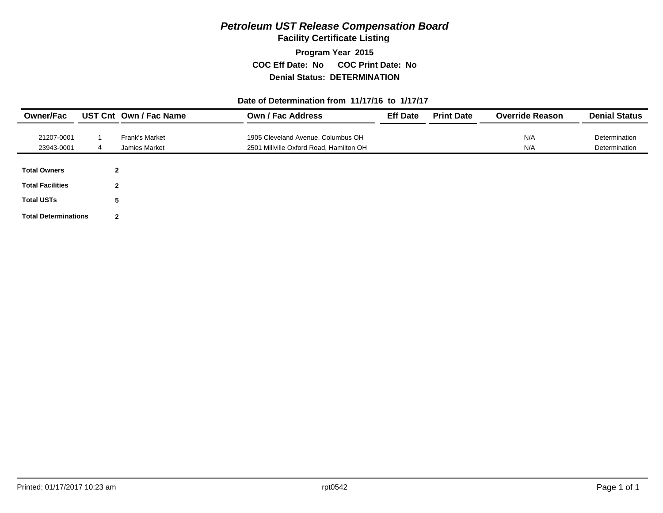**Facility Certificate Listing**

**Program Year 2015 COC Eff Date: No COC Print Date: No Denial Status: DETERMINATION**

### **Date of Determination from 11/17/16 to 1/17/17**

| <b>Owner/Fac</b>            |              | UST Cnt Own / Fac Name | <b>Own / Fac Address</b>                | <b>Eff Date</b> | <b>Print Date</b> | <b>Override Reason</b> | <b>Denial Status</b> |
|-----------------------------|--------------|------------------------|-----------------------------------------|-----------------|-------------------|------------------------|----------------------|
|                             |              |                        |                                         |                 |                   |                        |                      |
| 21207-0001                  |              | <b>Frank's Market</b>  | 1905 Cleveland Avenue, Columbus OH      |                 |                   | N/A                    | Determination        |
| 23943-0001                  | 4            | Jamies Market          | 2501 Millville Oxford Road, Hamilton OH |                 |                   | N/A                    | Determination        |
| <b>Total Owners</b>         | $\mathbf{2}$ |                        |                                         |                 |                   |                        |                      |
| <b>Total Facilities</b>     | $\mathbf{2}$ |                        |                                         |                 |                   |                        |                      |
| <b>Total USTs</b>           | 5            |                        |                                         |                 |                   |                        |                      |
| <b>Total Determinations</b> | $\mathbf{2}$ |                        |                                         |                 |                   |                        |                      |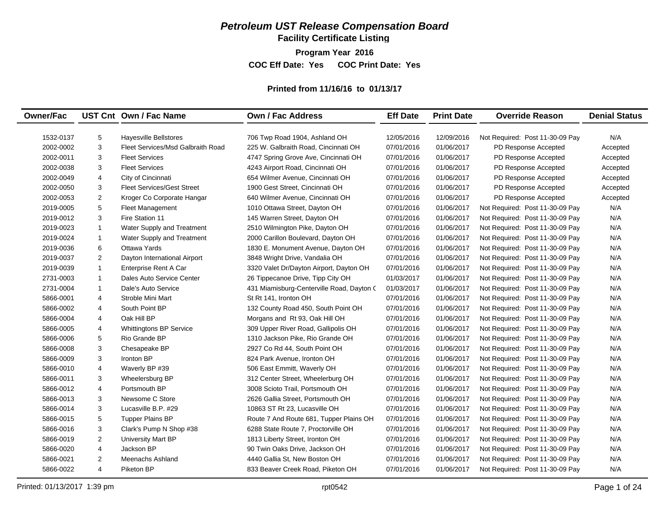**Facility Certificate Listing**

**Program Year 2016 COC Eff Date: Yes COC Print Date: Yes** 

## **Printed from 11/16/16 to 01/13/17**

| <b>Owner/Fac</b> |                | UST Cnt Own / Fac Name            | <b>Own / Fac Address</b>                  | <b>Eff Date</b> | <b>Print Date</b> | <b>Override Reason</b>          | <b>Denial Status</b> |
|------------------|----------------|-----------------------------------|-------------------------------------------|-----------------|-------------------|---------------------------------|----------------------|
|                  |                |                                   |                                           |                 |                   |                                 |                      |
| 1532-0137        | 5              | <b>Hayesville Bellstores</b>      | 706 Twp Road 1904, Ashland OH             | 12/05/2016      | 12/09/2016        | Not Required: Post 11-30-09 Pay | N/A                  |
| 2002-0002        | 3              | Fleet Services/Msd Galbraith Road | 225 W. Galbraith Road, Cincinnati OH      | 07/01/2016      | 01/06/2017        | PD Response Accepted            | Accepted             |
| 2002-0011        | 3              | <b>Fleet Services</b>             | 4747 Spring Grove Ave, Cincinnati OH      | 07/01/2016      | 01/06/2017        | PD Response Accepted            | Accepted             |
| 2002-0038        | 3              | <b>Fleet Services</b>             | 4243 Airport Road, Cincinnati OH          | 07/01/2016      | 01/06/2017        | PD Response Accepted            | Accepted             |
| 2002-0049        | 4              | City of Cincinnati                | 654 Wilmer Avenue, Cincinnati OH          | 07/01/2016      | 01/06/2017        | PD Response Accepted            | Accepted             |
| 2002-0050        | 3              | <b>Fleet Services/Gest Street</b> | 1900 Gest Street, Cincinnati OH           | 07/01/2016      | 01/06/2017        | PD Response Accepted            | Accepted             |
| 2002-0053        | $\overline{2}$ | Kroger Co Corporate Hangar        | 640 Wilmer Avenue, Cincinnati OH          | 07/01/2016      | 01/06/2017        | PD Response Accepted            | Accepted             |
| 2019-0005        | 5              | Fleet Management                  | 1010 Ottawa Street, Dayton OH             | 07/01/2016      | 01/06/2017        | Not Required: Post 11-30-09 Pay | N/A                  |
| 2019-0012        | 3              | Fire Station 11                   | 145 Warren Street, Dayton OH              | 07/01/2016      | 01/06/2017        | Not Required: Post 11-30-09 Pay | N/A                  |
| 2019-0023        | $\mathbf{1}$   | Water Supply and Treatment        | 2510 Wilmington Pike, Dayton OH           | 07/01/2016      | 01/06/2017        | Not Required: Post 11-30-09 Pay | N/A                  |
| 2019-0024        | $\mathbf{1}$   | Water Supply and Treatment        | 2000 Carillon Boulevard, Dayton OH        | 07/01/2016      | 01/06/2017        | Not Required: Post 11-30-09 Pay | N/A                  |
| 2019-0036        | 6              | Ottawa Yards                      | 1830 E. Monument Avenue, Dayton OH        | 07/01/2016      | 01/06/2017        | Not Required: Post 11-30-09 Pay | N/A                  |
| 2019-0037        | $\overline{2}$ | Dayton International Airport      | 3848 Wright Drive, Vandalia OH            | 07/01/2016      | 01/06/2017        | Not Required: Post 11-30-09 Pay | N/A                  |
| 2019-0039        | $\mathbf{1}$   | Enterprise Rent A Car             | 3320 Valet Dr/Dayton Airport, Dayton OH   | 07/01/2016      | 01/06/2017        | Not Required: Post 11-30-09 Pay | N/A                  |
| 2731-0003        | $\mathbf{1}$   | Dales Auto Service Center         | 26 Tippecanoe Drive, Tipp City OH         | 01/03/2017      | 01/06/2017        | Not Required: Post 11-30-09 Pay | N/A                  |
| 2731-0004        | $\mathbf{1}$   | Dale's Auto Service               | 431 Miamisburg-Centerville Road, Dayton C | 01/03/2017      | 01/06/2017        | Not Required: Post 11-30-09 Pay | N/A                  |
| 5866-0001        | 4              | Stroble Mini Mart                 | St Rt 141, Ironton OH                     | 07/01/2016      | 01/06/2017        | Not Required: Post 11-30-09 Pay | N/A                  |
| 5866-0002        | 4              | South Point BP                    | 132 County Road 450, South Point OH       | 07/01/2016      | 01/06/2017        | Not Required: Post 11-30-09 Pay | N/A                  |
| 5866-0004        | 4              | Oak Hill BP                       | Morgans and Rt 93, Oak Hill OH            | 07/01/2016      | 01/06/2017        | Not Required: Post 11-30-09 Pay | N/A                  |
| 5866-0005        | $\overline{4}$ | <b>Whittingtons BP Service</b>    | 309 Upper River Road, Gallipolis OH       | 07/01/2016      | 01/06/2017        | Not Required: Post 11-30-09 Pay | N/A                  |
| 5866-0006        | 5              | Rio Grande BP                     | 1310 Jackson Pike, Rio Grande OH          | 07/01/2016      | 01/06/2017        | Not Required: Post 11-30-09 Pay | N/A                  |
| 5866-0008        | 3              | Chesapeake BP                     | 2927 Co Rd 44, South Point OH             | 07/01/2016      | 01/06/2017        | Not Required: Post 11-30-09 Pay | N/A                  |
| 5866-0009        | 3              | Ironton BP                        | 824 Park Avenue, Ironton OH               | 07/01/2016      | 01/06/2017        | Not Required: Post 11-30-09 Pay | N/A                  |
| 5866-0010        | 4              | Waverly BP #39                    | 506 East Emmitt, Waverly OH               | 07/01/2016      | 01/06/2017        | Not Required: Post 11-30-09 Pay | N/A                  |
| 5866-0011        | 3              | Wheelersburg BP                   | 312 Center Street, Wheelerburg OH         | 07/01/2016      | 01/06/2017        | Not Required: Post 11-30-09 Pay | N/A                  |
| 5866-0012        | 4              | Portsmouth BP                     | 3008 Scioto Trail, Portsmouth OH          | 07/01/2016      | 01/06/2017        | Not Required: Post 11-30-09 Pay | N/A                  |
| 5866-0013        | 3              | Newsome C Store                   | 2626 Gallia Street, Portsmouth OH         | 07/01/2016      | 01/06/2017        | Not Required: Post 11-30-09 Pay | N/A                  |
| 5866-0014        | 3              | Lucasville B.P. #29               | 10863 ST Rt 23, Lucasville OH             | 07/01/2016      | 01/06/2017        | Not Required: Post 11-30-09 Pay | N/A                  |
| 5866-0015        | 5              | <b>Tupper Plains BP</b>           | Route 7 And Route 681, Tupper Plains OH   | 07/01/2016      | 01/06/2017        | Not Required: Post 11-30-09 Pay | N/A                  |
| 5866-0016        | 3              | Clark's Pump N Shop #38           | 6288 State Route 7, Proctorville OH       | 07/01/2016      | 01/06/2017        | Not Required: Post 11-30-09 Pay | N/A                  |
| 5866-0019        | $\overline{2}$ | University Mart BP                | 1813 Liberty Street, Ironton OH           | 07/01/2016      | 01/06/2017        | Not Required: Post 11-30-09 Pay | N/A                  |
| 5866-0020        | $\overline{4}$ | Jackson BP                        | 90 Twin Oaks Drive, Jackson OH            | 07/01/2016      | 01/06/2017        | Not Required: Post 11-30-09 Pay | N/A                  |
| 5866-0021        | $\overline{2}$ | <b>Meenachs Ashland</b>           | 4440 Gallia St, New Boston OH             | 07/01/2016      | 01/06/2017        | Not Required: Post 11-30-09 Pay | N/A                  |
| 5866-0022        | 4              | Piketon BP                        | 833 Beaver Creek Road, Piketon OH         | 07/01/2016      | 01/06/2017        | Not Required: Post 11-30-09 Pay | N/A                  |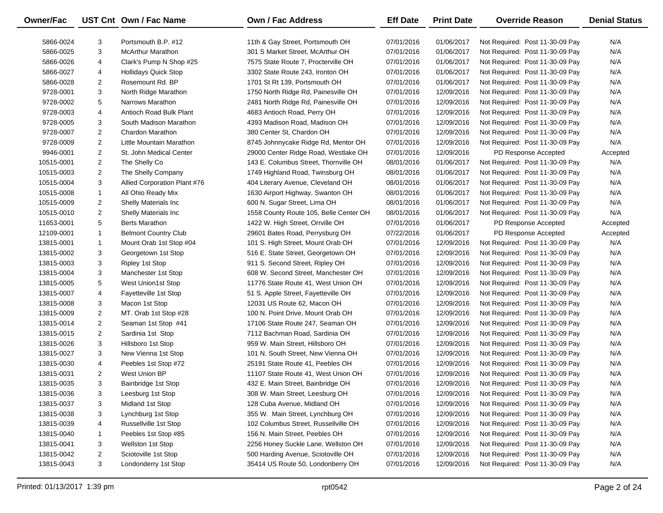| Owner/Fac  |                | UST Cnt Own / Fac Name                          | <b>Own / Fac Address</b>               | <b>Eff Date</b> | <b>Print Date</b> | <b>Override Reason</b>          | <b>Denial Status</b> |
|------------|----------------|-------------------------------------------------|----------------------------------------|-----------------|-------------------|---------------------------------|----------------------|
| 5866-0024  | 3              | Portsmouth B.P. #12                             | 11th & Gay Street, Portsmouth OH       | 07/01/2016      | 01/06/2017        | Not Required: Post 11-30-09 Pay | N/A                  |
| 5866-0025  | 3              | <b>McArthur Marathon</b>                        | 301 S Market Street, McArthur OH       | 07/01/2016      | 01/06/2017        | Not Required: Post 11-30-09 Pay | N/A                  |
| 5866-0026  | 4              | Clark's Pump N Shop #25                         | 7575 State Route 7, Procterville OH    | 07/01/2016      | 01/06/2017        | Not Required: Post 11-30-09 Pay | N/A                  |
|            | 4              |                                                 | 3302 State Route 243, Ironton OH       |                 | 01/06/2017        |                                 | N/A                  |
| 5866-0027  |                | <b>Hollidays Quick Stop</b><br>Rosemount Rd. BP | 1701 St Rt 139, Portsmouth OH          | 07/01/2016      | 01/06/2017        | Not Required: Post 11-30-09 Pay | N/A                  |
| 5866-0028  | $\overline{2}$ |                                                 |                                        | 07/01/2016      |                   | Not Required: Post 11-30-09 Pay |                      |
| 9728-0001  | 3              | North Ridge Marathon                            | 1750 North Ridge Rd, Painesville OH    | 07/01/2016      | 12/09/2016        | Not Required: Post 11-30-09 Pay | N/A                  |
| 9728-0002  | 5              | Narrows Marathon                                | 2481 North Ridge Rd, Painesville OH    | 07/01/2016      | 12/09/2016        | Not Required: Post 11-30-09 Pay | N/A                  |
| 9728-0003  | 4              | Antioch Road Bulk Plant                         | 4683 Antioch Road, Perry OH            | 07/01/2016      | 12/09/2016        | Not Required: Post 11-30-09 Pay | N/A                  |
| 9728-0005  | 3              | South Madison Marathon                          | 4393 Madison Road, Madison OH          | 07/01/2016      | 12/09/2016        | Not Required: Post 11-30-09 Pay | N/A                  |
| 9728-0007  | $\overline{2}$ | Chardon Marathon                                | 380 Center St, Chardon OH              | 07/01/2016      | 12/09/2016        | Not Required: Post 11-30-09 Pay | N/A                  |
| 9728-0009  | $\overline{2}$ | Little Mountain Marathon                        | 8745 Johnnycake Ridge Rd, Mentor OH    | 07/01/2016      | 12/09/2016        | Not Required: Post 11-30-09 Pay | N/A                  |
| 9946-0001  | $\overline{2}$ | St. John Medical Center                         | 29000 Center Ridge Road, Westlake OH   | 07/01/2016      | 12/09/2016        | PD Response Accepted            | Accepted             |
| 10515-0001 | $\overline{2}$ | The Shelly Co                                   | 143 E. Columbus Street, Thornville OH  | 08/01/2016      | 01/06/2017        | Not Required: Post 11-30-09 Pay | N/A                  |
| 10515-0003 | $\overline{2}$ | The Shelly Company                              | 1749 Highland Road, Twinsburg OH       | 08/01/2016      | 01/06/2017        | Not Required: Post 11-30-09 Pay | N/A                  |
| 10515-0004 | 3              | Allied Corporation Plant #76                    | 404 Literary Avenue, Cleveland OH      | 08/01/2016      | 01/06/2017        | Not Required: Post 11-30-09 Pay | N/A                  |
| 10515-0008 | $\mathbf{1}$   | All Ohio Ready Mix                              | 1630 Airport Highway, Swanton OH       | 08/01/2016      | 01/06/2017        | Not Required: Post 11-30-09 Pay | N/A                  |
| 10515-0009 | $\overline{2}$ | Shelly Materials Inc                            | 600 N. Sugar Street, Lima OH           | 08/01/2016      | 01/06/2017        | Not Required: Post 11-30-09 Pay | N/A                  |
| 10515-0010 | $\overline{2}$ | Shelly Materials Inc                            | 1558 County Route 105, Belle Center OH | 08/01/2016      | 01/06/2017        | Not Required: Post 11-30-09 Pay | N/A                  |
| 11653-0001 | 5              | <b>Berts Marathon</b>                           | 1422 W. High Street, Orrville OH       | 07/01/2016      | 01/06/2017        | PD Response Accepted            | Accepted             |
| 12109-0001 | $\mathbf{1}$   | <b>Belmont Country Club</b>                     | 29601 Bates Road, Perrysburg OH        | 07/22/2016      | 01/06/2017        | PD Response Accepted            | Accepted             |
| 13815-0001 | $\mathbf{1}$   | Mount Orab 1st Stop #04                         | 101 S. High Street, Mount Orab OH      | 07/01/2016      | 12/09/2016        | Not Required: Post 11-30-09 Pay | N/A                  |
| 13815-0002 | 3              | Georgetown 1st Stop                             | 516 E. State Street, Georgetown OH     | 07/01/2016      | 12/09/2016        | Not Required: Post 11-30-09 Pay | N/A                  |
| 13815-0003 | 3              | Ripley 1st Stop                                 | 911 S. Second Street, Ripley OH        | 07/01/2016      | 12/09/2016        | Not Required: Post 11-30-09 Pay | N/A                  |
| 13815-0004 | 3              | Manchester 1st Stop                             | 608 W. Second Street, Manchester OH    | 07/01/2016      | 12/09/2016        | Not Required: Post 11-30-09 Pay | N/A                  |
| 13815-0005 | 5              | West Union1st Stop                              | 11776 State Route 41, West Union OH    | 07/01/2016      | 12/09/2016        | Not Required: Post 11-30-09 Pay | N/A                  |
| 13815-0007 | 4              | Fayetteville 1st Stop                           | 51 S. Apple Street, Fayetteville OH    | 07/01/2016      | 12/09/2016        | Not Required: Post 11-30-09 Pay | N/A                  |
| 13815-0008 | 3              | Macon 1st Stop                                  | 12031 US Route 62, Macon OH            | 07/01/2016      | 12/09/2016        | Not Required: Post 11-30-09 Pay | N/A                  |
| 13815-0009 | $\overline{2}$ | MT. Orab 1st Stop #28                           | 100 N. Point Drive, Mount Orab OH      | 07/01/2016      | 12/09/2016        | Not Required: Post 11-30-09 Pay | N/A                  |
| 13815-0014 | $\overline{2}$ | Seaman 1st Stop #41                             | 17106 State Route 247, Seaman OH       | 07/01/2016      | 12/09/2016        | Not Required: Post 11-30-09 Pay | N/A                  |
| 13815-0015 | $\overline{2}$ | Sardinia 1st Stop                               | 7112 Bachman Road, Sardinia OH         | 07/01/2016      | 12/09/2016        | Not Required: Post 11-30-09 Pay | N/A                  |
| 13815-0026 | 3              | Hillsboro 1st Stop                              | 959 W. Main Street, Hillsboro OH       | 07/01/2016      | 12/09/2016        | Not Required: Post 11-30-09 Pay | N/A                  |
| 13815-0027 | 3              | New Vienna 1st Stop                             | 101 N. South Street, New Vienna OH     | 07/01/2016      | 12/09/2016        | Not Required: Post 11-30-09 Pay | N/A                  |
| 13815-0030 | 4              | Peebles 1st Stop #72                            | 25191 State Route 41, Peebles OH       | 07/01/2016      | 12/09/2016        | Not Required: Post 11-30-09 Pay | N/A                  |
| 13815-0031 | $\overline{2}$ | West Union BP                                   | 11107 State Route 41, West Union OH    | 07/01/2016      | 12/09/2016        | Not Required: Post 11-30-09 Pay | N/A                  |
| 13815-0035 | 3              | Bainbridge 1st Stop                             | 432 E. Main Street, Bainbridge OH      | 07/01/2016      | 12/09/2016        | Not Required: Post 11-30-09 Pay | N/A                  |
| 13815-0036 | 3              | Leesburg 1st Stop                               | 308 W. Main Street, Leesburg OH        | 07/01/2016      | 12/09/2016        | Not Required: Post 11-30-09 Pay | N/A                  |
| 13815-0037 | 3              | Midland 1st Stop                                | 128 Cuba Avenue, Midland OH            | 07/01/2016      | 12/09/2016        | Not Required: Post 11-30-09 Pay | N/A                  |
| 13815-0038 | 3              | Lynchburg 1st Stop                              | 355 W. Main Street, Lynchburg OH       | 07/01/2016      | 12/09/2016        | Not Required: Post 11-30-09 Pay | N/A                  |
| 13815-0039 | 4              | Russellville 1st Stop                           | 102 Columbus Street, Russellville OH   | 07/01/2016      | 12/09/2016        | Not Required: Post 11-30-09 Pay | N/A                  |
| 13815-0040 | $\mathbf{1}$   | Peebles 1st Stop #85                            | 156 N. Main Street, Peebles OH         | 07/01/2016      | 12/09/2016        | Not Required: Post 11-30-09 Pay | N/A                  |
| 13815-0041 | 3              | Wellston 1st Stop                               | 2256 Honey Suckle Lane, Wellston OH    | 07/01/2016      | 12/09/2016        | Not Required: Post 11-30-09 Pay | N/A                  |
| 13815-0042 | $\overline{2}$ | Sciotoville 1st Stop                            | 500 Harding Avenue, Sciotoville OH     | 07/01/2016      | 12/09/2016        | Not Required: Post 11-30-09 Pay | N/A                  |
| 13815-0043 | 3              | Londonderry 1st Stop                            | 35414 US Route 50, Londonberry OH      | 07/01/2016      | 12/09/2016        | Not Required: Post 11-30-09 Pay | N/A                  |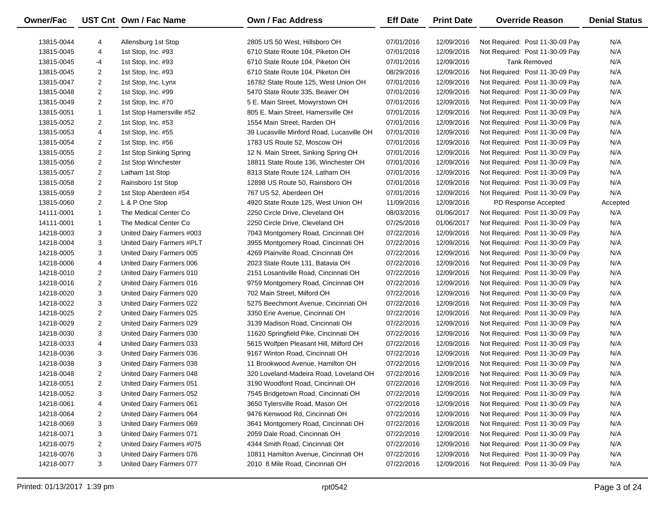| Owner/Fac  |                | UST Cnt Own / Fac Name    | <b>Own / Fac Address</b>                  | <b>Eff Date</b> | <b>Print Date</b> | <b>Override Reason</b>          | <b>Denial Status</b> |
|------------|----------------|---------------------------|-------------------------------------------|-----------------|-------------------|---------------------------------|----------------------|
| 13815-0044 | 4              | Allensburg 1st Stop       | 2805 US 50 West, Hillsboro OH             | 07/01/2016      | 12/09/2016        | Not Required: Post 11-30-09 Pay | N/A                  |
| 13815-0045 | 4              | 1st Stop, Inc. #93        | 6710 State Route 104, Piketon OH          | 07/01/2016      | 12/09/2016        | Not Required: Post 11-30-09 Pay | N/A                  |
| 13815-0045 | -4             | 1st Stop, Inc. #93        | 6710 State Route 104, Piketon OH          | 07/01/2016      | 12/09/2016        | <b>Tank Removed</b>             | N/A                  |
| 13815-0045 | $\overline{2}$ | 1st Stop, Inc. #93        | 6710 State Route 104, Piketon OH          | 08/29/2016      | 12/09/2016        | Not Required: Post 11-30-09 Pay | N/A                  |
| 13815-0047 | $\overline{2}$ | 1st Stop, Inc. Lynx       | 16782 State Route 125, West Union OH      | 07/01/2016      | 12/09/2016        | Not Required: Post 11-30-09 Pay | N/A                  |
| 13815-0048 | $\overline{2}$ | 1st Stop, Inc. #99        | 5470 State Route 335, Beaver OH           | 07/01/2016      | 12/09/2016        | Not Required: Post 11-30-09 Pay | N/A                  |
| 13815-0049 | $\overline{2}$ | 1st Stop, Inc. #70        | 5 E. Main Street, Mowyrstown OH           | 07/01/2016      | 12/09/2016        | Not Required: Post 11-30-09 Pay | N/A                  |
| 13815-0051 | $\mathbf{1}$   | 1st Stop Hamersville #52  | 805 E. Main Street, Hamersville OH        | 07/01/2016      | 12/09/2016        | Not Required: Post 11-30-09 Pay | N/A                  |
| 13815-0052 | $\overline{2}$ | 1st Stop, Inc. #53        | 1554 Main Street, Rarden OH               | 07/01/2016      | 12/09/2016        | Not Required: Post 11-30-09 Pay | N/A                  |
|            |                |                           |                                           |                 |                   |                                 | N/A                  |
| 13815-0053 | 4              | 1st Stop, Inc. #55        | 39 Lucasville Minford Road, Lucasville OH | 07/01/2016      | 12/09/2016        | Not Required: Post 11-30-09 Pay |                      |
| 13815-0054 | $\overline{2}$ | 1st Stop, Inc. #56        | 1783 US Route 52, Moscow OH               | 07/01/2016      | 12/09/2016        | Not Required: Post 11-30-09 Pay | N/A                  |
| 13815-0055 | $\overline{2}$ | 1st Stop Sinking Spring   | 12 N. Main Street, Sinking Spring OH      | 07/01/2016      | 12/09/2016        | Not Required: Post 11-30-09 Pay | N/A                  |
| 13815-0056 | $\overline{2}$ | 1st Stop Winchester       | 18811 State Route 136, Winchester OH      | 07/01/2016      | 12/09/2016        | Not Required: Post 11-30-09 Pay | N/A                  |
| 13815-0057 | $\overline{a}$ | Latham 1st Stop           | 8313 State Route 124, Latham OH           | 07/01/2016      | 12/09/2016        | Not Required: Post 11-30-09 Pay | N/A                  |
| 13815-0058 | $\overline{2}$ | Rainsboro 1st Stop        | 12898 US Route 50, Rainsboro OH           | 07/01/2016      | 12/09/2016        | Not Required: Post 11-30-09 Pay | N/A                  |
| 13815-0059 | $\overline{2}$ | 1st Stop Aberdeen #54     | 767 US 52, Aberdeen OH                    | 07/01/2016      | 12/09/2016        | Not Required: Post 11-30-09 Pay | N/A                  |
| 13815-0060 | $\overline{2}$ | L & P One Stop            | 4920 State Route 125, West Union OH       | 11/09/2016      | 12/09/2016        | PD Response Accepted            | Accepted             |
| 14111-0001 | $\mathbf{1}$   | The Medical Center Co     | 2250 Circle Drive, Cleveland OH           | 08/03/2016      | 01/06/2017        | Not Required: Post 11-30-09 Pay | N/A                  |
| 14111-0001 | $\mathbf{1}$   | The Medical Center Co     | 2250 Circle Drive, Cleveland OH           | 07/25/2016      | 01/06/2017        | Not Required: Post 11-30-09 Pay | N/A                  |
| 14218-0003 | 3              | United Dairy Farmers #003 | 7043 Montgomery Road, Cincinnati OH       | 07/22/2016      | 12/09/2016        | Not Required: Post 11-30-09 Pay | N/A                  |
| 14218-0004 | 3              | United Dairy Farmers #PLT | 3955 Montgomery Road, Cincinnati OH       | 07/22/2016      | 12/09/2016        | Not Required: Post 11-30-09 Pay | N/A                  |
| 14218-0005 | 3              | United Dairy Farmers 005  | 4269 Plainville Road, Cincinnati OH       | 07/22/2016      | 12/09/2016        | Not Required: Post 11-30-09 Pay | N/A                  |
| 14218-0006 | 4              | United Dairy Farmers 006  | 2023 State Route 131, Batavia OH          | 07/22/2016      | 12/09/2016        | Not Required: Post 11-30-09 Pay | N/A                  |
| 14218-0010 | $\overline{2}$ | United Dairy Farmers 010  | 2151 Losantiville Road, Cincinnati OH     | 07/22/2016      | 12/09/2016        | Not Required: Post 11-30-09 Pay | N/A                  |
| 14218-0016 | $\overline{2}$ | United Dairy Farmers 016  | 9759 Montgomery Road, Cincinnati OH       | 07/22/2016      | 12/09/2016        | Not Required: Post 11-30-09 Pay | N/A                  |
| 14218-0020 | 3              | United Dairy Farmers 020  | 702 Main Street, Milford OH               | 07/22/2016      | 12/09/2016        | Not Required: Post 11-30-09 Pay | N/A                  |
| 14218-0022 | 3              | United Dairy Farmers 022  | 5275 Beechmont Avenue, Cincinnati OH      | 07/22/2016      | 12/09/2016        | Not Required: Post 11-30-09 Pay | N/A                  |
| 14218-0025 | $\overline{2}$ | United Dairy Farmers 025  | 3350 Erie Avenue, Cincinnati OH           | 07/22/2016      | 12/09/2016        | Not Required: Post 11-30-09 Pay | N/A                  |
| 14218-0029 | $\overline{2}$ | United Dairy Farmers 029  | 3139 Madison Road, Cincinnati OH          | 07/22/2016      | 12/09/2016        | Not Required: Post 11-30-09 Pay | N/A                  |
| 14218-0030 | 3              | United Dairy Farmers 030  | 11620 Springfield Pike, Cincinnati OH     | 07/22/2016      | 12/09/2016        | Not Required: Post 11-30-09 Pay | N/A                  |
| 14218-0033 | 4              | United Dairy Farmers 033  | 5615 Wolfpen Pleasant Hill, Milford OH    | 07/22/2016      | 12/09/2016        | Not Required: Post 11-30-09 Pay | N/A                  |
| 14218-0036 | 3              | United Dairy Farmers 036  | 9167 Winton Road, Cincinnati OH           | 07/22/2016      | 12/09/2016        | Not Required: Post 11-30-09 Pay | N/A                  |
| 14218-0038 | 3              | United Dairy Farmers 038  | 11 Brookwood Avenue, Hamilton OH          | 07/22/2016      | 12/09/2016        | Not Required: Post 11-30-09 Pay | N/A                  |
| 14218-0048 | $\overline{2}$ | United Dairy Farmers 048  | 320 Loveland-Madeira Road, Loveland OH    | 07/22/2016      | 12/09/2016        | Not Required: Post 11-30-09 Pay | N/A                  |
| 14218-0051 | $\overline{2}$ | United Dairy Farmers 051  | 3190 Woodford Road, Cincinnati OH         | 07/22/2016      | 12/09/2016        | Not Required: Post 11-30-09 Pay | N/A                  |
| 14218-0052 | 3              | United Dairy Farmers 052  | 7545 Bridgetown Road, Cincinnati OH       | 07/22/2016      | 12/09/2016        | Not Required: Post 11-30-09 Pay | N/A                  |
| 14218-0061 | 4              | United Dairy Farmers 061  | 3650 Tylersville Road, Mason OH           | 07/22/2016      | 12/09/2016        | Not Required: Post 11-30-09 Pay | N/A                  |
| 14218-0064 | 2              | United Dairy Farmers 064  | 9476 Kenwood Rd, Cincinnati OH            | 07/22/2016      | 12/09/2016        | Not Required: Post 11-30-09 Pay | N/A                  |
| 14218-0069 | 3              | United Dairy Farmers 069  | 3641 Montgomery Road, Cincinnati OH       | 07/22/2016      | 12/09/2016        | Not Required: Post 11-30-09 Pay | N/A                  |
| 14218-0071 | 3              | United Dairy Farmers 071  | 2059 Dale Road, Cincinnati OH             | 07/22/2016      | 12/09/2016        | Not Required: Post 11-30-09 Pay | N/A                  |
| 14218-0075 | 2              | United Dairy Farmers #075 | 4344 Smith Road, Cincinnati OH            | 07/22/2016      | 12/09/2016        | Not Required: Post 11-30-09 Pay | N/A                  |
| 14218-0076 | 3              | United Dairy Farmers 076  | 10811 Hamilton Avenue, Cincinnati OH      | 07/22/2016      | 12/09/2016        | Not Required: Post 11-30-09 Pay | N/A                  |
| 14218-0077 | 3              | United Dairy Farmers 077  | 2010 8 Mile Road, Cincinnati OH           | 07/22/2016      | 12/09/2016        | Not Required: Post 11-30-09 Pay | N/A                  |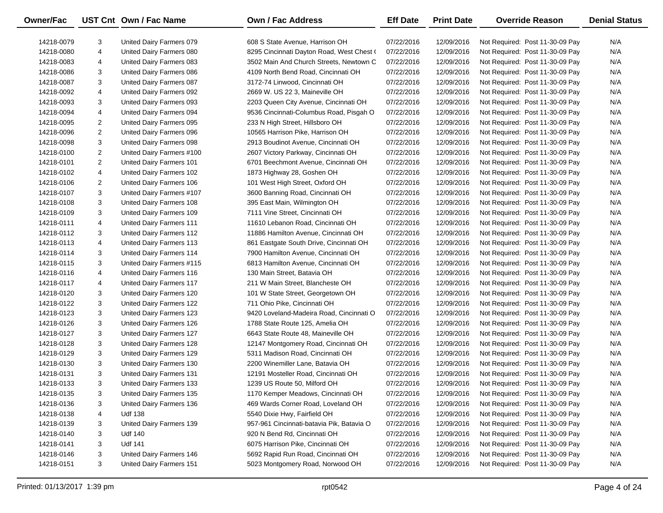| <b>Owner/Fac</b> |                | UST Cnt Own / Fac Name    | Own / Fac Address                         | <b>Eff Date</b> | <b>Print Date</b> | <b>Override Reason</b>          | <b>Denial Status</b> |
|------------------|----------------|---------------------------|-------------------------------------------|-----------------|-------------------|---------------------------------|----------------------|
| 14218-0079       | 3              | United Dairy Farmers 079  | 608 S State Avenue, Harrison OH           | 07/22/2016      | 12/09/2016        | Not Required: Post 11-30-09 Pay | N/A                  |
| 14218-0080       | 4              | United Dairy Farmers 080  | 8295 Cincinnati Dayton Road, West Chest ( | 07/22/2016      | 12/09/2016        | Not Required: Post 11-30-09 Pay | N/A                  |
| 14218-0083       | 4              | United Dairy Farmers 083  | 3502 Main And Church Streets, Newtown C   | 07/22/2016      | 12/09/2016        | Not Required: Post 11-30-09 Pay | N/A                  |
| 14218-0086       | 3              | United Dairy Farmers 086  | 4109 North Bend Road, Cincinnati OH       | 07/22/2016      | 12/09/2016        | Not Required: Post 11-30-09 Pay | N/A                  |
| 14218-0087       | 3              | United Dairy Farmers 087  | 3172-74 Linwood, Cincinnati OH            | 07/22/2016      | 12/09/2016        | Not Required: Post 11-30-09 Pay | N/A                  |
| 14218-0092       | 4              | United Dairy Farmers 092  | 2669 W. US 22 3, Maineville OH            | 07/22/2016      | 12/09/2016        | Not Required: Post 11-30-09 Pay | N/A                  |
| 14218-0093       | 3              | United Dairy Farmers 093  | 2203 Queen City Avenue, Cincinnati OH     | 07/22/2016      | 12/09/2016        | Not Required: Post 11-30-09 Pay | N/A                  |
| 14218-0094       | 4              | United Dairy Farmers 094  | 9536 Cincinnati-Columbus Road, Pisgah O   | 07/22/2016      | 12/09/2016        | Not Required: Post 11-30-09 Pay | N/A                  |
| 14218-0095       | 2              | United Dairy Farmers 095  | 233 N High Street, Hillsboro OH           | 07/22/2016      | 12/09/2016        | Not Required: Post 11-30-09 Pay | N/A                  |
| 14218-0096       | $\overline{a}$ | United Dairy Farmers 096  | 10565 Harrison Pike, Harrison OH          | 07/22/2016      | 12/09/2016        | Not Required: Post 11-30-09 Pay | N/A                  |
| 14218-0098       | 3              | United Dairy Farmers 098  | 2913 Boudinot Avenue, Cincinnati OH       | 07/22/2016      | 12/09/2016        | Not Required: Post 11-30-09 Pay | N/A                  |
| 14218-0100       | $\overline{a}$ | United Dairy Farmers #100 | 2607 Victory Parkway, Cincinnati OH       | 07/22/2016      | 12/09/2016        | Not Required: Post 11-30-09 Pay | N/A                  |
| 14218-0101       | $\overline{a}$ | United Dairy Farmers 101  | 6701 Beechmont Avenue, Cincinnati OH      | 07/22/2016      | 12/09/2016        | Not Required: Post 11-30-09 Pay | N/A                  |
| 14218-0102       | 4              | United Dairy Farmers 102  | 1873 Highway 28, Goshen OH                | 07/22/2016      | 12/09/2016        | Not Required: Post 11-30-09 Pay | N/A                  |
| 14218-0106       | 2              | United Dairy Farmers 106  | 101 West High Street, Oxford OH           | 07/22/2016      | 12/09/2016        | Not Required: Post 11-30-09 Pay | N/A                  |
| 14218-0107       | 3              | United Dairy Farmers #107 | 3600 Banning Road, Cincinnati OH          | 07/22/2016      | 12/09/2016        | Not Required: Post 11-30-09 Pay | N/A                  |
| 14218-0108       | 3              | United Dairy Farmers 108  | 395 East Main, Wilmington OH              | 07/22/2016      | 12/09/2016        | Not Required: Post 11-30-09 Pay | N/A                  |
| 14218-0109       | 3              | United Dairy Farmers 109  | 7111 Vine Street, Cincinnati OH           | 07/22/2016      | 12/09/2016        | Not Required: Post 11-30-09 Pay | N/A                  |
| 14218-0111       | 4              | United Dairy Farmers 111  | 11610 Lebanon Road, Cincinnati OH         | 07/22/2016      | 12/09/2016        | Not Required: Post 11-30-09 Pay | N/A                  |
| 14218-0112       | 3              | United Dairy Farmers 112  | 11886 Hamilton Avenue, Cincinnati OH      | 07/22/2016      | 12/09/2016        | Not Required: Post 11-30-09 Pay | N/A                  |
| 14218-0113       | 4              | United Dairy Farmers 113  | 861 Eastgate South Drive, Cincinnati OH   | 07/22/2016      | 12/09/2016        | Not Required: Post 11-30-09 Pay | N/A                  |
| 14218-0114       | 3              | United Dairy Farmers 114  | 7900 Hamilton Avenue, Cincinnati OH       | 07/22/2016      | 12/09/2016        | Not Required: Post 11-30-09 Pay | N/A                  |
| 14218-0115       | 3              | United Dairy Farmers #115 | 6813 Hamilton Avenue, Cincinnati OH       | 07/22/2016      | 12/09/2016        | Not Required: Post 11-30-09 Pay | N/A                  |
| 14218-0116       | 4              | United Dairy Farmers 116  | 130 Main Street, Batavia OH               | 07/22/2016      | 12/09/2016        | Not Required: Post 11-30-09 Pay | N/A                  |
| 14218-0117       | 4              | United Dairy Farmers 117  | 211 W Main Street, Blancheste OH          | 07/22/2016      | 12/09/2016        | Not Required: Post 11-30-09 Pay | N/A                  |
| 14218-0120       | 3              | United Dairy Farmers 120  | 101 W State Street, Georgetown OH         | 07/22/2016      | 12/09/2016        | Not Required: Post 11-30-09 Pay | N/A                  |
| 14218-0122       | 3              | United Dairy Farmers 122  | 711 Ohio Pike, Cincinnati OH              | 07/22/2016      | 12/09/2016        | Not Required: Post 11-30-09 Pay | N/A                  |
| 14218-0123       | 3              | United Dairy Farmers 123  | 9420 Loveland-Madeira Road, Cincinnati O  | 07/22/2016      | 12/09/2016        | Not Required: Post 11-30-09 Pay | N/A                  |
| 14218-0126       | 3              | United Dairy Farmers 126  | 1788 State Route 125, Amelia OH           | 07/22/2016      | 12/09/2016        | Not Required: Post 11-30-09 Pay | N/A                  |
| 14218-0127       | 3              | United Dairy Farmers 127  | 6643 State Route 48, Maineville OH        | 07/22/2016      | 12/09/2016        | Not Required: Post 11-30-09 Pay | N/A                  |
| 14218-0128       | 3              | United Dairy Farmers 128  | 12147 Montgomery Road, Cincinnati OH      | 07/22/2016      | 12/09/2016        | Not Required: Post 11-30-09 Pay | N/A                  |
| 14218-0129       | 3              | United Dairy Farmers 129  | 5311 Madison Road, Cincinnati OH          | 07/22/2016      | 12/09/2016        | Not Required: Post 11-30-09 Pay | N/A                  |
| 14218-0130       | 3              | United Dairy Farmers 130  | 2200 Winemiller Lane, Batavia OH          | 07/22/2016      | 12/09/2016        | Not Required: Post 11-30-09 Pay | N/A                  |
| 14218-0131       | 3              | United Dairy Farmers 131  | 12191 Mosteller Road, Cincinnati OH       | 07/22/2016      | 12/09/2016        | Not Required: Post 11-30-09 Pay | N/A                  |
| 14218-0133       | 3              | United Dairy Farmers 133  | 1239 US Route 50, Milford OH              | 07/22/2016      | 12/09/2016        | Not Required: Post 11-30-09 Pay | N/A                  |
| 14218-0135       | 3              | United Dairy Farmers 135  | 1170 Kemper Meadows, Cincinnati OH        | 07/22/2016      | 12/09/2016        | Not Required: Post 11-30-09 Pay | N/A                  |
| 14218-0136       | 3              | United Dairy Farmers 136  | 469 Wards Corner Road, Loveland OH        | 07/22/2016      | 12/09/2016        | Not Required: Post 11-30-09 Pay | N/A                  |
| 14218-0138       | 4              | <b>Udf 138</b>            | 5540 Dixie Hwy, Fairfield OH              | 07/22/2016      | 12/09/2016        | Not Required: Post 11-30-09 Pay | N/A                  |
| 14218-0139       | 3              | United Dairy Farmers 139  | 957-961 Cincinnati-batavia Pik, Batavia O | 07/22/2016      | 12/09/2016        | Not Required: Post 11-30-09 Pay | N/A                  |
| 14218-0140       | 3              | <b>Udf 140</b>            | 920 N Bend Rd, Cincinnati OH              | 07/22/2016      | 12/09/2016        | Not Required: Post 11-30-09 Pay | N/A                  |
| 14218-0141       | 3              | <b>Udf 141</b>            | 6075 Harrison Pike, Cincinnati OH         | 07/22/2016      | 12/09/2016        | Not Required: Post 11-30-09 Pay | N/A                  |
| 14218-0146       | 3              | United Dairy Farmers 146  | 5692 Rapid Run Road, Cincinnati OH        | 07/22/2016      | 12/09/2016        | Not Required: Post 11-30-09 Pay | N/A                  |
| 14218-0151       | 3              | United Dairy Farmers 151  | 5023 Montgomery Road, Norwood OH          | 07/22/2016      | 12/09/2016        | Not Required: Post 11-30-09 Pay | N/A                  |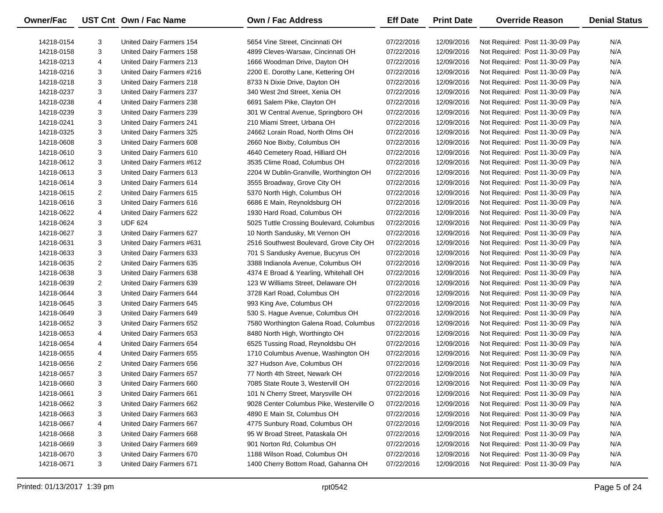| Owner/Fac  |                | UST Cnt Own / Fac Name    | <b>Own / Fac Address</b>                 | <b>Eff Date</b> | <b>Print Date</b> | <b>Override Reason</b>          | <b>Denial Status</b> |
|------------|----------------|---------------------------|------------------------------------------|-----------------|-------------------|---------------------------------|----------------------|
| 14218-0154 | 3              | United Dairy Farmers 154  | 5654 Vine Street, Cincinnati OH          | 07/22/2016      | 12/09/2016        | Not Required: Post 11-30-09 Pay | N/A                  |
| 14218-0158 | 3              | United Dairy Farmers 158  | 4899 Cleves-Warsaw, Cincinnati OH        | 07/22/2016      | 12/09/2016        | Not Required: Post 11-30-09 Pay | N/A                  |
| 14218-0213 | 4              | United Dairy Farmers 213  | 1666 Woodman Drive, Dayton OH            | 07/22/2016      | 12/09/2016        | Not Required: Post 11-30-09 Pay | N/A                  |
| 14218-0216 | 3              | United Dairy Farmers #216 | 2200 E. Dorothy Lane, Kettering OH       | 07/22/2016      | 12/09/2016        | Not Required: Post 11-30-09 Pay | N/A                  |
| 14218-0218 | 3              | United Dairy Farmers 218  | 8733 N Dixie Drive, Dayton OH            | 07/22/2016      | 12/09/2016        | Not Required: Post 11-30-09 Pay | N/A                  |
| 14218-0237 | 3              | United Dairy Farmers 237  | 340 West 2nd Street, Xenia OH            | 07/22/2016      | 12/09/2016        | Not Required: Post 11-30-09 Pay | N/A                  |
| 14218-0238 | 4              | United Dairy Farmers 238  | 6691 Salem Pike, Clayton OH              | 07/22/2016      | 12/09/2016        | Not Required: Post 11-30-09 Pay | N/A                  |
| 14218-0239 | 3              | United Dairy Farmers 239  | 301 W Central Avenue, Springboro OH      | 07/22/2016      | 12/09/2016        | Not Required: Post 11-30-09 Pay | N/A                  |
| 14218-0241 | 3              | United Dairy Farmers 241  | 210 Miami Street, Urbana OH              | 07/22/2016      | 12/09/2016        | Not Required: Post 11-30-09 Pay | N/A                  |
| 14218-0325 | 3              | United Dairy Farmers 325  | 24662 Lorain Road, North Olms OH         | 07/22/2016      | 12/09/2016        | Not Required: Post 11-30-09 Pay | N/A                  |
| 14218-0608 | 3              | United Dairy Farmers 608  | 2660 Noe Bixby, Columbus OH              | 07/22/2016      | 12/09/2016        | Not Required: Post 11-30-09 Pay | N/A                  |
| 14218-0610 | 3              | United Dairy Farmers 610  | 4640 Cemetery Road, Hilliard OH          | 07/22/2016      | 12/09/2016        | Not Required: Post 11-30-09 Pay | N/A                  |
| 14218-0612 | 3              | United Dairy Farmers #612 | 3535 Clime Road, Columbus OH             | 07/22/2016      | 12/09/2016        | Not Required: Post 11-30-09 Pay | N/A                  |
| 14218-0613 | 3              | United Dairy Farmers 613  | 2204 W Dublin-Granville, Worthington OH  | 07/22/2016      | 12/09/2016        | Not Required: Post 11-30-09 Pay | N/A                  |
| 14218-0614 | 3              | United Dairy Farmers 614  | 3555 Broadway, Grove City OH             | 07/22/2016      | 12/09/2016        | Not Required: Post 11-30-09 Pay | N/A                  |
| 14218-0615 | 2              | United Dairy Farmers 615  | 5370 North High, Columbus OH             | 07/22/2016      | 12/09/2016        | Not Required: Post 11-30-09 Pay | N/A                  |
| 14218-0616 | 3              | United Dairy Farmers 616  | 6686 E Main, Reynoldsburg OH             | 07/22/2016      | 12/09/2016        | Not Required: Post 11-30-09 Pay | N/A                  |
| 14218-0622 | 4              | United Dairy Farmers 622  | 1930 Hard Road, Columbus OH              | 07/22/2016      | 12/09/2016        | Not Required: Post 11-30-09 Pay | N/A                  |
| 14218-0624 | 3              | <b>UDF 624</b>            | 5025 Tuttle Crossing Boulevard, Columbus | 07/22/2016      | 12/09/2016        | Not Required: Post 11-30-09 Pay | N/A                  |
| 14218-0627 | 3              | United Dairy Farmers 627  | 10 North Sandusky, Mt Vernon OH          | 07/22/2016      | 12/09/2016        | Not Required: Post 11-30-09 Pay | N/A                  |
| 14218-0631 | 3              | United Dairy Farmers #631 | 2516 Southwest Boulevard, Grove City OH  | 07/22/2016      | 12/09/2016        | Not Required: Post 11-30-09 Pay | N/A                  |
| 14218-0633 | 3              | United Dairy Farmers 633  | 701 S Sandusky Avenue, Bucyrus OH        | 07/22/2016      | 12/09/2016        | Not Required: Post 11-30-09 Pay | N/A                  |
| 14218-0635 | $\overline{2}$ | United Dairy Farmers 635  | 3388 Indianola Avenue, Columbus OH       | 07/22/2016      | 12/09/2016        | Not Required: Post 11-30-09 Pay | N/A                  |
| 14218-0638 | 3              | United Dairy Farmers 638  | 4374 E Broad & Yearling, Whitehall OH    | 07/22/2016      | 12/09/2016        | Not Required: Post 11-30-09 Pay | N/A                  |
| 14218-0639 | $\overline{c}$ | United Dairy Farmers 639  | 123 W Williams Street, Delaware OH       | 07/22/2016      | 12/09/2016        | Not Required: Post 11-30-09 Pay | N/A                  |
| 14218-0644 | 3              | United Dairy Farmers 644  | 3728 Karl Road, Columbus OH              | 07/22/2016      | 12/09/2016        | Not Required: Post 11-30-09 Pay | N/A                  |
| 14218-0645 | 3              | United Dairy Farmers 645  | 993 King Ave, Columbus OH                | 07/22/2016      | 12/09/2016        | Not Required: Post 11-30-09 Pay | N/A                  |
| 14218-0649 | 3              | United Dairy Farmers 649  | 530 S. Hague Avenue, Columbus OH         | 07/22/2016      | 12/09/2016        | Not Required: Post 11-30-09 Pay | N/A                  |
| 14218-0652 | 3              | United Dairy Farmers 652  | 7580 Worthington Galena Road, Columbus   | 07/22/2016      | 12/09/2016        | Not Required: Post 11-30-09 Pay | N/A                  |
| 14218-0653 | 4              | United Dairy Farmers 653  | 8480 North High, Worthingto OH           | 07/22/2016      | 12/09/2016        | Not Required: Post 11-30-09 Pay | N/A                  |
| 14218-0654 | 4              | United Dairy Farmers 654  | 6525 Tussing Road, Reynoldsbu OH         | 07/22/2016      | 12/09/2016        | Not Required: Post 11-30-09 Pay | N/A                  |
| 14218-0655 | 4              | United Dairy Farmers 655  | 1710 Columbus Avenue, Washington OH      | 07/22/2016      | 12/09/2016        | Not Required: Post 11-30-09 Pay | N/A                  |
| 14218-0656 | 2              | United Dairy Farmers 656  | 327 Hudson Ave, Columbus OH              | 07/22/2016      | 12/09/2016        | Not Required: Post 11-30-09 Pay | N/A                  |
| 14218-0657 | 3              | United Dairy Farmers 657  | 77 North 4th Street, Newark OH           | 07/22/2016      | 12/09/2016        | Not Required: Post 11-30-09 Pay | N/A                  |
| 14218-0660 | 3              | United Dairy Farmers 660  | 7085 State Route 3, Westervill OH        | 07/22/2016      | 12/09/2016        | Not Required: Post 11-30-09 Pay | N/A                  |
| 14218-0661 | 3              | United Dairy Farmers 661  | 101 N Cherry Street, Marysville OH       | 07/22/2016      | 12/09/2016        | Not Required: Post 11-30-09 Pay | N/A                  |
| 14218-0662 | 3              | United Dairy Farmers 662  | 9028 Center Columbus Pike, Westerville O | 07/22/2016      | 12/09/2016        | Not Required: Post 11-30-09 Pay | N/A                  |
| 14218-0663 | 3              | United Dairy Farmers 663  | 4890 E Main St, Columbus OH              | 07/22/2016      | 12/09/2016        | Not Required: Post 11-30-09 Pay | N/A                  |
| 14218-0667 | 4              | United Dairy Farmers 667  | 4775 Sunbury Road, Columbus OH           | 07/22/2016      | 12/09/2016        | Not Required: Post 11-30-09 Pay | N/A                  |
| 14218-0668 | 3              | United Dairy Farmers 668  | 95 W Broad Street, Pataskala OH          | 07/22/2016      | 12/09/2016        | Not Required: Post 11-30-09 Pay | N/A                  |
| 14218-0669 | 3              | United Dairy Farmers 669  | 901 Norton Rd, Columbus OH               | 07/22/2016      | 12/09/2016        | Not Required: Post 11-30-09 Pay | N/A                  |
| 14218-0670 | 3              | United Dairy Farmers 670  | 1188 Wilson Road, Columbus OH            | 07/22/2016      | 12/09/2016        | Not Required: Post 11-30-09 Pay | N/A                  |
| 14218-0671 | 3              | United Dairy Farmers 671  | 1400 Cherry Bottom Road, Gahanna OH      | 07/22/2016      | 12/09/2016        | Not Required: Post 11-30-09 Pay | N/A                  |
|            |                |                           |                                          |                 |                   |                                 |                      |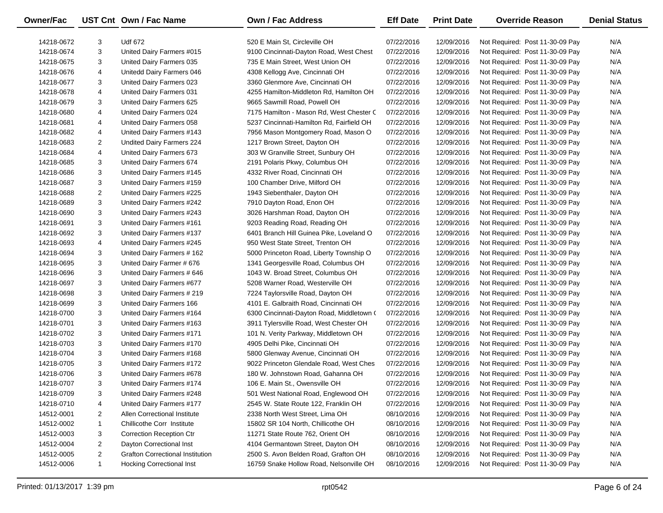| <b>Owner/Fac</b> |              | UST Cnt Own / Fac Name                  | <b>Own / Fac Address</b>                  | <b>Eff Date</b> | <b>Print Date</b> | <b>Override Reason</b>          | <b>Denial Status</b> |
|------------------|--------------|-----------------------------------------|-------------------------------------------|-----------------|-------------------|---------------------------------|----------------------|
| 14218-0672       | 3            | <b>Udf 672</b>                          | 520 E Main St, Circleville OH             | 07/22/2016      | 12/09/2016        | Not Required: Post 11-30-09 Pay | N/A                  |
| 14218-0674       | 3            | United Dairy Farmers #015               | 9100 Cincinnati-Dayton Road, West Chest   | 07/22/2016      | 12/09/2016        | Not Required: Post 11-30-09 Pay | N/A                  |
| 14218-0675       | 3            | United Dairy Farmers 035                | 735 E Main Street, West Union OH          | 07/22/2016      | 12/09/2016        | Not Required: Post 11-30-09 Pay | N/A                  |
| 14218-0676       | 4            | Unitedd Dairy Farmers 046               | 4308 Kellogg Ave, Cincinnati OH           | 07/22/2016      | 12/09/2016        | Not Required: Post 11-30-09 Pay | N/A                  |
| 14218-0677       | 3            | United Dairy Farmers 023                | 3360 Glenmore Ave, Cincinnati OH          | 07/22/2016      | 12/09/2016        | Not Required: Post 11-30-09 Pay | N/A                  |
| 14218-0678       | 4            | United Dairy Farmers 031                | 4255 Hamilton-Middleton Rd, Hamilton OH   | 07/22/2016      | 12/09/2016        | Not Required: Post 11-30-09 Pay | N/A                  |
| 14218-0679       | 3            | United Dairy Farmers 625                | 9665 Sawmill Road, Powell OH              | 07/22/2016      | 12/09/2016        | Not Required: Post 11-30-09 Pay | N/A                  |
| 14218-0680       | 4            | United Dairy Farmers 024                | 7175 Hamilton - Mason Rd, West Chester C  | 07/22/2016      | 12/09/2016        | Not Required: Post 11-30-09 Pay | N/A                  |
| 14218-0681       | 4            | United Dairy Farmers 058                | 5237 Cincinnati-Hamilton Rd, Fairfield OH | 07/22/2016      | 12/09/2016        | Not Required: Post 11-30-09 Pay | N/A                  |
| 14218-0682       | 4            | United Dairy Farmers #143               | 7956 Mason Montgomery Road, Mason O       | 07/22/2016      | 12/09/2016        | Not Required: Post 11-30-09 Pay | N/A                  |
| 14218-0683       | 2            | Undited Dairy Farmers 224               | 1217 Brown Street, Dayton OH              | 07/22/2016      | 12/09/2016        | Not Required: Post 11-30-09 Pay | N/A                  |
| 14218-0684       | 4            | United Dairy Farmers 673                | 303 W Granville Street, Sunbury OH        | 07/22/2016      | 12/09/2016        | Not Required: Post 11-30-09 Pay | N/A                  |
| 14218-0685       | 3            | United Dairy Farmers 674                | 2191 Polaris Pkwy, Columbus OH            | 07/22/2016      | 12/09/2016        | Not Required: Post 11-30-09 Pay | N/A                  |
| 14218-0686       | 3            | United Dairy Farmers #145               | 4332 River Road, Cincinnati OH            | 07/22/2016      | 12/09/2016        | Not Required: Post 11-30-09 Pay | N/A                  |
| 14218-0687       | 3            | United Dairy Farmers #159               | 100 Chamber Drive, Milford OH             | 07/22/2016      | 12/09/2016        | Not Required: Post 11-30-09 Pay | N/A                  |
| 14218-0688       | 2            | United Dairy Farmers #225               | 1943 Siebenthaler, Dayton OH              | 07/22/2016      | 12/09/2016        | Not Required: Post 11-30-09 Pay | N/A                  |
| 14218-0689       | 3            | United Dairy Farmers #242               | 7910 Dayton Road, Enon OH                 | 07/22/2016      | 12/09/2016        | Not Required: Post 11-30-09 Pay | N/A                  |
| 14218-0690       | 3            | United Dairy Farmers #243               | 3026 Harshman Road, Dayton OH             | 07/22/2016      | 12/09/2016        | Not Required: Post 11-30-09 Pay | N/A                  |
| 14218-0691       | 3            | United Dairy Farmers #161               | 9203 Reading Road, Reading OH             | 07/22/2016      | 12/09/2016        | Not Required: Post 11-30-09 Pay | N/A                  |
| 14218-0692       | 3            | United Dairy Farmers #137               | 6401 Branch Hill Guinea Pike, Loveland O  | 07/22/2016      | 12/09/2016        | Not Required: Post 11-30-09 Pay | N/A                  |
| 14218-0693       | 4            | United Dairy Farmers #245               | 950 West State Street, Trenton OH         | 07/22/2016      | 12/09/2016        | Not Required: Post 11-30-09 Pay | N/A                  |
| 14218-0694       | 3            | United Dairy Farmers # 162              | 5000 Princeton Road, Liberty Township O   | 07/22/2016      | 12/09/2016        | Not Required: Post 11-30-09 Pay | N/A                  |
| 14218-0695       | 3            | United Dairy Farmer # 676               | 1341 Georgesville Road, Columbus OH       | 07/22/2016      | 12/09/2016        | Not Required: Post 11-30-09 Pay | N/A                  |
| 14218-0696       | 3            | United Dairy Farmers # 646              | 1043 W. Broad Street, Columbus OH         | 07/22/2016      | 12/09/2016        | Not Required: Post 11-30-09 Pay | N/A                  |
| 14218-0697       | 3            | United Dairy Farmers #677               | 5208 Warner Road, Westerville OH          | 07/22/2016      | 12/09/2016        | Not Required: Post 11-30-09 Pay | N/A                  |
| 14218-0698       | 3            | United Dairy Farmers # 219              | 7224 Taylorsville Road, Dayton OH         | 07/22/2016      | 12/09/2016        | Not Required: Post 11-30-09 Pay | N/A                  |
| 14218-0699       | 3            | United Dairy Farmers 166                | 4101 E. Galbraith Road, Cincinnati OH     | 07/22/2016      | 12/09/2016        | Not Required: Post 11-30-09 Pay | N/A                  |
| 14218-0700       | 3            | United Dairy Farmers #164               | 6300 Cincinnati-Dayton Road, Middletown ( | 07/22/2016      | 12/09/2016        | Not Required: Post 11-30-09 Pay | N/A                  |
| 14218-0701       | 3            | United Dairy Farmers #163               | 3911 Tylersville Road, West Chester OH    | 07/22/2016      | 12/09/2016        | Not Required: Post 11-30-09 Pay | N/A                  |
| 14218-0702       | 3            | United Dairy Farmers #171               | 101 N. Verity Parkway, Middletown OH      | 07/22/2016      | 12/09/2016        | Not Required: Post 11-30-09 Pay | N/A                  |
| 14218-0703       | 3            | United Dairy Farmers #170               | 4905 Delhi Pike, Cincinnati OH            | 07/22/2016      | 12/09/2016        | Not Required: Post 11-30-09 Pay | N/A                  |
| 14218-0704       | 3            | United Dairy Farmers #168               | 5800 Glenway Avenue, Cincinnati OH        | 07/22/2016      | 12/09/2016        | Not Required: Post 11-30-09 Pay | N/A                  |
| 14218-0705       | 3            | United Dairy Farmers #172               | 9022 Princeton Glendale Road, West Ches   | 07/22/2016      | 12/09/2016        | Not Required: Post 11-30-09 Pay | N/A                  |
| 14218-0706       | 3            | United Dairy Farmers #678               | 180 W. Johnstown Road, Gahanna OH         | 07/22/2016      | 12/09/2016        | Not Required: Post 11-30-09 Pay | N/A                  |
| 14218-0707       | 3            | United Dairy Farmers #174               | 106 E. Main St., Owensville OH            | 07/22/2016      | 12/09/2016        | Not Required: Post 11-30-09 Pay | N/A                  |
| 14218-0709       | 3            | United Dairy Farmers #248               | 501 West National Road, Englewood OH      | 07/22/2016      | 12/09/2016        | Not Required: Post 11-30-09 Pay | N/A                  |
| 14218-0710       | 4            | United Dairy Farmers #177               | 2545 W. State Route 122, Franklin OH      | 07/22/2016      | 12/09/2016        | Not Required: Post 11-30-09 Pay | N/A                  |
| 14512-0001       | 2            | Allen Correctional Institute            | 2338 North West Street, Lima OH           | 08/10/2016      | 12/09/2016        | Not Required: Post 11-30-09 Pay | N/A                  |
| 14512-0002       | $\mathbf{1}$ | Chillicothe Corr Institute              | 15802 SR 104 North, Chillicothe OH        | 08/10/2016      | 12/09/2016        | Not Required: Post 11-30-09 Pay | N/A                  |
| 14512-0003       | 3            | <b>Correction Reception Ctr</b>         | 11271 State Route 762, Orient OH          | 08/10/2016      | 12/09/2016        | Not Required: Post 11-30-09 Pay | N/A                  |
| 14512-0004       | 2            | Dayton Correctional Inst                | 4104 Germantown Street, Dayton OH         | 08/10/2016      | 12/09/2016        | Not Required: Post 11-30-09 Pay | N/A                  |
| 14512-0005       | 2            | <b>Grafton Correctional Institution</b> | 2500 S. Avon Belden Road, Grafton OH      | 08/10/2016      | 12/09/2016        | Not Required: Post 11-30-09 Pay | N/A                  |
| 14512-0006       | $\mathbf{1}$ | <b>Hocking Correctional Inst</b>        | 16759 Snake Hollow Road, Nelsonville OH   | 08/10/2016      | 12/09/2016        | Not Required: Post 11-30-09 Pay | N/A                  |

-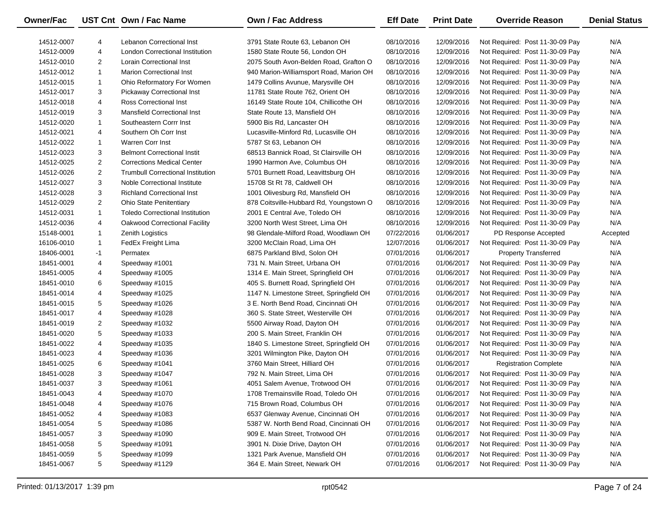| <b>Owner/Fac</b> |                         | UST Cnt Own / Fac Name                   | <b>Own / Fac Address</b>                 | <b>Eff Date</b> | <b>Print Date</b> | <b>Override Reason</b>          | <b>Denial Status</b> |
|------------------|-------------------------|------------------------------------------|------------------------------------------|-----------------|-------------------|---------------------------------|----------------------|
| 14512-0007       | 4                       | Lebanon Correctional Inst                | 3791 State Route 63, Lebanon OH          | 08/10/2016      | 12/09/2016        | Not Required: Post 11-30-09 Pay | N/A                  |
| 14512-0009       | 4                       | London Correctional Institution          | 1580 State Route 56, London OH           | 08/10/2016      | 12/09/2016        | Not Required: Post 11-30-09 Pay | N/A                  |
| 14512-0010       | 2                       | <b>Lorain Correctional Inst</b>          | 2075 South Avon-Belden Road, Grafton O   | 08/10/2016      | 12/09/2016        | Not Required: Post 11-30-09 Pay | N/A                  |
| 14512-0012       | $\mathbf{1}$            | <b>Marion Correctional Inst</b>          | 940 Marion-Williamsport Road, Marion OH  | 08/10/2016      | 12/09/2016        | Not Required: Post 11-30-09 Pay | N/A                  |
| 14512-0015       | $\mathbf{1}$            | Ohio Reformatory For Women               | 1479 Collins Avunue, Marysville OH       | 08/10/2016      | 12/09/2016        | Not Required: Post 11-30-09 Pay | N/A                  |
| 14512-0017       | 3                       | <b>Pickaway Correctional Inst</b>        | 11781 State Route 762, Orient OH         | 08/10/2016      | 12/09/2016        | Not Required: Post 11-30-09 Pay | N/A                  |
| 14512-0018       | 4                       | <b>Ross Correctional Inst</b>            | 16149 State Route 104, Chillicothe OH    | 08/10/2016      | 12/09/2016        | Not Required: Post 11-30-09 Pay | N/A                  |
| 14512-0019       | 3                       | <b>Mansfield Correctional Inst</b>       | State Route 13, Mansfield OH             | 08/10/2016      | 12/09/2016        | Not Required: Post 11-30-09 Pay | N/A                  |
| 14512-0020       | $\mathbf{1}$            | Southeastern Corrr Inst                  | 5900 Bis Rd, Lancaster OH                | 08/10/2016      | 12/09/2016        | Not Required: Post 11-30-09 Pay | N/A                  |
| 14512-0021       | 4                       | Southern Oh Corr Inst                    | Lucasville-Minford Rd, Lucasville OH     | 08/10/2016      | 12/09/2016        | Not Required: Post 11-30-09 Pay | N/A                  |
| 14512-0022       | $\mathbf{1}$            | <b>Warren Corr Inst</b>                  | 5787 St 63, Lebanon OH                   | 08/10/2016      | 12/09/2016        | Not Required: Post 11-30-09 Pay | N/A                  |
| 14512-0023       | 3                       | <b>Belmont Correctional Instit</b>       | 68513 Bannick Road, St Clairsville OH    | 08/10/2016      | 12/09/2016        | Not Required: Post 11-30-09 Pay | N/A                  |
| 14512-0025       | $\overline{2}$          | <b>Corrections Medical Center</b>        | 1990 Harmon Ave, Columbus OH             | 08/10/2016      | 12/09/2016        | Not Required: Post 11-30-09 Pay | N/A                  |
| 14512-0026       | $\overline{\mathbf{c}}$ | <b>Trumbull Correctional Institution</b> | 5701 Burnett Road, Leavittsburg OH       | 08/10/2016      | 12/09/2016        | Not Required: Post 11-30-09 Pay | N/A                  |
| 14512-0027       | 3                       | Noble Correctional Institute             | 15708 St Rt 78, Caldwell OH              | 08/10/2016      | 12/09/2016        | Not Required: Post 11-30-09 Pay | N/A                  |
| 14512-0028       | 3                       | <b>Richland Correctional Inst</b>        | 1001 Olivesburg Rd, Mansfield OH         | 08/10/2016      | 12/09/2016        | Not Required: Post 11-30-09 Pay | N/A                  |
| 14512-0029       | $\overline{2}$          | <b>Ohio State Penitentiary</b>           | 878 Coitsville-Hubbard Rd, Youngstown O  | 08/10/2016      | 12/09/2016        | Not Required: Post 11-30-09 Pay | N/A                  |
| 14512-0031       | $\mathbf{1}$            | <b>Toledo Correctional Institution</b>   | 2001 E Central Ave, Toledo OH            | 08/10/2016      | 12/09/2016        | Not Required: Post 11-30-09 Pay | N/A                  |
| 14512-0036       | 4                       | Oakwood Correctional Facility            | 3200 North West Street, Lima OH          | 08/10/2016      | 12/09/2016        | Not Required: Post 11-30-09 Pay | N/A                  |
| 15148-0001       | $\mathbf{1}$            | <b>Zenith Logistics</b>                  | 98 Glendale-Milford Road, Woodlawn OH    | 07/22/2016      | 01/06/2017        | PD Response Accepted            | Accepted             |
| 16106-0010       | $\mathbf{1}$            | FedEx Freight Lima                       | 3200 McClain Road, Lima OH               | 12/07/2016      | 01/06/2017        | Not Required: Post 11-30-09 Pay | N/A                  |
| 18406-0001       | -1                      | Permatex                                 | 6875 Parkland Blvd, Solon OH             | 07/01/2016      | 01/06/2017        | <b>Property Transferred</b>     | N/A                  |
| 18451-0001       | 4                       | Speedway #1001                           | 731 N. Main Street, Urbana OH            | 07/01/2016      | 01/06/2017        | Not Required: Post 11-30-09 Pay | N/A                  |
| 18451-0005       | 4                       | Speedway #1005                           | 1314 E. Main Street, Springfield OH      | 07/01/2016      | 01/06/2017        | Not Required: Post 11-30-09 Pay | N/A                  |
| 18451-0010       | 6                       | Speedway #1015                           | 405 S. Burnett Road, Springfield OH      | 07/01/2016      | 01/06/2017        | Not Required: Post 11-30-09 Pay | N/A                  |
| 18451-0014       | 4                       | Speedway #1025                           | 1147 N. Limestone Street, Springfield OH | 07/01/2016      | 01/06/2017        | Not Required: Post 11-30-09 Pay | N/A                  |
| 18451-0015       | 5                       | Speedway #1026                           | 3 E. North Bend Road, Cincinnati OH      | 07/01/2016      | 01/06/2017        | Not Required: Post 11-30-09 Pay | N/A                  |
| 18451-0017       | 4                       | Speedway #1028                           | 360 S. State Street, Westerville OH      | 07/01/2016      | 01/06/2017        | Not Required: Post 11-30-09 Pay | N/A                  |
| 18451-0019       | $\overline{2}$          | Speedway #1032                           | 5500 Airway Road, Dayton OH              | 07/01/2016      | 01/06/2017        | Not Required: Post 11-30-09 Pay | N/A                  |
| 18451-0020       | 5                       | Speedway #1033                           | 200 S. Main Street, Franklin OH          | 07/01/2016      | 01/06/2017        | Not Required: Post 11-30-09 Pay | N/A                  |
| 18451-0022       | 4                       | Speedway #1035                           | 1840 S. Limestone Street, Springfield OH | 07/01/2016      | 01/06/2017        | Not Required: Post 11-30-09 Pay | N/A                  |
| 18451-0023       | 4                       | Speedway #1036                           | 3201 Wilmington Pike, Dayton OH          | 07/01/2016      | 01/06/2017        | Not Required: Post 11-30-09 Pay | N/A                  |
| 18451-0025       | 6                       | Speedway #1041                           | 3760 Main Street, Hilliard OH            | 07/01/2016      | 01/06/2017        | <b>Registration Complete</b>    | N/A                  |
| 18451-0028       | 3                       | Speedway #1047                           | 792 N. Main Street, Lima OH              | 07/01/2016      | 01/06/2017        | Not Required: Post 11-30-09 Pay | N/A                  |
| 18451-0037       | 3                       | Speedway #1061                           | 4051 Salem Avenue, Trotwood OH           | 07/01/2016      | 01/06/2017        | Not Required: Post 11-30-09 Pay | N/A                  |
| 18451-0043       | 4                       | Speedway #1070                           | 1708 Tremainsville Road, Toledo OH       | 07/01/2016      | 01/06/2017        | Not Required: Post 11-30-09 Pay | N/A                  |
| 18451-0048       | 4                       | Speedway #1076                           | 715 Brown Road, Columbus OH              | 07/01/2016      | 01/06/2017        | Not Required: Post 11-30-09 Pay | N/A                  |
| 18451-0052       | 4                       | Speedway #1083                           | 6537 Glenway Avenue, Cincinnati OH       | 07/01/2016      | 01/06/2017        | Not Required: Post 11-30-09 Pay | N/A                  |
| 18451-0054       | 5                       | Speedway #1086                           | 5387 W. North Bend Road, Cincinnati OH   | 07/01/2016      | 01/06/2017        | Not Required: Post 11-30-09 Pay | N/A                  |
| 18451-0057       | 3                       | Speedway #1090                           | 909 E. Main Street, Trotwood OH          | 07/01/2016      | 01/06/2017        | Not Required: Post 11-30-09 Pay | N/A                  |
| 18451-0058       | 5                       | Speedway #1091                           | 3901 N. Dixie Drive, Dayton OH           | 07/01/2016      | 01/06/2017        | Not Required: Post 11-30-09 Pay | N/A                  |
| 18451-0059       | 5                       | Speedway #1099                           | 1321 Park Avenue, Mansfield OH           | 07/01/2016      | 01/06/2017        | Not Required: Post 11-30-09 Pay | N/A                  |
| 18451-0067       | 5                       | Speedway #1129                           | 364 E. Main Street, Newark OH            | 07/01/2016      | 01/06/2017        | Not Required: Post 11-30-09 Pay | N/A                  |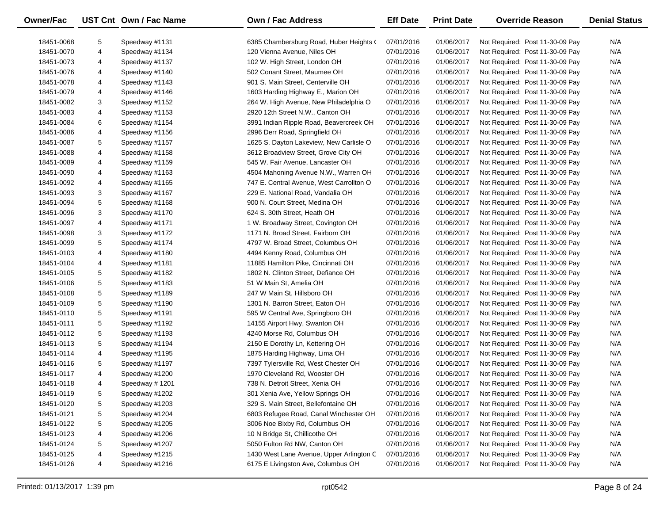| Owner/Fac  |   | UST Cnt Own / Fac Name | Own / Fac Address                        | <b>Eff Date</b> | <b>Print Date</b> | <b>Override Reason</b>          | <b>Denial Status</b> |
|------------|---|------------------------|------------------------------------------|-----------------|-------------------|---------------------------------|----------------------|
| 18451-0068 | 5 | Speedway #1131         | 6385 Chambersburg Road, Huber Heights (  | 07/01/2016      | 01/06/2017        | Not Required: Post 11-30-09 Pay | N/A                  |
| 18451-0070 | 4 | Speedway #1134         | 120 Vienna Avenue, Niles OH              | 07/01/2016      | 01/06/2017        | Not Required: Post 11-30-09 Pay | N/A                  |
| 18451-0073 | 4 | Speedway #1137         | 102 W. High Street, London OH            | 07/01/2016      | 01/06/2017        | Not Required: Post 11-30-09 Pay | N/A                  |
| 18451-0076 | 4 | Speedway #1140         | 502 Conant Street, Maumee OH             | 07/01/2016      | 01/06/2017        | Not Required: Post 11-30-09 Pay | N/A                  |
| 18451-0078 | 4 | Speedway #1143         | 901 S. Main Street, Centerville OH       | 07/01/2016      | 01/06/2017        | Not Required: Post 11-30-09 Pay | N/A                  |
| 18451-0079 | 4 | Speedway #1146         | 1603 Harding Highway E., Marion OH       | 07/01/2016      | 01/06/2017        | Not Required: Post 11-30-09 Pay | N/A                  |
| 18451-0082 | 3 | Speedway #1152         | 264 W. High Avenue, New Philadelphia O   | 07/01/2016      | 01/06/2017        | Not Required: Post 11-30-09 Pay | N/A                  |
| 18451-0083 | 4 | Speedway #1153         | 2920 12th Street N.W., Canton OH         | 07/01/2016      | 01/06/2017        | Not Required: Post 11-30-09 Pay | N/A                  |
| 18451-0084 | 6 | Speedway #1154         | 3991 Indian Ripple Road, Beavercreek OH  | 07/01/2016      | 01/06/2017        | Not Required: Post 11-30-09 Pay | N/A                  |
| 18451-0086 | 4 | Speedway #1156         | 2996 Derr Road, Springfield OH           | 07/01/2016      | 01/06/2017        | Not Required: Post 11-30-09 Pay | N/A                  |
| 18451-0087 | 5 | Speedway #1157         | 1625 S. Dayton Lakeview, New Carlisle O  | 07/01/2016      | 01/06/2017        | Not Required: Post 11-30-09 Pay | N/A                  |
| 18451-0088 | 4 | Speedway #1158         | 3612 Broadview Street, Grove City OH     | 07/01/2016      | 01/06/2017        | Not Required: Post 11-30-09 Pay | N/A                  |
| 18451-0089 | 4 | Speedway #1159         | 545 W. Fair Avenue, Lancaster OH         | 07/01/2016      | 01/06/2017        | Not Required: Post 11-30-09 Pay | N/A                  |
| 18451-0090 | 4 | Speedway #1163         | 4504 Mahoning Avenue N.W., Warren OH     | 07/01/2016      | 01/06/2017        | Not Required: Post 11-30-09 Pay | N/A                  |
| 18451-0092 | 4 | Speedway #1165         | 747 E. Central Avenue, West Carrollton O | 07/01/2016      | 01/06/2017        | Not Required: Post 11-30-09 Pay | N/A                  |
| 18451-0093 | 3 | Speedway #1167         | 229 E. National Road, Vandalia OH        | 07/01/2016      | 01/06/2017        | Not Required: Post 11-30-09 Pay | N/A                  |
| 18451-0094 | 5 | Speedway #1168         | 900 N. Court Street, Medina OH           | 07/01/2016      | 01/06/2017        | Not Required: Post 11-30-09 Pay | N/A                  |
| 18451-0096 | 3 | Speedway #1170         | 624 S. 30th Street, Heath OH             | 07/01/2016      | 01/06/2017        | Not Required: Post 11-30-09 Pay | N/A                  |
| 18451-0097 | 4 | Speedway #1171         | 1 W. Broadway Street, Covington OH       | 07/01/2016      | 01/06/2017        | Not Required: Post 11-30-09 Pay | N/A                  |
| 18451-0098 | 3 | Speedway #1172         | 1171 N. Broad Street, Fairborn OH        | 07/01/2016      | 01/06/2017        | Not Required: Post 11-30-09 Pay | N/A                  |
| 18451-0099 | 5 | Speedway #1174         | 4797 W. Broad Street, Columbus OH        | 07/01/2016      | 01/06/2017        | Not Required: Post 11-30-09 Pay | N/A                  |
| 18451-0103 | 4 | Speedway #1180         | 4494 Kenny Road, Columbus OH             | 07/01/2016      | 01/06/2017        | Not Required: Post 11-30-09 Pay | N/A                  |
| 18451-0104 | 4 | Speedway #1181         | 11885 Hamilton Pike, Cincinnati OH       | 07/01/2016      | 01/06/2017        | Not Required: Post 11-30-09 Pay | N/A                  |
| 18451-0105 | 5 | Speedway #1182         | 1802 N. Clinton Street, Defiance OH      | 07/01/2016      | 01/06/2017        | Not Required: Post 11-30-09 Pay | N/A                  |
| 18451-0106 | 5 | Speedway #1183         | 51 W Main St, Amelia OH                  | 07/01/2016      | 01/06/2017        | Not Required: Post 11-30-09 Pay | N/A                  |
| 18451-0108 | 5 | Speedway #1189         | 247 W Main St, Hillsboro OH              | 07/01/2016      | 01/06/2017        | Not Required: Post 11-30-09 Pay | N/A                  |
| 18451-0109 | 5 | Speedway #1190         | 1301 N. Barron Street, Eaton OH          | 07/01/2016      | 01/06/2017        | Not Required: Post 11-30-09 Pay | N/A                  |
| 18451-0110 | 5 | Speedway #1191         | 595 W Central Ave, Springboro OH         | 07/01/2016      | 01/06/2017        | Not Required: Post 11-30-09 Pay | N/A                  |
| 18451-0111 | 5 | Speedway #1192         | 14155 Airport Hwy, Swanton OH            | 07/01/2016      | 01/06/2017        | Not Required: Post 11-30-09 Pay | N/A                  |
| 18451-0112 | 5 | Speedway #1193         | 4240 Morse Rd, Columbus OH               | 07/01/2016      | 01/06/2017        | Not Required: Post 11-30-09 Pay | N/A                  |
| 18451-0113 | 5 | Speedway #1194         | 2150 E Dorothy Ln, Kettering OH          | 07/01/2016      | 01/06/2017        | Not Required: Post 11-30-09 Pay | N/A                  |
| 18451-0114 | 4 | Speedway #1195         | 1875 Harding Highway, Lima OH            | 07/01/2016      | 01/06/2017        | Not Required: Post 11-30-09 Pay | N/A                  |
| 18451-0116 | 5 | Speedway #1197         | 7397 Tylersville Rd, West Chester OH     | 07/01/2016      | 01/06/2017        | Not Required: Post 11-30-09 Pay | N/A                  |
| 18451-0117 | 4 | Speedway #1200         | 1970 Cleveland Rd, Wooster OH            | 07/01/2016      | 01/06/2017        | Not Required: Post 11-30-09 Pay | N/A                  |
| 18451-0118 | 4 | Speedway #1201         | 738 N. Detroit Street, Xenia OH          | 07/01/2016      | 01/06/2017        | Not Required: Post 11-30-09 Pay | N/A                  |
| 18451-0119 | 5 | Speedway #1202         | 301 Xenia Ave, Yellow Springs OH         | 07/01/2016      | 01/06/2017        | Not Required: Post 11-30-09 Pay | N/A                  |
| 18451-0120 | 5 | Speedway #1203         | 329 S. Main Street, Bellefontaine OH     | 07/01/2016      | 01/06/2017        | Not Required: Post 11-30-09 Pay | N/A                  |
| 18451-0121 | 5 | Speedway #1204         | 6803 Refugee Road, Canal Winchester OH   | 07/01/2016      | 01/06/2017        | Not Required: Post 11-30-09 Pay | N/A                  |
| 18451-0122 | 5 | Speedway #1205         | 3006 Noe Bixby Rd, Columbus OH           | 07/01/2016      | 01/06/2017        | Not Required: Post 11-30-09 Pay | N/A                  |
| 18451-0123 | 4 | Speedway #1206         | 10 N Bridge St, Chillicothe OH           | 07/01/2016      | 01/06/2017        | Not Required: Post 11-30-09 Pay | N/A                  |
| 18451-0124 | 5 | Speedway #1207         | 5050 Fulton Rd NW, Canton OH             | 07/01/2016      | 01/06/2017        | Not Required: Post 11-30-09 Pay | N/A                  |
| 18451-0125 | 4 | Speedway #1215         | 1430 West Lane Avenue, Upper Arlington C | 07/01/2016      | 01/06/2017        | Not Required: Post 11-30-09 Pay | N/A                  |
| 18451-0126 | 4 | Speedway #1216         | 6175 E Livingston Ave, Columbus OH       | 07/01/2016      | 01/06/2017        | Not Required: Post 11-30-09 Pay | N/A                  |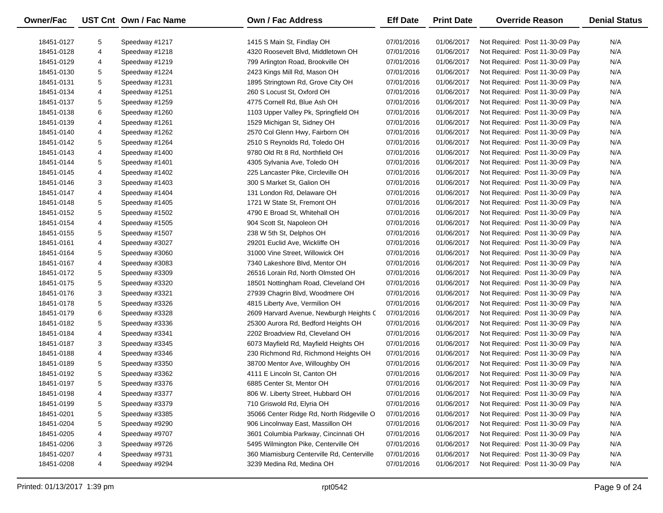| Owner/Fac  |   | UST Cnt Own / Fac Name | <b>Own / Fac Address</b>                   | <b>Eff Date</b> | <b>Print Date</b> | <b>Override Reason</b>          | <b>Denial Status</b> |
|------------|---|------------------------|--------------------------------------------|-----------------|-------------------|---------------------------------|----------------------|
| 18451-0127 | 5 | Speedway #1217         | 1415 S Main St, Findlay OH                 | 07/01/2016      | 01/06/2017        | Not Required: Post 11-30-09 Pay | N/A                  |
| 18451-0128 | 4 | Speedway #1218         | 4320 Roosevelt Blvd, Middletown OH         | 07/01/2016      | 01/06/2017        | Not Required: Post 11-30-09 Pay | N/A                  |
| 18451-0129 | 4 | Speedway #1219         | 799 Arlington Road, Brookville OH          | 07/01/2016      | 01/06/2017        | Not Required: Post 11-30-09 Pay | N/A                  |
| 18451-0130 | 5 | Speedway #1224         | 2423 Kings Mill Rd, Mason OH               | 07/01/2016      | 01/06/2017        | Not Required: Post 11-30-09 Pay | N/A                  |
| 18451-0131 | 5 | Speedway #1231         | 1895 Stringtown Rd, Grove City OH          | 07/01/2016      | 01/06/2017        | Not Required: Post 11-30-09 Pay | N/A                  |
| 18451-0134 | 4 | Speedway #1251         | 260 S Locust St, Oxford OH                 | 07/01/2016      | 01/06/2017        | Not Required: Post 11-30-09 Pay | N/A                  |
| 18451-0137 | 5 | Speedway #1259         | 4775 Cornell Rd, Blue Ash OH               | 07/01/2016      | 01/06/2017        | Not Required: Post 11-30-09 Pay | N/A                  |
| 18451-0138 | 6 | Speedway #1260         | 1103 Upper Valley Pk, Springfield OH       | 07/01/2016      | 01/06/2017        | Not Required: Post 11-30-09 Pay | N/A                  |
| 18451-0139 | 4 | Speedway #1261         | 1529 Michigan St, Sidney OH                | 07/01/2016      | 01/06/2017        | Not Required: Post 11-30-09 Pay | N/A                  |
| 18451-0140 | 4 | Speedway #1262         | 2570 Col Glenn Hwy, Fairborn OH            | 07/01/2016      | 01/06/2017        | Not Required: Post 11-30-09 Pay | N/A                  |
| 18451-0142 | 5 | Speedway #1264         | 2510 S Reynolds Rd, Toledo OH              | 07/01/2016      | 01/06/2017        | Not Required: Post 11-30-09 Pay | N/A                  |
| 18451-0143 | 4 | Speedway #1400         | 9780 Old Rt 8 Rd, Northfield OH            | 07/01/2016      | 01/06/2017        | Not Required: Post 11-30-09 Pay | N/A                  |
| 18451-0144 | 5 | Speedway #1401         | 4305 Sylvania Ave, Toledo OH               | 07/01/2016      | 01/06/2017        | Not Required: Post 11-30-09 Pay | N/A                  |
| 18451-0145 | 4 | Speedway #1402         | 225 Lancaster Pike, Circleville OH         | 07/01/2016      | 01/06/2017        | Not Required: Post 11-30-09 Pay | N/A                  |
| 18451-0146 | 3 | Speedway #1403         | 300 S Market St, Galion OH                 | 07/01/2016      | 01/06/2017        | Not Required: Post 11-30-09 Pay | N/A                  |
| 18451-0147 | 4 | Speedway #1404         | 131 London Rd, Delaware OH                 | 07/01/2016      | 01/06/2017        | Not Required: Post 11-30-09 Pay | N/A                  |
| 18451-0148 | 5 | Speedway #1405         | 1721 W State St, Fremont OH                | 07/01/2016      | 01/06/2017        | Not Required: Post 11-30-09 Pay | N/A                  |
| 18451-0152 | 5 | Speedway #1502         | 4790 E Broad St, Whitehall OH              | 07/01/2016      | 01/06/2017        | Not Required: Post 11-30-09 Pay | N/A                  |
| 18451-0154 | 4 | Speedway #1505         | 904 Scott St, Napoleon OH                  | 07/01/2016      | 01/06/2017        | Not Required: Post 11-30-09 Pay | N/A                  |
| 18451-0155 | 5 | Speedway #1507         | 238 W 5th St, Delphos OH                   | 07/01/2016      | 01/06/2017        | Not Required: Post 11-30-09 Pay | N/A                  |
| 18451-0161 | 4 | Speedway #3027         | 29201 Euclid Ave, Wickliffe OH             | 07/01/2016      | 01/06/2017        | Not Required: Post 11-30-09 Pay | N/A                  |
| 18451-0164 | 5 | Speedway #3060         | 31000 Vine Street, Willowick OH            | 07/01/2016      | 01/06/2017        | Not Required: Post 11-30-09 Pay | N/A                  |
| 18451-0167 | 4 | Speedway #3083         | 7340 Lakeshore Blvd, Mentor OH             | 07/01/2016      | 01/06/2017        | Not Required: Post 11-30-09 Pay | N/A                  |
| 18451-0172 | 5 | Speedway #3309         | 26516 Lorain Rd, North Olmsted OH          | 07/01/2016      | 01/06/2017        | Not Required: Post 11-30-09 Pay | N/A                  |
| 18451-0175 | 5 | Speedway #3320         | 18501 Nottingham Road, Cleveland OH        | 07/01/2016      | 01/06/2017        | Not Required: Post 11-30-09 Pay | N/A                  |
| 18451-0176 | 3 | Speedway #3321         | 27939 Chagrin Blvd, Woodmere OH            | 07/01/2016      | 01/06/2017        | Not Required: Post 11-30-09 Pay | N/A                  |
| 18451-0178 | 5 | Speedway #3326         | 4815 Liberty Ave, Vermilion OH             | 07/01/2016      | 01/06/2017        | Not Required: Post 11-30-09 Pay | N/A                  |
| 18451-0179 | 6 | Speedway #3328         | 2609 Harvard Avenue, Newburgh Heights C    | 07/01/2016      | 01/06/2017        | Not Required: Post 11-30-09 Pay | N/A                  |
| 18451-0182 | 5 | Speedway #3336         | 25300 Aurora Rd, Bedford Heights OH        | 07/01/2016      | 01/06/2017        | Not Required: Post 11-30-09 Pay | N/A                  |
| 18451-0184 | 4 | Speedway #3341         | 2202 Broadview Rd, Cleveland OH            | 07/01/2016      | 01/06/2017        | Not Required: Post 11-30-09 Pay | N/A                  |
| 18451-0187 | 3 | Speedway #3345         | 6073 Mayfield Rd, Mayfield Heights OH      | 07/01/2016      | 01/06/2017        | Not Required: Post 11-30-09 Pay | N/A                  |
| 18451-0188 | 4 | Speedway #3346         | 230 Richmond Rd, Richmond Heights OH       | 07/01/2016      | 01/06/2017        | Not Required: Post 11-30-09 Pay | N/A                  |
| 18451-0189 | 5 | Speedway #3350         | 38700 Mentor Ave, Willoughby OH            | 07/01/2016      | 01/06/2017        | Not Required: Post 11-30-09 Pay | N/A                  |
| 18451-0192 | 5 | Speedway #3362         | 4111 E Lincoln St, Canton OH               | 07/01/2016      | 01/06/2017        | Not Required: Post 11-30-09 Pay | N/A                  |
| 18451-0197 | 5 | Speedway #3376         | 6885 Center St, Mentor OH                  | 07/01/2016      | 01/06/2017        | Not Required: Post 11-30-09 Pay | N/A                  |
| 18451-0198 | 4 | Speedway #3377         | 806 W. Liberty Street, Hubbard OH          | 07/01/2016      | 01/06/2017        | Not Required: Post 11-30-09 Pay | N/A                  |
| 18451-0199 | 5 | Speedway #3379         | 710 Griswold Rd, Elyria OH                 | 07/01/2016      | 01/06/2017        | Not Required: Post 11-30-09 Pay | N/A                  |
| 18451-0201 | 5 | Speedway #3385         | 35066 Center Ridge Rd, North Ridgeville O  | 07/01/2016      | 01/06/2017        | Not Required: Post 11-30-09 Pay | N/A                  |
| 18451-0204 | 5 | Speedway #9290         | 906 Lincolnway East, Massillon OH          | 07/01/2016      | 01/06/2017        | Not Required: Post 11-30-09 Pay | N/A                  |
| 18451-0205 | 4 | Speedway #9707         | 3601 Columbia Parkway, Cincinnati OH       | 07/01/2016      | 01/06/2017        | Not Required: Post 11-30-09 Pay | N/A                  |
| 18451-0206 | 3 | Speedway #9726         | 5495 Wilmington Pike, Centerville OH       | 07/01/2016      | 01/06/2017        | Not Required: Post 11-30-09 Pay | N/A                  |
| 18451-0207 | 4 | Speedway #9731         | 360 Miamisburg Centerville Rd, Centerville | 07/01/2016      | 01/06/2017        | Not Required: Post 11-30-09 Pay | N/A                  |
| 18451-0208 | 4 | Speedway #9294         | 3239 Medina Rd, Medina OH                  | 07/01/2016      | 01/06/2017        | Not Required: Post 11-30-09 Pay | N/A                  |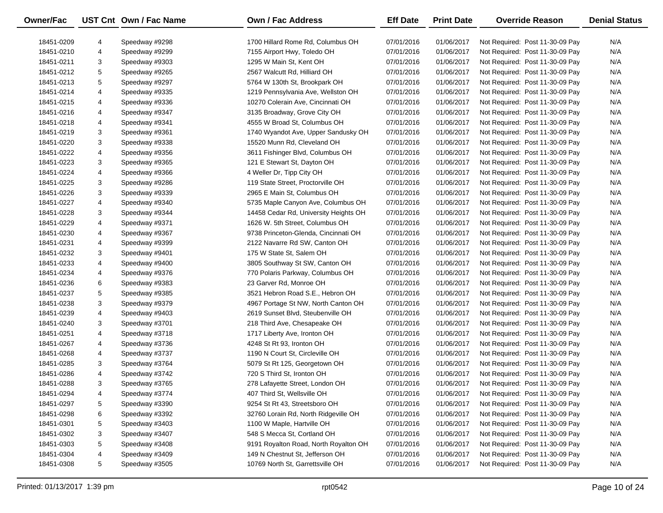| <b>Owner/Fac</b> |   | UST Cnt Own / Fac Name | <b>Own / Fac Address</b>              | <b>Eff Date</b> | <b>Print Date</b> | <b>Override Reason</b>          | <b>Denial Status</b> |
|------------------|---|------------------------|---------------------------------------|-----------------|-------------------|---------------------------------|----------------------|
| 18451-0209       | 4 | Speedway #9298         | 1700 Hillard Rome Rd, Columbus OH     | 07/01/2016      | 01/06/2017        | Not Required: Post 11-30-09 Pay | N/A                  |
| 18451-0210       | 4 | Speedway #9299         | 7155 Airport Hwy, Toledo OH           | 07/01/2016      | 01/06/2017        | Not Required: Post 11-30-09 Pay | N/A                  |
| 18451-0211       | 3 | Speedway #9303         | 1295 W Main St, Kent OH               | 07/01/2016      | 01/06/2017        | Not Required: Post 11-30-09 Pay | N/A                  |
| 18451-0212       | 5 | Speedway #9265         | 2567 Walcutt Rd, Hilliard OH          | 07/01/2016      | 01/06/2017        | Not Required: Post 11-30-09 Pay | N/A                  |
| 18451-0213       | 5 | Speedway #9297         | 5764 W 130th St, Brookpark OH         | 07/01/2016      | 01/06/2017        | Not Required: Post 11-30-09 Pay | N/A                  |
| 18451-0214       | 4 | Speedway #9335         | 1219 Pennsylvania Ave, Wellston OH    | 07/01/2016      | 01/06/2017        | Not Required: Post 11-30-09 Pay | N/A                  |
| 18451-0215       | 4 | Speedway #9336         | 10270 Colerain Ave, Cincinnati OH     | 07/01/2016      | 01/06/2017        | Not Required: Post 11-30-09 Pay | N/A                  |
| 18451-0216       | 4 | Speedway #9347         | 3135 Broadway, Grove City OH          | 07/01/2016      | 01/06/2017        | Not Required: Post 11-30-09 Pay | N/A                  |
| 18451-0218       | 4 | Speedway #9341         | 4555 W Broad St, Columbus OH          | 07/01/2016      | 01/06/2017        | Not Required: Post 11-30-09 Pay | N/A                  |
| 18451-0219       | 3 | Speedway #9361         | 1740 Wyandot Ave, Upper Sandusky OH   | 07/01/2016      | 01/06/2017        | Not Required: Post 11-30-09 Pay | N/A                  |
| 18451-0220       | 3 | Speedway #9338         | 15520 Munn Rd, Cleveland OH           | 07/01/2016      | 01/06/2017        | Not Required: Post 11-30-09 Pay | N/A                  |
| 18451-0222       | 4 | Speedway #9356         | 3611 Fishinger Blvd, Columbus OH      | 07/01/2016      | 01/06/2017        | Not Required: Post 11-30-09 Pay | N/A                  |
| 18451-0223       | 3 | Speedway #9365         | 121 E Stewart St, Dayton OH           | 07/01/2016      | 01/06/2017        | Not Required: Post 11-30-09 Pay | N/A                  |
| 18451-0224       | 4 | Speedway #9366         | 4 Weller Dr, Tipp City OH             | 07/01/2016      | 01/06/2017        | Not Required: Post 11-30-09 Pay | N/A                  |
| 18451-0225       | 3 | Speedway #9286         | 119 State Street, Proctorville OH     | 07/01/2016      | 01/06/2017        | Not Required: Post 11-30-09 Pay | N/A                  |
| 18451-0226       | 3 | Speedway #9339         | 2965 E Main St, Columbus OH           | 07/01/2016      | 01/06/2017        | Not Required: Post 11-30-09 Pay | N/A                  |
| 18451-0227       | 4 | Speedway #9340         | 5735 Maple Canyon Ave, Columbus OH    | 07/01/2016      | 01/06/2017        | Not Required: Post 11-30-09 Pay | N/A                  |
| 18451-0228       | 3 | Speedway #9344         | 14458 Cedar Rd, University Heights OH | 07/01/2016      | 01/06/2017        | Not Required: Post 11-30-09 Pay | N/A                  |
| 18451-0229       | 4 | Speedway #9371         | 1626 W. 5th Street, Columbus OH       | 07/01/2016      | 01/06/2017        | Not Required: Post 11-30-09 Pay | N/A                  |
| 18451-0230       | 4 | Speedway #9367         | 9738 Princeton-Glenda, Cincinnati OH  | 07/01/2016      | 01/06/2017        | Not Required: Post 11-30-09 Pay | N/A                  |
| 18451-0231       | 4 | Speedway #9399         | 2122 Navarre Rd SW, Canton OH         | 07/01/2016      | 01/06/2017        | Not Required: Post 11-30-09 Pay | N/A                  |
| 18451-0232       | 3 | Speedway #9401         | 175 W State St, Salem OH              | 07/01/2016      | 01/06/2017        | Not Required: Post 11-30-09 Pay | N/A                  |
| 18451-0233       | 4 | Speedway #9400         | 3805 Southway St SW, Canton OH        | 07/01/2016      | 01/06/2017        | Not Required: Post 11-30-09 Pay | N/A                  |
| 18451-0234       | 4 | Speedway #9376         | 770 Polaris Parkway, Columbus OH      | 07/01/2016      | 01/06/2017        | Not Required: Post 11-30-09 Pay | N/A                  |
| 18451-0236       | 6 | Speedway #9383         | 23 Garver Rd, Monroe OH               | 07/01/2016      | 01/06/2017        | Not Required: Post 11-30-09 Pay | N/A                  |
| 18451-0237       | 5 | Speedway #9385         | 3521 Hebron Road S.E., Hebron OH      | 07/01/2016      | 01/06/2017        | Not Required: Post 11-30-09 Pay | N/A                  |
| 18451-0238       | 3 | Speedway #9379         | 4967 Portage St NW, North Canton OH   | 07/01/2016      | 01/06/2017        | Not Required: Post 11-30-09 Pay | N/A                  |
| 18451-0239       | 4 | Speedway #9403         | 2619 Sunset Blvd, Steubenville OH     | 07/01/2016      | 01/06/2017        | Not Required: Post 11-30-09 Pay | N/A                  |
| 18451-0240       | 3 | Speedway #3701         | 218 Third Ave, Chesapeake OH          | 07/01/2016      | 01/06/2017        | Not Required: Post 11-30-09 Pay | N/A                  |
| 18451-0251       | 4 | Speedway #3718         | 1717 Liberty Ave, Ironton OH          | 07/01/2016      | 01/06/2017        | Not Required: Post 11-30-09 Pay | N/A                  |
| 18451-0267       | 4 | Speedway #3736         | 4248 St Rt 93, Ironton OH             | 07/01/2016      | 01/06/2017        | Not Required: Post 11-30-09 Pay | N/A                  |
| 18451-0268       | 4 | Speedway #3737         | 1190 N Court St, Circleville OH       | 07/01/2016      | 01/06/2017        | Not Required: Post 11-30-09 Pay | N/A                  |
| 18451-0285       | 3 | Speedway #3764         | 5079 St Rt 125, Georgetown OH         | 07/01/2016      | 01/06/2017        | Not Required: Post 11-30-09 Pay | N/A                  |
| 18451-0286       | 4 | Speedway #3742         | 720 S Third St, Ironton OH            | 07/01/2016      | 01/06/2017        | Not Required: Post 11-30-09 Pay | N/A                  |
| 18451-0288       | 3 | Speedway #3765         | 278 Lafayette Street, London OH       | 07/01/2016      | 01/06/2017        | Not Required: Post 11-30-09 Pay | N/A                  |
| 18451-0294       | 4 | Speedway #3774         | 407 Third St, Wellsville OH           | 07/01/2016      | 01/06/2017        | Not Required: Post 11-30-09 Pay | N/A                  |
| 18451-0297       | 5 | Speedway #3390         | 9254 St Rt 43, Streetsboro OH         | 07/01/2016      | 01/06/2017        | Not Required: Post 11-30-09 Pay | N/A                  |
| 18451-0298       | 6 | Speedway #3392         | 32760 Lorain Rd, North Ridgeville OH  | 07/01/2016      | 01/06/2017        | Not Required: Post 11-30-09 Pay | N/A                  |
| 18451-0301       | 5 | Speedway #3403         | 1100 W Maple, Hartville OH            | 07/01/2016      | 01/06/2017        | Not Required: Post 11-30-09 Pay | N/A                  |
| 18451-0302       | 3 | Speedway #3407         | 548 S Mecca St, Cortland OH           | 07/01/2016      | 01/06/2017        | Not Required: Post 11-30-09 Pay | N/A                  |
| 18451-0303       | 5 | Speedway #3408         | 9191 Royalton Road, North Royalton OH | 07/01/2016      | 01/06/2017        | Not Required: Post 11-30-09 Pay | N/A                  |
| 18451-0304       | 4 | Speedway #3409         | 149 N Chestnut St, Jefferson OH       | 07/01/2016      | 01/06/2017        | Not Required: Post 11-30-09 Pay | N/A                  |
|                  |   |                        | 10769 North St, Garrettsville OH      | 07/01/2016      | 01/06/2017        | Not Required: Post 11-30-09 Pay |                      |
| 18451-0308       | 5 | Speedway #3505         |                                       |                 |                   |                                 | N/A                  |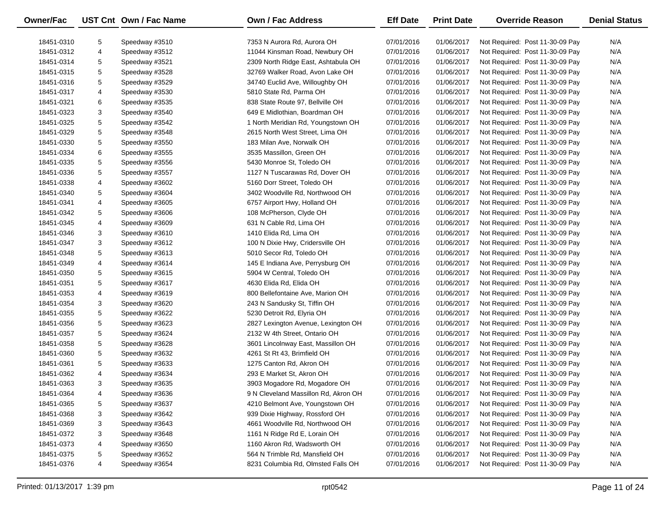| Owner/Fac  |   | UST Cnt Own / Fac Name | <b>Own / Fac Address</b>             | <b>Eff Date</b> | <b>Print Date</b> | <b>Override Reason</b>          | <b>Denial Status</b> |
|------------|---|------------------------|--------------------------------------|-----------------|-------------------|---------------------------------|----------------------|
| 18451-0310 | 5 | Speedway #3510         | 7353 N Aurora Rd, Aurora OH          | 07/01/2016      | 01/06/2017        | Not Required: Post 11-30-09 Pay | N/A                  |
| 18451-0312 | 4 | Speedway #3512         | 11044 Kinsman Road, Newbury OH       | 07/01/2016      | 01/06/2017        | Not Required: Post 11-30-09 Pay | N/A                  |
| 18451-0314 | 5 | Speedway #3521         | 2309 North Ridge East, Ashtabula OH  | 07/01/2016      | 01/06/2017        | Not Required: Post 11-30-09 Pay | N/A                  |
| 18451-0315 | 5 | Speedway #3528         | 32769 Walker Road, Avon Lake OH      | 07/01/2016      | 01/06/2017        | Not Required: Post 11-30-09 Pay | N/A                  |
| 18451-0316 | 5 | Speedway #3529         | 34740 Euclid Ave, Willoughby OH      | 07/01/2016      | 01/06/2017        | Not Required: Post 11-30-09 Pay | N/A                  |
| 18451-0317 | 4 | Speedway #3530         | 5810 State Rd, Parma OH              | 07/01/2016      | 01/06/2017        | Not Required: Post 11-30-09 Pay | N/A                  |
| 18451-0321 | 6 | Speedway #3535         | 838 State Route 97, Bellville OH     | 07/01/2016      | 01/06/2017        | Not Required: Post 11-30-09 Pay | N/A                  |
| 18451-0323 | 3 | Speedway #3540         | 649 E Midlothian, Boardman OH        | 07/01/2016      | 01/06/2017        | Not Required: Post 11-30-09 Pay | N/A                  |
| 18451-0325 | 5 | Speedway #3542         | 1 North Meridian Rd, Youngstown OH   | 07/01/2016      | 01/06/2017        | Not Required: Post 11-30-09 Pay | N/A                  |
| 18451-0329 | 5 | Speedway #3548         | 2615 North West Street, Lima OH      | 07/01/2016      | 01/06/2017        | Not Required: Post 11-30-09 Pay | N/A                  |
| 18451-0330 | 5 | Speedway #3550         | 183 Milan Ave, Norwalk OH            | 07/01/2016      | 01/06/2017        | Not Required: Post 11-30-09 Pay | N/A                  |
| 18451-0334 | 6 | Speedway #3555         | 3535 Massillon, Green OH             | 07/01/2016      | 01/06/2017        | Not Required: Post 11-30-09 Pay | N/A                  |
| 18451-0335 | 5 | Speedway #3556         | 5430 Monroe St, Toledo OH            | 07/01/2016      | 01/06/2017        | Not Required: Post 11-30-09 Pay | N/A                  |
| 18451-0336 | 5 | Speedway #3557         | 1127 N Tuscarawas Rd, Dover OH       | 07/01/2016      | 01/06/2017        | Not Required: Post 11-30-09 Pay | N/A                  |
| 18451-0338 | 4 | Speedway #3602         | 5160 Dorr Street, Toledo OH          | 07/01/2016      | 01/06/2017        | Not Required: Post 11-30-09 Pay | N/A                  |
| 18451-0340 | 5 | Speedway #3604         | 3402 Woodville Rd, Northwood OH      | 07/01/2016      | 01/06/2017        | Not Required: Post 11-30-09 Pay | N/A                  |
| 18451-0341 | 4 | Speedway #3605         | 6757 Airport Hwy, Holland OH         | 07/01/2016      | 01/06/2017        | Not Required: Post 11-30-09 Pay | N/A                  |
| 18451-0342 | 5 | Speedway #3606         | 108 McPherson, Clyde OH              | 07/01/2016      | 01/06/2017        | Not Required: Post 11-30-09 Pay | N/A                  |
| 18451-0345 | 4 | Speedway #3609         | 631 N Cable Rd, Lima OH              | 07/01/2016      | 01/06/2017        | Not Required: Post 11-30-09 Pay | N/A                  |
| 18451-0346 | 3 | Speedway #3610         | 1410 Elida Rd, Lima OH               | 07/01/2016      | 01/06/2017        | Not Required: Post 11-30-09 Pay | N/A                  |
| 18451-0347 | 3 | Speedway #3612         | 100 N Dixie Hwy, Cridersville OH     | 07/01/2016      | 01/06/2017        | Not Required: Post 11-30-09 Pay | N/A                  |
| 18451-0348 | 5 | Speedway #3613         | 5010 Secor Rd, Toledo OH             | 07/01/2016      | 01/06/2017        | Not Required: Post 11-30-09 Pay | N/A                  |
| 18451-0349 | 4 | Speedway #3614         | 145 E Indiana Ave, Perrysburg OH     | 07/01/2016      | 01/06/2017        | Not Required: Post 11-30-09 Pay | N/A                  |
| 18451-0350 | 5 | Speedway #3615         | 5904 W Central, Toledo OH            | 07/01/2016      | 01/06/2017        | Not Required: Post 11-30-09 Pay | N/A                  |
| 18451-0351 | 5 | Speedway #3617         | 4630 Elida Rd, Elida OH              | 07/01/2016      | 01/06/2017        | Not Required: Post 11-30-09 Pay | N/A                  |
| 18451-0353 | 4 | Speedway #3619         | 800 Bellefontaine Ave, Marion OH     | 07/01/2016      | 01/06/2017        | Not Required: Post 11-30-09 Pay | N/A                  |
| 18451-0354 | 3 | Speedway #3620         | 243 N Sandusky St, Tiffin OH         | 07/01/2016      | 01/06/2017        | Not Required: Post 11-30-09 Pay | N/A                  |
| 18451-0355 | 5 | Speedway #3622         | 5230 Detroit Rd, Elyria OH           | 07/01/2016      | 01/06/2017        | Not Required: Post 11-30-09 Pay | N/A                  |
| 18451-0356 | 5 | Speedway #3623         | 2827 Lexington Avenue, Lexington OH  | 07/01/2016      | 01/06/2017        | Not Required: Post 11-30-09 Pay | N/A                  |
| 18451-0357 | 5 | Speedway #3624         | 2132 W 4th Street, Ontario OH        | 07/01/2016      | 01/06/2017        | Not Required: Post 11-30-09 Pay | N/A                  |
| 18451-0358 | 5 | Speedway #3628         | 3601 Lincolnway East, Massillon OH   | 07/01/2016      | 01/06/2017        | Not Required: Post 11-30-09 Pay | N/A                  |
| 18451-0360 | 5 | Speedway #3632         | 4261 St Rt 43, Brimfield OH          | 07/01/2016      | 01/06/2017        | Not Required: Post 11-30-09 Pay | N/A                  |
| 18451-0361 | 5 | Speedway #3633         | 1275 Canton Rd, Akron OH             | 07/01/2016      | 01/06/2017        | Not Required: Post 11-30-09 Pay | N/A                  |
| 18451-0362 | 4 | Speedway #3634         | 293 E Market St, Akron OH            | 07/01/2016      | 01/06/2017        | Not Required: Post 11-30-09 Pay | N/A                  |
| 18451-0363 | 3 | Speedway #3635         | 3903 Mogadore Rd, Mogadore OH        | 07/01/2016      | 01/06/2017        | Not Required: Post 11-30-09 Pay | N/A                  |
| 18451-0364 | 4 | Speedway #3636         | 9 N Cleveland Massillon Rd, Akron OH | 07/01/2016      | 01/06/2017        | Not Required: Post 11-30-09 Pay | N/A                  |
| 18451-0365 | 5 | Speedway #3637         | 4210 Belmont Ave, Youngstown OH      | 07/01/2016      | 01/06/2017        | Not Required: Post 11-30-09 Pay | N/A                  |
| 18451-0368 | 3 | Speedway #3642         | 939 Dixie Highway, Rossford OH       | 07/01/2016      | 01/06/2017        | Not Required: Post 11-30-09 Pay | N/A                  |
| 18451-0369 | 3 | Speedway #3643         | 4661 Woodville Rd, Northwood OH      | 07/01/2016      | 01/06/2017        | Not Required: Post 11-30-09 Pay | N/A                  |
| 18451-0372 | 3 | Speedway #3648         | 1161 N Ridge Rd E, Lorain OH         | 07/01/2016      | 01/06/2017        | Not Required: Post 11-30-09 Pay | N/A                  |
| 18451-0373 | 4 | Speedway #3650         | 1160 Akron Rd, Wadsworth OH          | 07/01/2016      | 01/06/2017        | Not Required: Post 11-30-09 Pay | N/A                  |
| 18451-0375 | 5 | Speedway #3652         | 564 N Trimble Rd, Mansfield OH       | 07/01/2016      | 01/06/2017        | Not Required: Post 11-30-09 Pay | N/A                  |
| 18451-0376 | 4 | Speedway #3654         | 8231 Columbia Rd, Olmsted Falls OH   | 07/01/2016      | 01/06/2017        | Not Required: Post 11-30-09 Pay | N/A                  |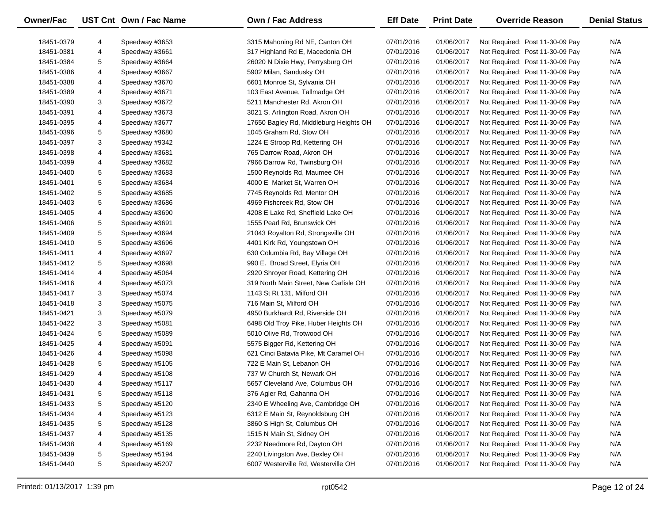| Owner/Fac  |   | UST Cnt Own / Fac Name | <b>Own / Fac Address</b>               | <b>Eff Date</b> | <b>Print Date</b> | <b>Override Reason</b>          | <b>Denial Status</b> |
|------------|---|------------------------|----------------------------------------|-----------------|-------------------|---------------------------------|----------------------|
| 18451-0379 | 4 | Speedway #3653         | 3315 Mahoning Rd NE, Canton OH         | 07/01/2016      | 01/06/2017        | Not Required: Post 11-30-09 Pay | N/A                  |
| 18451-0381 | 4 | Speedway #3661         | 317 Highland Rd E, Macedonia OH        | 07/01/2016      | 01/06/2017        | Not Required: Post 11-30-09 Pay | N/A                  |
| 18451-0384 | 5 | Speedway #3664         | 26020 N Dixie Hwy, Perrysburg OH       | 07/01/2016      | 01/06/2017        | Not Required: Post 11-30-09 Pay | N/A                  |
| 18451-0386 | 4 | Speedway #3667         | 5902 Milan, Sandusky OH                | 07/01/2016      | 01/06/2017        | Not Required: Post 11-30-09 Pay | N/A                  |
| 18451-0388 | 4 | Speedway #3670         | 6601 Monroe St, Sylvania OH            | 07/01/2016      | 01/06/2017        | Not Required: Post 11-30-09 Pay | N/A                  |
| 18451-0389 | 4 | Speedway #3671         | 103 East Avenue, Tallmadge OH          | 07/01/2016      | 01/06/2017        | Not Required: Post 11-30-09 Pay | N/A                  |
| 18451-0390 | 3 | Speedway #3672         | 5211 Manchester Rd, Akron OH           | 07/01/2016      | 01/06/2017        | Not Required: Post 11-30-09 Pay | N/A                  |
| 18451-0391 | 4 | Speedway #3673         | 3021 S. Arlington Road, Akron OH       | 07/01/2016      | 01/06/2017        | Not Required: Post 11-30-09 Pay | N/A                  |
| 18451-0395 | 4 | Speedway #3677         | 17650 Bagley Rd, Middleburg Heights OH | 07/01/2016      | 01/06/2017        | Not Required: Post 11-30-09 Pay | N/A                  |
| 18451-0396 | 5 | Speedway #3680         | 1045 Graham Rd, Stow OH                | 07/01/2016      | 01/06/2017        | Not Required: Post 11-30-09 Pay | N/A                  |
| 18451-0397 | 3 | Speedway #9342         | 1224 E Stroop Rd, Kettering OH         | 07/01/2016      | 01/06/2017        | Not Required: Post 11-30-09 Pay | N/A                  |
| 18451-0398 | 4 | Speedway #3681         | 765 Darrow Road, Akron OH              | 07/01/2016      | 01/06/2017        | Not Required: Post 11-30-09 Pay | N/A                  |
| 18451-0399 | 4 | Speedway #3682         | 7966 Darrow Rd, Twinsburg OH           | 07/01/2016      | 01/06/2017        | Not Required: Post 11-30-09 Pay | N/A                  |
| 18451-0400 | 5 | Speedway #3683         | 1500 Reynolds Rd, Maumee OH            | 07/01/2016      | 01/06/2017        | Not Required: Post 11-30-09 Pay | N/A                  |
| 18451-0401 | 5 | Speedway #3684         | 4000 E Market St, Warren OH            | 07/01/2016      | 01/06/2017        | Not Required: Post 11-30-09 Pay | N/A                  |
| 18451-0402 | 5 | Speedway #3685         | 7745 Reynolds Rd, Mentor OH            | 07/01/2016      | 01/06/2017        | Not Required: Post 11-30-09 Pay | N/A                  |
| 18451-0403 | 5 | Speedway #3686         | 4969 Fishcreek Rd, Stow OH             | 07/01/2016      | 01/06/2017        | Not Required: Post 11-30-09 Pay | N/A                  |
| 18451-0405 | 4 | Speedway #3690         | 4208 E Lake Rd, Sheffield Lake OH      | 07/01/2016      | 01/06/2017        | Not Required: Post 11-30-09 Pay | N/A                  |
| 18451-0406 | 5 | Speedway #3691         | 1555 Pearl Rd, Brunswick OH            | 07/01/2016      | 01/06/2017        | Not Required: Post 11-30-09 Pay | N/A                  |
| 18451-0409 | 5 | Speedway #3694         | 21043 Royalton Rd, Strongsville OH     | 07/01/2016      | 01/06/2017        | Not Required: Post 11-30-09 Pay | N/A                  |
| 18451-0410 | 5 | Speedway #3696         | 4401 Kirk Rd, Youngstown OH            | 07/01/2016      | 01/06/2017        | Not Required: Post 11-30-09 Pay | N/A                  |
| 18451-0411 | 4 | Speedway #3697         | 630 Columbia Rd, Bay Village OH        | 07/01/2016      | 01/06/2017        | Not Required: Post 11-30-09 Pay | N/A                  |
| 18451-0412 | 5 | Speedway #3698         | 990 E. Broad Street, Elyria OH         | 07/01/2016      | 01/06/2017        | Not Required: Post 11-30-09 Pay | N/A                  |
| 18451-0414 | 4 | Speedway #5064         | 2920 Shroyer Road, Kettering OH        | 07/01/2016      | 01/06/2017        | Not Required: Post 11-30-09 Pay | N/A                  |
| 18451-0416 | 4 | Speedway #5073         | 319 North Main Street, New Carlisle OH | 07/01/2016      | 01/06/2017        | Not Required: Post 11-30-09 Pay | N/A                  |
| 18451-0417 | 3 | Speedway #5074         | 1143 St Rt 131, Milford OH             | 07/01/2016      | 01/06/2017        | Not Required: Post 11-30-09 Pay | N/A                  |
| 18451-0418 | 3 | Speedway #5075         | 716 Main St, Milford OH                | 07/01/2016      | 01/06/2017        | Not Required: Post 11-30-09 Pay | N/A                  |
| 18451-0421 | 3 | Speedway #5079         | 4950 Burkhardt Rd, Riverside OH        | 07/01/2016      | 01/06/2017        | Not Required: Post 11-30-09 Pay | N/A                  |
| 18451-0422 | 3 | Speedway #5081         | 6498 Old Troy Pike, Huber Heights OH   | 07/01/2016      | 01/06/2017        | Not Required: Post 11-30-09 Pay | N/A                  |
| 18451-0424 | 5 | Speedway #5089         | 5010 Olive Rd, Trotwood OH             | 07/01/2016      | 01/06/2017        | Not Required: Post 11-30-09 Pay | N/A                  |
| 18451-0425 | 4 | Speedway #5091         | 5575 Bigger Rd, Kettering OH           | 07/01/2016      | 01/06/2017        | Not Required: Post 11-30-09 Pay | N/A                  |
| 18451-0426 | 4 | Speedway #5098         | 621 Cinci Batavia Pike, Mt Caramel OH  | 07/01/2016      | 01/06/2017        | Not Required: Post 11-30-09 Pay | N/A                  |
| 18451-0428 | 5 | Speedway #5105         | 722 E Main St, Lebanon OH              | 07/01/2016      | 01/06/2017        | Not Required: Post 11-30-09 Pay | N/A                  |
| 18451-0429 | 4 | Speedway #5108         | 737 W Church St, Newark OH             | 07/01/2016      | 01/06/2017        | Not Required: Post 11-30-09 Pay | N/A                  |
| 18451-0430 | 4 | Speedway #5117         | 5657 Cleveland Ave, Columbus OH        | 07/01/2016      | 01/06/2017        | Not Required: Post 11-30-09 Pay | N/A                  |
| 18451-0431 | 5 | Speedway #5118         | 376 Agler Rd, Gahanna OH               | 07/01/2016      | 01/06/2017        | Not Required: Post 11-30-09 Pay | N/A                  |
| 18451-0433 | 5 | Speedway #5120         | 2340 E Wheeling Ave, Cambridge OH      | 07/01/2016      | 01/06/2017        | Not Required: Post 11-30-09 Pay | N/A                  |
| 18451-0434 | 4 | Speedway #5123         | 6312 E Main St, Reynoldsburg OH        | 07/01/2016      | 01/06/2017        | Not Required: Post 11-30-09 Pay | N/A                  |
| 18451-0435 | 5 | Speedway #5128         | 3860 S High St, Columbus OH            | 07/01/2016      | 01/06/2017        | Not Required: Post 11-30-09 Pay | N/A                  |
| 18451-0437 | 4 | Speedway #5135         | 1515 N Main St, Sidney OH              | 07/01/2016      | 01/06/2017        | Not Required: Post 11-30-09 Pay | N/A                  |
| 18451-0438 | 4 | Speedway #5169         | 2232 Needmore Rd, Dayton OH            | 07/01/2016      | 01/06/2017        | Not Required: Post 11-30-09 Pay | N/A                  |
| 18451-0439 | 5 | Speedway #5194         | 2240 Livingston Ave, Bexley OH         | 07/01/2016      | 01/06/2017        | Not Required: Post 11-30-09 Pay | N/A                  |
| 18451-0440 | 5 | Speedway #5207         | 6007 Westerville Rd, Westerville OH    | 07/01/2016      | 01/06/2017        | Not Required: Post 11-30-09 Pay | N/A                  |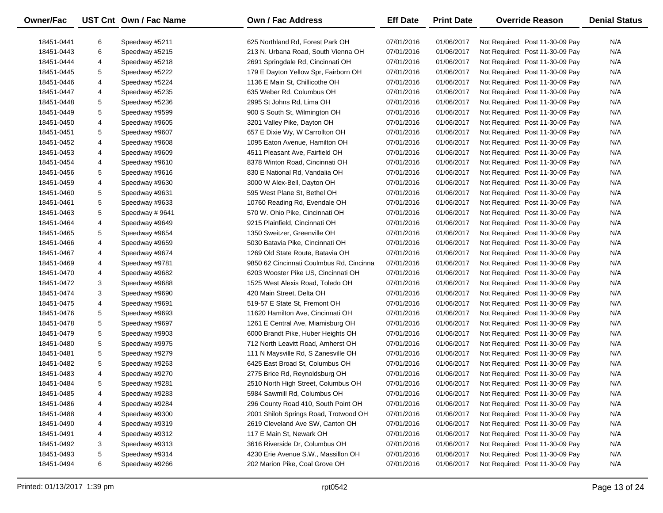| Owner/Fac                |        | UST Cnt Own / Fac Name           | Own / Fac Address                        | <b>Eff Date</b>          | <b>Print Date</b>        | <b>Override Reason</b>                                             | <b>Denial Status</b> |
|--------------------------|--------|----------------------------------|------------------------------------------|--------------------------|--------------------------|--------------------------------------------------------------------|----------------------|
| 18451-0441               | 6      | Speedway #5211                   | 625 Northland Rd, Forest Park OH         | 07/01/2016               | 01/06/2017               | Not Required: Post 11-30-09 Pay                                    | N/A                  |
| 18451-0443               | 6      | Speedway #5215                   | 213 N. Urbana Road, South Vienna OH      | 07/01/2016               | 01/06/2017               | Not Required: Post 11-30-09 Pay                                    | N/A                  |
| 18451-0444               | 4      | Speedway #5218                   | 2691 Springdale Rd, Cincinnati OH        | 07/01/2016               | 01/06/2017               | Not Required: Post 11-30-09 Pay                                    | N/A                  |
| 18451-0445               | 5      | Speedway #5222                   | 179 E Dayton Yellow Spr, Fairborn OH     | 07/01/2016               | 01/06/2017               | Not Required: Post 11-30-09 Pay                                    | N/A                  |
| 18451-0446               | 4      | Speedway #5224                   | 1136 E Main St, Chillicothe OH           | 07/01/2016               | 01/06/2017               | Not Required: Post 11-30-09 Pay                                    | N/A                  |
|                          |        |                                  | 635 Weber Rd, Columbus OH                |                          |                          |                                                                    | N/A                  |
| 18451-0447<br>18451-0448 | 4<br>5 | Speedway #5235<br>Speedway #5236 | 2995 St Johns Rd, Lima OH                | 07/01/2016<br>07/01/2016 | 01/06/2017<br>01/06/2017 | Not Required: Post 11-30-09 Pay<br>Not Required: Post 11-30-09 Pay | N/A                  |
| 18451-0449               | 5      | Speedway #9599                   | 900 S South St, Wilmington OH            | 07/01/2016               | 01/06/2017               | Not Required: Post 11-30-09 Pay                                    | N/A                  |
| 18451-0450               | 4      | Speedway #9605                   | 3201 Valley Pike, Dayton OH              | 07/01/2016               | 01/06/2017               | Not Required: Post 11-30-09 Pay                                    | N/A                  |
| 18451-0451               |        |                                  |                                          |                          |                          |                                                                    | N/A                  |
|                          | 5      | Speedway #9607                   | 657 E Dixie Wy, W Carrollton OH          | 07/01/2016               | 01/06/2017               | Not Required: Post 11-30-09 Pay                                    |                      |
| 18451-0452               | 4      | Speedway #9608                   | 1095 Eaton Avenue, Hamilton OH           | 07/01/2016               | 01/06/2017               | Not Required: Post 11-30-09 Pay                                    | N/A                  |
| 18451-0453               | 4      | Speedway #9609                   | 4511 Pleasant Ave, Fairfield OH          | 07/01/2016               | 01/06/2017               | Not Required: Post 11-30-09 Pay                                    | N/A                  |
| 18451-0454               | 4      | Speedway #9610                   | 8378 Winton Road, Cincinnati OH          | 07/01/2016               | 01/06/2017               | Not Required: Post 11-30-09 Pay                                    | N/A                  |
| 18451-0456               | 5      | Speedway #9616                   | 830 E National Rd, Vandalia OH           | 07/01/2016               | 01/06/2017               | Not Required: Post 11-30-09 Pay                                    | N/A                  |
| 18451-0459               | 4      | Speedway #9630                   | 3000 W Alex-Bell, Dayton OH              | 07/01/2016               | 01/06/2017               | Not Required: Post 11-30-09 Pay                                    | N/A                  |
| 18451-0460               | 5      | Speedway #9631                   | 595 West Plane St, Bethel OH             | 07/01/2016               | 01/06/2017               | Not Required: Post 11-30-09 Pay                                    | N/A                  |
| 18451-0461               | 5      | Speedway #9633                   | 10760 Reading Rd, Evendale OH            | 07/01/2016               | 01/06/2017               | Not Required: Post 11-30-09 Pay                                    | N/A                  |
| 18451-0463               | 5      | Speedway #9641                   | 570 W. Ohio Pike, Cincinnati OH          | 07/01/2016               | 01/06/2017               | Not Required: Post 11-30-09 Pay                                    | N/A                  |
| 18451-0464               | 4      | Speedway #9649                   | 9215 Plainfield, Cincinnati OH           | 07/01/2016               | 01/06/2017               | Not Required: Post 11-30-09 Pay                                    | N/A                  |
| 18451-0465               | 5      | Speedway #9654                   | 1350 Sweitzer, Greenville OH             | 07/01/2016               | 01/06/2017               | Not Required: Post 11-30-09 Pay                                    | N/A                  |
| 18451-0466               | 4      | Speedway #9659                   | 5030 Batavia Pike, Cincinnati OH         | 07/01/2016               | 01/06/2017               | Not Required: Post 11-30-09 Pay                                    | N/A                  |
| 18451-0467               | 4      | Speedway #9674                   | 1269 Old State Route, Batavia OH         | 07/01/2016               | 01/06/2017               | Not Required: Post 11-30-09 Pay                                    | N/A                  |
| 18451-0469               | 4      | Speedway #9781                   | 9850 62 Cincinnati Coulmbus Rd, Cincinna | 07/01/2016               | 01/06/2017               | Not Required: Post 11-30-09 Pay                                    | N/A                  |
| 18451-0470               | 4      | Speedway #9682                   | 6203 Wooster Pike US, Cincinnati OH      | 07/01/2016               | 01/06/2017               | Not Required: Post 11-30-09 Pay                                    | N/A                  |
| 18451-0472               | 3      | Speedway #9688                   | 1525 West Alexis Road, Toledo OH         | 07/01/2016               | 01/06/2017               | Not Required: Post 11-30-09 Pay                                    | N/A                  |
| 18451-0474               | 3      | Speedway #9690                   | 420 Main Street, Delta OH                | 07/01/2016               | 01/06/2017               | Not Required: Post 11-30-09 Pay                                    | N/A                  |
| 18451-0475               | 4      | Speedway #9691                   | 519-57 E State St, Fremont OH            | 07/01/2016               | 01/06/2017               | Not Required: Post 11-30-09 Pay                                    | N/A                  |
| 18451-0476               | 5      | Speedway #9693                   | 11620 Hamilton Ave, Cincinnati OH        | 07/01/2016               | 01/06/2017               | Not Required: Post 11-30-09 Pay                                    | N/A                  |
| 18451-0478               | 5      | Speedway #9697                   | 1261 E Central Ave, Miamisburg OH        | 07/01/2016               | 01/06/2017               | Not Required: Post 11-30-09 Pay                                    | N/A                  |
| 18451-0479               | 5      | Speedway #9903                   | 6000 Brandt Pike, Huber Heights OH       | 07/01/2016               | 01/06/2017               | Not Required: Post 11-30-09 Pay                                    | N/A                  |
| 18451-0480               | 5      | Speedway #9975                   | 712 North Leavitt Road, Amherst OH       | 07/01/2016               | 01/06/2017               | Not Required: Post 11-30-09 Pay                                    | N/A                  |
| 18451-0481               | 5      | Speedway #9279                   | 111 N Maysville Rd, S Zanesville OH      | 07/01/2016               | 01/06/2017               | Not Required: Post 11-30-09 Pay                                    | N/A                  |
| 18451-0482               | 5      | Speedway #9263                   | 6425 East Broad St, Columbus OH          | 07/01/2016               | 01/06/2017               | Not Required: Post 11-30-09 Pay                                    | N/A                  |
| 18451-0483               | 4      | Speedway #9270                   | 2775 Brice Rd, Reynoldsburg OH           | 07/01/2016               | 01/06/2017               | Not Required: Post 11-30-09 Pay                                    | N/A                  |
| 18451-0484               | 5      | Speedway #9281                   | 2510 North High Street, Columbus OH      | 07/01/2016               | 01/06/2017               | Not Required: Post 11-30-09 Pay                                    | N/A                  |
| 18451-0485               | 4      | Speedway #9283                   | 5984 Sawmill Rd, Columbus OH             | 07/01/2016               | 01/06/2017               | Not Required: Post 11-30-09 Pay                                    | N/A                  |
| 18451-0486               | 4      | Speedway #9284                   | 296 County Road 410, South Point OH      | 07/01/2016               | 01/06/2017               | Not Required: Post 11-30-09 Pay                                    | N/A                  |
| 18451-0488               | 4      | Speedway #9300                   | 2001 Shiloh Springs Road, Trotwood OH    | 07/01/2016               | 01/06/2017               | Not Required: Post 11-30-09 Pay                                    | N/A                  |
| 18451-0490               | 4      | Speedway #9319                   | 2619 Cleveland Ave SW, Canton OH         | 07/01/2016               | 01/06/2017               | Not Required: Post 11-30-09 Pay                                    | N/A                  |
| 18451-0491               | 4      | Speedway #9312                   | 117 E Main St, Newark OH                 | 07/01/2016               | 01/06/2017               | Not Required: Post 11-30-09 Pay                                    | N/A                  |
| 18451-0492               | 3      | Speedway #9313                   | 3616 Riverside Dr, Columbus OH           | 07/01/2016               | 01/06/2017               | Not Required: Post 11-30-09 Pay                                    | N/A                  |
| 18451-0493               | 5      | Speedway #9314                   | 4230 Erie Avenue S.W., Massillon OH      | 07/01/2016               | 01/06/2017               | Not Required: Post 11-30-09 Pay                                    | N/A                  |
| 18451-0494               | 6      | Speedway #9266                   | 202 Marion Pike, Coal Grove OH           | 07/01/2016               | 01/06/2017               | Not Required: Post 11-30-09 Pay                                    | N/A                  |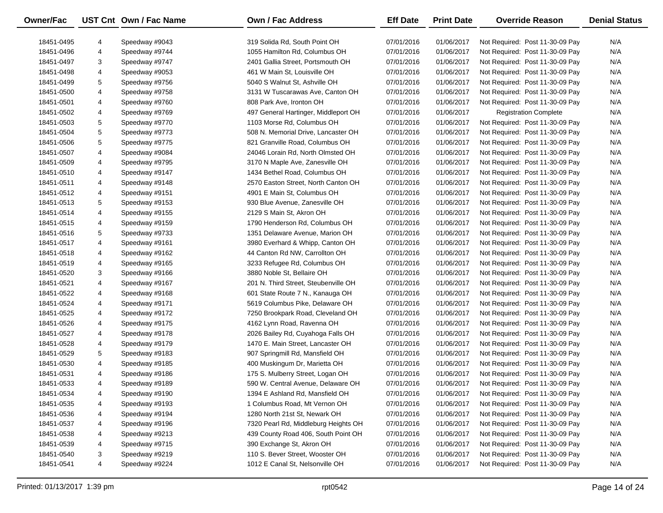| Owner/Fac  |   | UST Cnt Own / Fac Name | <b>Own / Fac Address</b>             | <b>Eff Date</b> | <b>Print Date</b> | <b>Override Reason</b>          | <b>Denial Status</b> |
|------------|---|------------------------|--------------------------------------|-----------------|-------------------|---------------------------------|----------------------|
| 18451-0495 | 4 | Speedway #9043         | 319 Solida Rd, South Point OH        | 07/01/2016      | 01/06/2017        | Not Required: Post 11-30-09 Pay | N/A                  |
| 18451-0496 | 4 | Speedway #9744         | 1055 Hamilton Rd, Columbus OH        | 07/01/2016      | 01/06/2017        | Not Required: Post 11-30-09 Pay | N/A                  |
| 18451-0497 | 3 | Speedway #9747         | 2401 Gallia Street, Portsmouth OH    | 07/01/2016      | 01/06/2017        | Not Required: Post 11-30-09 Pay | N/A                  |
| 18451-0498 | 4 | Speedway #9053         | 461 W Main St, Louisville OH         | 07/01/2016      | 01/06/2017        | Not Required: Post 11-30-09 Pay | N/A                  |
| 18451-0499 | 5 | Speedway #9756         | 5040 S Walnut St, Ashville OH        | 07/01/2016      | 01/06/2017        | Not Required: Post 11-30-09 Pay | N/A                  |
| 18451-0500 | 4 | Speedway #9758         | 3131 W Tuscarawas Ave, Canton OH     | 07/01/2016      | 01/06/2017        | Not Required: Post 11-30-09 Pay | N/A                  |
| 18451-0501 | 4 | Speedway #9760         | 808 Park Ave, Ironton OH             | 07/01/2016      | 01/06/2017        | Not Required: Post 11-30-09 Pay | N/A                  |
| 18451-0502 | 4 | Speedway #9769         | 497 General Hartinger, Middleport OH | 07/01/2016      | 01/06/2017        | <b>Registration Complete</b>    | N/A                  |
| 18451-0503 | 5 | Speedway #9770         | 1103 Morse Rd, Columbus OH           | 07/01/2016      | 01/06/2017        | Not Required: Post 11-30-09 Pay | N/A                  |
| 18451-0504 | 5 | Speedway #9773         | 508 N. Memorial Drive, Lancaster OH  | 07/01/2016      | 01/06/2017        | Not Required: Post 11-30-09 Pay | N/A                  |
| 18451-0506 | 5 | Speedway #9775         | 821 Granville Road, Columbus OH      | 07/01/2016      | 01/06/2017        | Not Required: Post 11-30-09 Pay | N/A                  |
| 18451-0507 | 4 | Speedway #9084         | 24046 Lorain Rd, North Olmsted OH    | 07/01/2016      | 01/06/2017        | Not Required: Post 11-30-09 Pay | N/A                  |
| 18451-0509 | 4 | Speedway #9795         | 3170 N Maple Ave, Zanesville OH      | 07/01/2016      | 01/06/2017        | Not Required: Post 11-30-09 Pay | N/A                  |
| 18451-0510 | 4 | Speedway #9147         | 1434 Bethel Road, Columbus OH        | 07/01/2016      | 01/06/2017        | Not Required: Post 11-30-09 Pay | N/A                  |
| 18451-0511 | 4 | Speedway #9148         | 2570 Easton Street, North Canton OH  | 07/01/2016      | 01/06/2017        | Not Required: Post 11-30-09 Pay | N/A                  |
| 18451-0512 | 4 | Speedway #9151         | 4901 E Main St, Columbus OH          | 07/01/2016      | 01/06/2017        | Not Required: Post 11-30-09 Pay | N/A                  |
| 18451-0513 | 5 | Speedway #9153         | 930 Blue Avenue, Zanesville OH       | 07/01/2016      | 01/06/2017        | Not Required: Post 11-30-09 Pay | N/A                  |
| 18451-0514 | 4 | Speedway #9155         | 2129 S Main St, Akron OH             | 07/01/2016      | 01/06/2017        | Not Required: Post 11-30-09 Pay | N/A                  |
| 18451-0515 | 4 | Speedway #9159         | 1790 Henderson Rd, Columbus OH       | 07/01/2016      | 01/06/2017        | Not Required: Post 11-30-09 Pay | N/A                  |
| 18451-0516 | 5 | Speedway #9733         | 1351 Delaware Avenue, Marion OH      | 07/01/2016      | 01/06/2017        | Not Required: Post 11-30-09 Pay | N/A                  |
| 18451-0517 | 4 | Speedway #9161         | 3980 Everhard & Whipp, Canton OH     | 07/01/2016      | 01/06/2017        | Not Required: Post 11-30-09 Pay | N/A                  |
| 18451-0518 | 4 | Speedway #9162         | 44 Canton Rd NW, Carrollton OH       | 07/01/2016      | 01/06/2017        | Not Required: Post 11-30-09 Pay | N/A                  |
| 18451-0519 | 4 | Speedway #9165         | 3233 Refugee Rd, Columbus OH         | 07/01/2016      | 01/06/2017        | Not Required: Post 11-30-09 Pay | N/A                  |
| 18451-0520 | 3 | Speedway #9166         | 3880 Noble St, Bellaire OH           | 07/01/2016      | 01/06/2017        | Not Required: Post 11-30-09 Pay | N/A                  |
| 18451-0521 | 4 | Speedway #9167         | 201 N. Third Street, Steubenville OH | 07/01/2016      | 01/06/2017        | Not Required: Post 11-30-09 Pay | N/A                  |
| 18451-0522 | 4 | Speedway #9168         | 601 State Route 7 N., Kanauga OH     | 07/01/2016      | 01/06/2017        | Not Required: Post 11-30-09 Pay | N/A                  |
| 18451-0524 | 4 | Speedway #9171         | 5619 Columbus Pike, Delaware OH      | 07/01/2016      | 01/06/2017        | Not Required: Post 11-30-09 Pay | N/A                  |
| 18451-0525 | 4 | Speedway #9172         | 7250 Brookpark Road, Cleveland OH    | 07/01/2016      | 01/06/2017        | Not Required: Post 11-30-09 Pay | N/A                  |
| 18451-0526 | 4 | Speedway #9175         | 4162 Lynn Road, Ravenna OH           | 07/01/2016      | 01/06/2017        | Not Required: Post 11-30-09 Pay | N/A                  |
| 18451-0527 | 4 | Speedway #9178         | 2026 Bailey Rd, Cuyahoga Falls OH    | 07/01/2016      | 01/06/2017        | Not Required: Post 11-30-09 Pay | N/A                  |
| 18451-0528 | 4 | Speedway #9179         | 1470 E. Main Street, Lancaster OH    | 07/01/2016      | 01/06/2017        | Not Required: Post 11-30-09 Pay | N/A                  |
| 18451-0529 | 5 | Speedway #9183         | 907 Springmill Rd, Mansfield OH      | 07/01/2016      | 01/06/2017        | Not Required: Post 11-30-09 Pay | N/A                  |
| 18451-0530 | 4 | Speedway #9185         | 400 Muskingum Dr, Marietta OH        | 07/01/2016      | 01/06/2017        | Not Required: Post 11-30-09 Pay | N/A                  |
| 18451-0531 | 4 | Speedway #9186         | 175 S. Mulberry Street, Logan OH     | 07/01/2016      | 01/06/2017        | Not Required: Post 11-30-09 Pay | N/A                  |
| 18451-0533 | 4 | Speedway #9189         | 590 W. Central Avenue, Delaware OH   | 07/01/2016      | 01/06/2017        | Not Required: Post 11-30-09 Pay | N/A                  |
| 18451-0534 | 4 | Speedway #9190         | 1394 E Ashland Rd, Mansfield OH      | 07/01/2016      | 01/06/2017        | Not Required: Post 11-30-09 Pay | N/A                  |
| 18451-0535 | 4 | Speedway #9193         | 1 Columbus Road, Mt Vernon OH        | 07/01/2016      | 01/06/2017        | Not Required: Post 11-30-09 Pay | N/A                  |
| 18451-0536 | 4 | Speedway #9194         | 1280 North 21st St, Newark OH        | 07/01/2016      | 01/06/2017        | Not Required: Post 11-30-09 Pay | N/A                  |
| 18451-0537 | 4 | Speedway #9196         | 7320 Pearl Rd, Middleburg Heights OH | 07/01/2016      | 01/06/2017        | Not Required: Post 11-30-09 Pay | N/A                  |
| 18451-0538 | 4 | Speedway #9213         | 439 County Road 406, South Point OH  | 07/01/2016      | 01/06/2017        | Not Required: Post 11-30-09 Pay | N/A                  |
| 18451-0539 | 4 | Speedway #9715         | 390 Exchange St, Akron OH            | 07/01/2016      | 01/06/2017        | Not Required: Post 11-30-09 Pay | N/A                  |
| 18451-0540 | 3 | Speedway #9219         | 110 S. Bever Street, Wooster OH      | 07/01/2016      | 01/06/2017        | Not Required: Post 11-30-09 Pay | N/A                  |
| 18451-0541 | 4 | Speedway #9224         | 1012 E Canal St, Nelsonville OH      | 07/01/2016      | 01/06/2017        | Not Required: Post 11-30-09 Pay | N/A                  |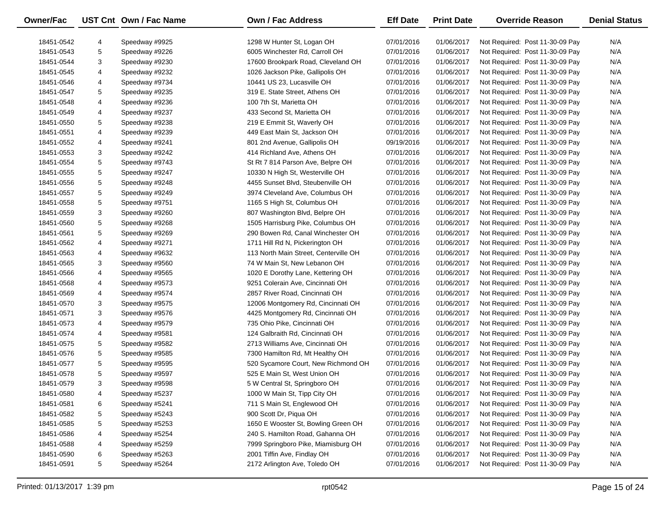| Owner/Fac  |        | UST Cnt Own / Fac Name           | <b>Own / Fac Address</b>                                     | <b>Eff Date</b>          | <b>Print Date</b>        | <b>Override Reason</b>                                             | <b>Denial Status</b> |
|------------|--------|----------------------------------|--------------------------------------------------------------|--------------------------|--------------------------|--------------------------------------------------------------------|----------------------|
| 18451-0542 |        |                                  |                                                              |                          |                          |                                                                    | N/A                  |
| 18451-0543 | 4<br>5 | Speedway #9925<br>Speedway #9226 | 1298 W Hunter St, Logan OH<br>6005 Winchester Rd, Carroll OH | 07/01/2016<br>07/01/2016 | 01/06/2017<br>01/06/2017 | Not Required: Post 11-30-09 Pay<br>Not Required: Post 11-30-09 Pay | N/A                  |
|            | 3      | Speedway #9230                   |                                                              |                          | 01/06/2017               |                                                                    | N/A                  |
| 18451-0544 |        |                                  | 17600 Brookpark Road, Cleveland OH                           | 07/01/2016               |                          | Not Required: Post 11-30-09 Pay                                    |                      |
| 18451-0545 | 4      | Speedway #9232                   | 1026 Jackson Pike, Gallipolis OH                             | 07/01/2016               | 01/06/2017               | Not Required: Post 11-30-09 Pay                                    | N/A                  |
| 18451-0546 | 4      | Speedway #9734                   | 10441 US 23, Lucasville OH                                   | 07/01/2016               | 01/06/2017               | Not Required: Post 11-30-09 Pay                                    | N/A                  |
| 18451-0547 | 5      | Speedway #9235                   | 319 E. State Street, Athens OH                               | 07/01/2016               | 01/06/2017               | Not Required: Post 11-30-09 Pay                                    | N/A                  |
| 18451-0548 | 4      | Speedway #9236                   | 100 7th St, Marietta OH                                      | 07/01/2016               | 01/06/2017               | Not Required: Post 11-30-09 Pay                                    | N/A                  |
| 18451-0549 | 4      | Speedway #9237                   | 433 Second St, Marietta OH                                   | 07/01/2016               | 01/06/2017               | Not Required: Post 11-30-09 Pay                                    | N/A                  |
| 18451-0550 | 5      | Speedway #9238                   | 219 E Emmit St, Waverly OH                                   | 07/01/2016               | 01/06/2017               | Not Required: Post 11-30-09 Pay                                    | N/A                  |
| 18451-0551 | 4      | Speedway #9239                   | 449 East Main St, Jackson OH                                 | 07/01/2016               | 01/06/2017               | Not Required: Post 11-30-09 Pay                                    | N/A                  |
| 18451-0552 | 4      | Speedway #9241                   | 801 2nd Avenue, Gallipolis OH                                | 09/19/2016               | 01/06/2017               | Not Required: Post 11-30-09 Pay                                    | N/A                  |
| 18451-0553 | 3      | Speedway #9242                   | 414 Richland Ave, Athens OH                                  | 07/01/2016               | 01/06/2017               | Not Required: Post 11-30-09 Pay                                    | N/A                  |
| 18451-0554 | 5      | Speedway #9743                   | St Rt 7 814 Parson Ave, Belpre OH                            | 07/01/2016               | 01/06/2017               | Not Required: Post 11-30-09 Pay                                    | N/A                  |
| 18451-0555 | 5      | Speedway #9247                   | 10330 N High St, Westerville OH                              | 07/01/2016               | 01/06/2017               | Not Required: Post 11-30-09 Pay                                    | N/A                  |
| 18451-0556 | 5      | Speedway #9248                   | 4455 Sunset Blvd, Steubenville OH                            | 07/01/2016               | 01/06/2017               | Not Required: Post 11-30-09 Pay                                    | N/A                  |
| 18451-0557 | 5      | Speedway #9249                   | 3974 Cleveland Ave, Columbus OH                              | 07/01/2016               | 01/06/2017               | Not Required: Post 11-30-09 Pay                                    | N/A                  |
| 18451-0558 | 5      | Speedway #9751                   | 1165 S High St, Columbus OH                                  | 07/01/2016               | 01/06/2017               | Not Required: Post 11-30-09 Pay                                    | N/A                  |
| 18451-0559 | 3      | Speedway #9260                   | 807 Washington Blvd, Belpre OH                               | 07/01/2016               | 01/06/2017               | Not Required: Post 11-30-09 Pay                                    | N/A                  |
| 18451-0560 | 5      | Speedway #9268                   | 1505 Harrisburg Pike, Columbus OH                            | 07/01/2016               | 01/06/2017               | Not Required: Post 11-30-09 Pay                                    | N/A                  |
| 18451-0561 | 5      | Speedway #9269                   | 290 Bowen Rd, Canal Winchester OH                            | 07/01/2016               | 01/06/2017               | Not Required: Post 11-30-09 Pay                                    | N/A                  |
| 18451-0562 | 4      | Speedway #9271                   | 1711 Hill Rd N, Pickerington OH                              | 07/01/2016               | 01/06/2017               | Not Required: Post 11-30-09 Pay                                    | N/A                  |
| 18451-0563 | 4      | Speedway #9632                   | 113 North Main Street, Centerville OH                        | 07/01/2016               | 01/06/2017               | Not Required: Post 11-30-09 Pay                                    | N/A                  |
| 18451-0565 | 3      | Speedway #9560                   | 74 W Main St, New Lebanon OH                                 | 07/01/2016               | 01/06/2017               | Not Required: Post 11-30-09 Pay                                    | N/A                  |
| 18451-0566 | 4      | Speedway #9565                   | 1020 E Dorothy Lane, Kettering OH                            | 07/01/2016               | 01/06/2017               | Not Required: Post 11-30-09 Pay                                    | N/A                  |
| 18451-0568 | 4      | Speedway #9573                   | 9251 Colerain Ave, Cincinnati OH                             | 07/01/2016               | 01/06/2017               | Not Required: Post 11-30-09 Pay                                    | N/A                  |
| 18451-0569 | 4      | Speedway #9574                   | 2857 River Road, Cincinnati OH                               | 07/01/2016               | 01/06/2017               | Not Required: Post 11-30-09 Pay                                    | N/A                  |
| 18451-0570 | 3      | Speedway #9575                   | 12006 Montgomery Rd, Cincinnati OH                           | 07/01/2016               | 01/06/2017               | Not Required: Post 11-30-09 Pay                                    | N/A                  |
| 18451-0571 | 3      | Speedway #9576                   | 4425 Montgomery Rd, Cincinnati OH                            | 07/01/2016               | 01/06/2017               | Not Required: Post 11-30-09 Pay                                    | N/A                  |
| 18451-0573 | 4      | Speedway #9579                   | 735 Ohio Pike, Cincinnati OH                                 | 07/01/2016               | 01/06/2017               | Not Required: Post 11-30-09 Pay                                    | N/A                  |
| 18451-0574 | 4      | Speedway #9581                   | 124 Galbraith Rd, Cincinnati OH                              | 07/01/2016               | 01/06/2017               | Not Required: Post 11-30-09 Pay                                    | N/A                  |
| 18451-0575 | 5      | Speedway #9582                   | 2713 Williams Ave, Cincinnati OH                             | 07/01/2016               | 01/06/2017               | Not Required: Post 11-30-09 Pay                                    | N/A                  |
| 18451-0576 | 5      | Speedway #9585                   | 7300 Hamilton Rd, Mt Healthy OH                              | 07/01/2016               | 01/06/2017               | Not Required: Post 11-30-09 Pay                                    | N/A                  |
| 18451-0577 | 5      | Speedway #9595                   | 520 Sycamore Court, New Richmond OH                          | 07/01/2016               | 01/06/2017               | Not Required: Post 11-30-09 Pay                                    | N/A                  |
| 18451-0578 | 5      | Speedway #9597                   | 525 E Main St, West Union OH                                 | 07/01/2016               | 01/06/2017               | Not Required: Post 11-30-09 Pay                                    | N/A                  |
| 18451-0579 | 3      | Speedway #9598                   | 5 W Central St, Springboro OH                                | 07/01/2016               | 01/06/2017               | Not Required: Post 11-30-09 Pay                                    | N/A                  |
| 18451-0580 | 4      | Speedway #5237                   | 1000 W Main St, Tipp City OH                                 | 07/01/2016               | 01/06/2017               | Not Required: Post 11-30-09 Pay                                    | N/A                  |
| 18451-0581 | 6      | Speedway #5241                   | 711 S Main St, Englewood OH                                  | 07/01/2016               | 01/06/2017               | Not Required: Post 11-30-09 Pay                                    | N/A                  |
| 18451-0582 | 5      | Speedway #5243                   | 900 Scott Dr, Piqua OH                                       | 07/01/2016               | 01/06/2017               | Not Required: Post 11-30-09 Pay                                    | N/A                  |
| 18451-0585 | 5      | Speedway #5253                   | 1650 E Wooster St, Bowling Green OH                          | 07/01/2016               | 01/06/2017               | Not Required: Post 11-30-09 Pay                                    | N/A                  |
| 18451-0586 | 4      | Speedway #5254                   | 240 S. Hamilton Road, Gahanna OH                             | 07/01/2016               | 01/06/2017               | Not Required: Post 11-30-09 Pay                                    | N/A                  |
| 18451-0588 | 4      | Speedway #5259                   | 7999 Springboro Pike, Miamisburg OH                          | 07/01/2016               | 01/06/2017               | Not Required: Post 11-30-09 Pay                                    | N/A                  |
| 18451-0590 | 6      | Speedway #5263                   | 2001 Tiffin Ave, Findlay OH                                  | 07/01/2016               | 01/06/2017               | Not Required: Post 11-30-09 Pay                                    | N/A                  |
| 18451-0591 | 5      | Speedway #5264                   | 2172 Arlington Ave, Toledo OH                                | 07/01/2016               | 01/06/2017               | Not Required: Post 11-30-09 Pay                                    | N/A                  |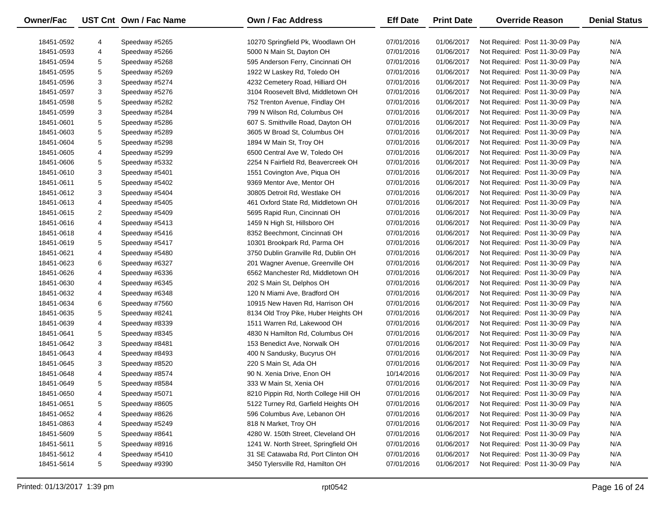| Owner/Fac  |   | UST Cnt Own / Fac Name | <b>Own / Fac Address</b>              | <b>Eff Date</b> | <b>Print Date</b> | <b>Override Reason</b>          | <b>Denial Status</b> |
|------------|---|------------------------|---------------------------------------|-----------------|-------------------|---------------------------------|----------------------|
| 18451-0592 | 4 | Speedway #5265         | 10270 Springfield Pk, Woodlawn OH     | 07/01/2016      | 01/06/2017        | Not Required: Post 11-30-09 Pay | N/A                  |
| 18451-0593 | 4 | Speedway #5266         | 5000 N Main St, Dayton OH             | 07/01/2016      | 01/06/2017        | Not Required: Post 11-30-09 Pay | N/A                  |
| 18451-0594 | 5 | Speedway #5268         | 595 Anderson Ferry, Cincinnati OH     | 07/01/2016      | 01/06/2017        | Not Required: Post 11-30-09 Pay | N/A                  |
| 18451-0595 | 5 | Speedway #5269         | 1922 W Laskey Rd, Toledo OH           | 07/01/2016      | 01/06/2017        | Not Required: Post 11-30-09 Pay | N/A                  |
| 18451-0596 | 3 | Speedway #5274         | 4232 Cemetery Road, Hilliard OH       | 07/01/2016      | 01/06/2017        | Not Required: Post 11-30-09 Pay | N/A                  |
| 18451-0597 | 3 | Speedway #5276         | 3104 Roosevelt Blvd, Middletown OH    | 07/01/2016      | 01/06/2017        | Not Required: Post 11-30-09 Pay | N/A                  |
| 18451-0598 | 5 | Speedway #5282         | 752 Trenton Avenue, Findlay OH        | 07/01/2016      | 01/06/2017        | Not Required: Post 11-30-09 Pay | N/A                  |
| 18451-0599 | 3 | Speedway #5284         | 799 N Wilson Rd, Columbus OH          | 07/01/2016      | 01/06/2017        | Not Required: Post 11-30-09 Pay | N/A                  |
| 18451-0601 | 5 | Speedway #5286         | 607 S. Smithville Road, Dayton OH     | 07/01/2016      | 01/06/2017        | Not Required: Post 11-30-09 Pay | N/A                  |
| 18451-0603 | 5 | Speedway #5289         | 3605 W Broad St, Columbus OH          | 07/01/2016      | 01/06/2017        | Not Required: Post 11-30-09 Pay | N/A                  |
| 18451-0604 | 5 | Speedway #5298         | 1894 W Main St, Troy OH               | 07/01/2016      | 01/06/2017        | Not Required: Post 11-30-09 Pay | N/A                  |
| 18451-0605 | 4 | Speedway #5299         | 6500 Central Ave W, Toledo OH         | 07/01/2016      | 01/06/2017        | Not Required: Post 11-30-09 Pay | N/A                  |
| 18451-0606 | 5 | Speedway #5332         | 2254 N Fairfield Rd, Beavercreek OH   | 07/01/2016      | 01/06/2017        | Not Required: Post 11-30-09 Pay | N/A                  |
| 18451-0610 | 3 | Speedway #5401         | 1551 Covington Ave, Piqua OH          | 07/01/2016      | 01/06/2017        | Not Required: Post 11-30-09 Pay | N/A                  |
| 18451-0611 | 5 | Speedway #5402         | 9369 Mentor Ave, Mentor OH            | 07/01/2016      | 01/06/2017        | Not Required: Post 11-30-09 Pay | N/A                  |
| 18451-0612 | 3 | Speedway #5404         | 30805 Detroit Rd, Westlake OH         | 07/01/2016      | 01/06/2017        | Not Required: Post 11-30-09 Pay | N/A                  |
| 18451-0613 | 4 | Speedway #5405         | 461 Oxford State Rd, Middletown OH    | 07/01/2016      | 01/06/2017        | Not Required: Post 11-30-09 Pay | N/A                  |
| 18451-0615 | 2 | Speedway #5409         | 5695 Rapid Run, Cincinnati OH         | 07/01/2016      | 01/06/2017        | Not Required: Post 11-30-09 Pay | N/A                  |
| 18451-0616 | 4 | Speedway #5413         | 1459 N High St, Hillsboro OH          | 07/01/2016      | 01/06/2017        | Not Required: Post 11-30-09 Pay | N/A                  |
| 18451-0618 | 4 | Speedway #5416         | 8352 Beechmont, Cincinnati OH         | 07/01/2016      | 01/06/2017        | Not Required: Post 11-30-09 Pay | N/A                  |
| 18451-0619 | 5 | Speedway #5417         | 10301 Brookpark Rd, Parma OH          | 07/01/2016      | 01/06/2017        | Not Required: Post 11-30-09 Pay | N/A                  |
| 18451-0621 | 4 | Speedway #5480         | 3750 Dublin Granville Rd, Dublin OH   | 07/01/2016      | 01/06/2017        | Not Required: Post 11-30-09 Pay | N/A                  |
| 18451-0623 | 6 | Speedway #6327         | 201 Wagner Avenue, Greenville OH      | 07/01/2016      | 01/06/2017        | Not Required: Post 11-30-09 Pay | N/A                  |
| 18451-0626 | 4 | Speedway #6336         | 6562 Manchester Rd, Middletown OH     | 07/01/2016      | 01/06/2017        | Not Required: Post 11-30-09 Pay | N/A                  |
| 18451-0630 | 4 | Speedway #6345         | 202 S Main St, Delphos OH             | 07/01/2016      | 01/06/2017        | Not Required: Post 11-30-09 Pay | N/A                  |
| 18451-0632 | 4 | Speedway #6348         | 120 N Miami Ave, Bradford OH          | 07/01/2016      | 01/06/2017        | Not Required: Post 11-30-09 Pay | N/A                  |
| 18451-0634 | 6 | Speedway #7560         | 10915 New Haven Rd, Harrison OH       | 07/01/2016      | 01/06/2017        | Not Required: Post 11-30-09 Pay | N/A                  |
| 18451-0635 | 5 | Speedway #8241         | 8134 Old Troy Pike, Huber Heights OH  | 07/01/2016      | 01/06/2017        | Not Required: Post 11-30-09 Pay | N/A                  |
| 18451-0639 | 4 | Speedway #8339         | 1511 Warren Rd, Lakewood OH           | 07/01/2016      | 01/06/2017        | Not Required: Post 11-30-09 Pay | N/A                  |
| 18451-0641 | 5 | Speedway #8345         | 4830 N Hamilton Rd, Columbus OH       | 07/01/2016      | 01/06/2017        | Not Required: Post 11-30-09 Pay | N/A                  |
| 18451-0642 | 3 | Speedway #8481         | 153 Benedict Ave, Norwalk OH          | 07/01/2016      | 01/06/2017        | Not Required: Post 11-30-09 Pay | N/A                  |
| 18451-0643 | 4 | Speedway #8493         | 400 N Sandusky, Bucyrus OH            | 07/01/2016      | 01/06/2017        | Not Required: Post 11-30-09 Pay | N/A                  |
| 18451-0645 | 3 | Speedway #8520         | 220 S Main St, Ada OH                 | 07/01/2016      | 01/06/2017        | Not Required: Post 11-30-09 Pay | N/A                  |
| 18451-0648 | 4 | Speedway #8574         | 90 N. Xenia Drive, Enon OH            | 10/14/2016      | 01/06/2017        | Not Required: Post 11-30-09 Pay | N/A                  |
| 18451-0649 | 5 | Speedway #8584         | 333 W Main St, Xenia OH               | 07/01/2016      | 01/06/2017        | Not Required: Post 11-30-09 Pay | N/A                  |
| 18451-0650 | 4 | Speedway #5071         | 8210 Pippin Rd, North College Hill OH | 07/01/2016      | 01/06/2017        | Not Required: Post 11-30-09 Pay | N/A                  |
| 18451-0651 | 5 | Speedway #8605         | 5122 Turney Rd, Garfield Heights OH   | 07/01/2016      | 01/06/2017        | Not Required: Post 11-30-09 Pay | N/A                  |
| 18451-0652 | 4 | Speedway #8626         | 596 Columbus Ave, Lebanon OH          | 07/01/2016      | 01/06/2017        | Not Required: Post 11-30-09 Pay | N/A                  |
| 18451-0863 | 4 | Speedway #5249         | 818 N Market, Troy OH                 | 07/01/2016      | 01/06/2017        | Not Required: Post 11-30-09 Pay | N/A                  |
| 18451-5609 | 5 | Speedway #8641         | 4280 W. 150th Street, Cleveland OH    | 07/01/2016      | 01/06/2017        | Not Required: Post 11-30-09 Pay | N/A                  |
| 18451-5611 | 5 | Speedway #8916         | 1241 W. North Street, Springfield OH  | 07/01/2016      | 01/06/2017        | Not Required: Post 11-30-09 Pay | N/A                  |
| 18451-5612 | 4 | Speedway #5410         | 31 SE Catawaba Rd, Port Clinton OH    | 07/01/2016      | 01/06/2017        | Not Required: Post 11-30-09 Pay | N/A                  |
| 18451-5614 | 5 | Speedway #9390         | 3450 Tylersville Rd, Hamilton OH      | 07/01/2016      | 01/06/2017        | Not Required: Post 11-30-09 Pay | N/A                  |
|            |   |                        |                                       |                 |                   |                                 |                      |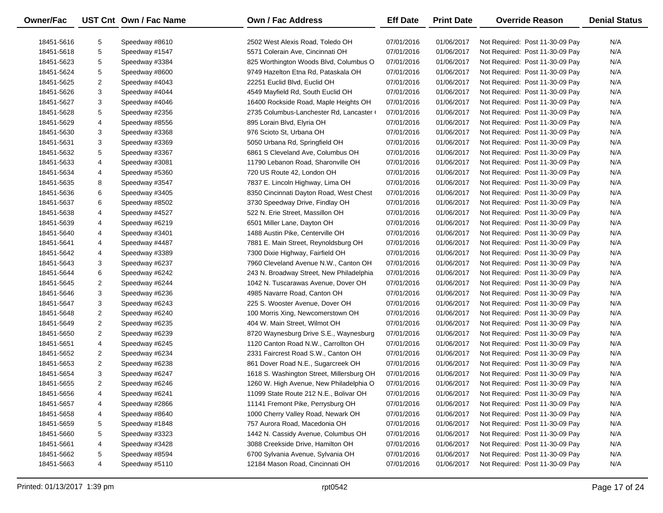| <b>Owner/Fac</b> |                | UST Cnt Own / Fac Name | <b>Own / Fac Address</b>                  | <b>Eff Date</b> | <b>Print Date</b> | <b>Override Reason</b>          | <b>Denial Status</b> |
|------------------|----------------|------------------------|-------------------------------------------|-----------------|-------------------|---------------------------------|----------------------|
| 18451-5616       | 5              | Speedway #8610         | 2502 West Alexis Road, Toledo OH          | 07/01/2016      | 01/06/2017        | Not Required: Post 11-30-09 Pay | N/A                  |
| 18451-5618       | 5              | Speedway #1547         | 5571 Colerain Ave, Cincinnati OH          | 07/01/2016      | 01/06/2017        | Not Required: Post 11-30-09 Pay | N/A                  |
| 18451-5623       | 5              | Speedway #3384         | 825 Worthington Woods Blvd, Columbus O    | 07/01/2016      | 01/06/2017        | Not Required: Post 11-30-09 Pay | N/A                  |
| 18451-5624       | 5              | Speedway #8600         | 9749 Hazelton Etna Rd, Pataskala OH       | 07/01/2016      | 01/06/2017        | Not Required: Post 11-30-09 Pay | N/A                  |
| 18451-5625       | 2              | Speedway #4043         | 22251 Euclid Blvd, Euclid OH              | 07/01/2016      | 01/06/2017        | Not Required: Post 11-30-09 Pay | N/A                  |
| 18451-5626       | 3              | Speedway #4044         | 4549 Mayfield Rd, South Euclid OH         | 07/01/2016      | 01/06/2017        | Not Required: Post 11-30-09 Pay | N/A                  |
| 18451-5627       | 3              | Speedway #4046         | 16400 Rockside Road, Maple Heights OH     | 07/01/2016      | 01/06/2017        | Not Required: Post 11-30-09 Pay | N/A                  |
| 18451-5628       | 5              | Speedway #2356         | 2735 Columbus-Lanchester Rd, Lancaster (  | 07/01/2016      | 01/06/2017        | Not Required: Post 11-30-09 Pay | N/A                  |
| 18451-5629       | 4              | Speedway #8556         | 895 Lorain Blvd, Elyria OH                | 07/01/2016      | 01/06/2017        | Not Required: Post 11-30-09 Pay | N/A                  |
| 18451-5630       | 3              | Speedway #3368         | 976 Scioto St, Urbana OH                  | 07/01/2016      | 01/06/2017        | Not Required: Post 11-30-09 Pay | N/A                  |
| 18451-5631       | 3              | Speedway #3369         | 5050 Urbana Rd, Springfield OH            | 07/01/2016      | 01/06/2017        | Not Required: Post 11-30-09 Pay | N/A                  |
| 18451-5632       | 5              | Speedway #3367         | 6861 S Cleveland Ave, Columbus OH         | 07/01/2016      | 01/06/2017        | Not Required: Post 11-30-09 Pay | N/A                  |
| 18451-5633       | 4              | Speedway #3081         | 11790 Lebanon Road, Sharonville OH        | 07/01/2016      | 01/06/2017        | Not Required: Post 11-30-09 Pay | N/A                  |
| 18451-5634       | 4              | Speedway #5360         | 720 US Route 42, London OH                | 07/01/2016      | 01/06/2017        | Not Required: Post 11-30-09 Pay | N/A                  |
| 18451-5635       | 8              | Speedway #3547         | 7837 E. Lincoln Highway, Lima OH          | 07/01/2016      | 01/06/2017        | Not Required: Post 11-30-09 Pay | N/A                  |
| 18451-5636       | 6              | Speedway #3405         | 8350 Cincinnati Dayton Road, West Chest   | 07/01/2016      | 01/06/2017        | Not Required: Post 11-30-09 Pay | N/A                  |
| 18451-5637       | 6              | Speedway #8502         | 3730 Speedway Drive, Findlay OH           | 07/01/2016      | 01/06/2017        | Not Required: Post 11-30-09 Pay | N/A                  |
| 18451-5638       | 4              | Speedway #4527         | 522 N. Erie Street, Massillon OH          | 07/01/2016      | 01/06/2017        | Not Required: Post 11-30-09 Pay | N/A                  |
| 18451-5639       | 4              | Speedway #6219         | 6501 Miller Lane, Dayton OH               | 07/01/2016      | 01/06/2017        | Not Required: Post 11-30-09 Pay | N/A                  |
| 18451-5640       | 4              | Speedway #3401         | 1488 Austin Pike, Centerville OH          | 07/01/2016      | 01/06/2017        | Not Required: Post 11-30-09 Pay | N/A                  |
| 18451-5641       | 4              | Speedway #4487         | 7881 E. Main Street, Reynoldsburg OH      | 07/01/2016      | 01/06/2017        | Not Required: Post 11-30-09 Pay | N/A                  |
| 18451-5642       | 4              | Speedway #3389         | 7300 Dixie Highway, Fairfield OH          | 07/01/2016      | 01/06/2017        | Not Required: Post 11-30-09 Pay | N/A                  |
| 18451-5643       | 3              | Speedway #6237         | 7960 Cleveland Avenue N.W., Canton OH     | 07/01/2016      | 01/06/2017        | Not Required: Post 11-30-09 Pay | N/A                  |
| 18451-5644       | 6              | Speedway #6242         | 243 N. Broadway Street, New Philadelphia  | 07/01/2016      | 01/06/2017        | Not Required: Post 11-30-09 Pay | N/A                  |
| 18451-5645       | $\overline{2}$ | Speedway #6244         | 1042 N. Tuscarawas Avenue, Dover OH       | 07/01/2016      | 01/06/2017        | Not Required: Post 11-30-09 Pay | N/A                  |
| 18451-5646       | 3              | Speedway #6236         | 4985 Navarre Road, Canton OH              | 07/01/2016      | 01/06/2017        | Not Required: Post 11-30-09 Pay | N/A                  |
| 18451-5647       | 3              | Speedway #6243         | 225 S. Wooster Avenue, Dover OH           | 07/01/2016      | 01/06/2017        | Not Required: Post 11-30-09 Pay | N/A                  |
| 18451-5648       | 2              | Speedway #6240         | 100 Morris Xing, Newcomerstown OH         | 07/01/2016      | 01/06/2017        | Not Required: Post 11-30-09 Pay | N/A                  |
| 18451-5649       | 2              | Speedway #6235         | 404 W. Main Street, Wilmot OH             | 07/01/2016      | 01/06/2017        | Not Required: Post 11-30-09 Pay | N/A                  |
| 18451-5650       | 2              | Speedway #6239         | 8720 Waynesburg Drive S.E., Waynesburg    | 07/01/2016      | 01/06/2017        | Not Required: Post 11-30-09 Pay | N/A                  |
| 18451-5651       | 4              | Speedway #6245         | 1120 Canton Road N.W., Carrollton OH      | 07/01/2016      | 01/06/2017        | Not Required: Post 11-30-09 Pay | N/A                  |
| 18451-5652       | 2              | Speedway #6234         | 2331 Faircrest Road S.W., Canton OH       | 07/01/2016      | 01/06/2017        | Not Required: Post 11-30-09 Pay | N/A                  |
| 18451-5653       | $\overline{c}$ | Speedway #6238         | 861 Dover Road N.E., Sugarcreek OH        | 07/01/2016      | 01/06/2017        | Not Required: Post 11-30-09 Pay | N/A                  |
| 18451-5654       | 3              | Speedway #6247         | 1618 S. Washington Street, Millersburg OH | 07/01/2016      | 01/06/2017        | Not Required: Post 11-30-09 Pay | N/A                  |
| 18451-5655       | $\overline{c}$ | Speedway #6246         | 1260 W. High Avenue, New Philadelphia O   | 07/01/2016      | 01/06/2017        | Not Required: Post 11-30-09 Pay | N/A                  |
| 18451-5656       | 4              | Speedway #6241         | 11099 State Route 212 N.E., Bolivar OH    | 07/01/2016      | 01/06/2017        | Not Required: Post 11-30-09 Pay | N/A                  |
| 18451-5657       | 4              | Speedway #2866         | 11141 Fremont Pike, Perrysburg OH         | 07/01/2016      | 01/06/2017        | Not Required: Post 11-30-09 Pay | N/A                  |
| 18451-5658       | 4              | Speedway #8640         | 1000 Cherry Valley Road, Newark OH        | 07/01/2016      | 01/06/2017        | Not Required: Post 11-30-09 Pay | N/A                  |
| 18451-5659       | 5              | Speedway #1848         | 757 Aurora Road, Macedonia OH             | 07/01/2016      | 01/06/2017        | Not Required: Post 11-30-09 Pay | N/A                  |
| 18451-5660       | 5              | Speedway #3323         | 1442 N. Cassidy Avenue, Columbus OH       | 07/01/2016      | 01/06/2017        | Not Required: Post 11-30-09 Pay | N/A                  |
| 18451-5661       | 4              | Speedway #3428         | 3088 Creekside Drive, Hamilton OH         | 07/01/2016      | 01/06/2017        | Not Required: Post 11-30-09 Pay | N/A                  |
| 18451-5662       | 5              | Speedway #8594         | 6700 Sylvania Avenue, Sylvania OH         | 07/01/2016      | 01/06/2017        | Not Required: Post 11-30-09 Pay | N/A                  |
| 18451-5663       | 4              | Speedway #5110         | 12184 Mason Road, Cincinnati OH           | 07/01/2016      | 01/06/2017        | Not Required: Post 11-30-09 Pay | N/A                  |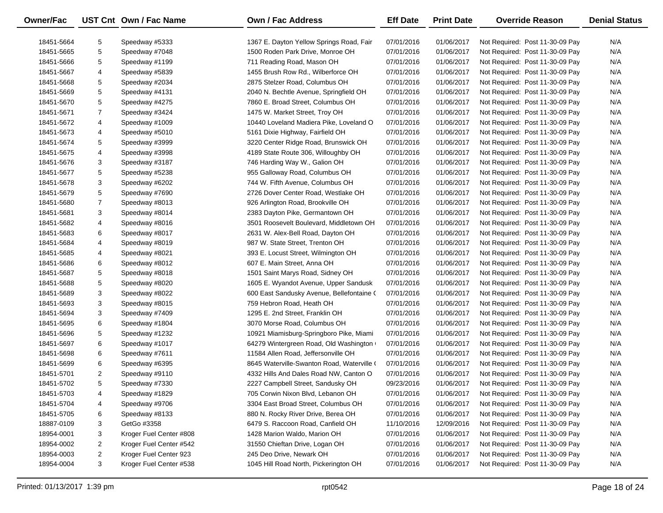| Owner/Fac  |                | UST Cnt Own / Fac Name  | <b>Own / Fac Address</b>                   | <b>Eff Date</b> | <b>Print Date</b> | <b>Override Reason</b>          | <b>Denial Status</b> |
|------------|----------------|-------------------------|--------------------------------------------|-----------------|-------------------|---------------------------------|----------------------|
| 18451-5664 | 5              | Speedway #5333          | 1367 E. Dayton Yellow Springs Road, Fair   | 07/01/2016      | 01/06/2017        | Not Required: Post 11-30-09 Pay | N/A                  |
| 18451-5665 | 5              | Speedway #7048          | 1500 Roden Park Drive, Monroe OH           | 07/01/2016      | 01/06/2017        | Not Required: Post 11-30-09 Pay | N/A                  |
| 18451-5666 | 5              | Speedway #1199          | 711 Reading Road, Mason OH                 | 07/01/2016      | 01/06/2017        | Not Required: Post 11-30-09 Pay | N/A                  |
| 18451-5667 | 4              | Speedway #5839          | 1455 Brush Row Rd., Wilberforce OH         | 07/01/2016      | 01/06/2017        | Not Required: Post 11-30-09 Pay | N/A                  |
| 18451-5668 | 5              | Speedway #2034          | 2875 Stelzer Road, Columbus OH             | 07/01/2016      | 01/06/2017        | Not Required: Post 11-30-09 Pay | N/A                  |
| 18451-5669 | 5              | Speedway #4131          | 2040 N. Bechtle Avenue, Springfield OH     | 07/01/2016      | 01/06/2017        | Not Required: Post 11-30-09 Pay | N/A                  |
| 18451-5670 | 5              | Speedway #4275          | 7860 E. Broad Street, Columbus OH          | 07/01/2016      | 01/06/2017        | Not Required: Post 11-30-09 Pay | N/A                  |
| 18451-5671 | 7              | Speedway #3424          | 1475 W. Market Street, Troy OH             | 07/01/2016      | 01/06/2017        | Not Required: Post 11-30-09 Pay | N/A                  |
| 18451-5672 | 4              | Speedway #1009          | 10440 Loveland Madiera Pike, Loveland O    | 07/01/2016      | 01/06/2017        | Not Required: Post 11-30-09 Pay | N/A                  |
| 18451-5673 | 4              | Speedway #5010          | 5161 Dixie Highway, Fairfield OH           | 07/01/2016      | 01/06/2017        | Not Required: Post 11-30-09 Pay | N/A                  |
| 18451-5674 | 5              | Speedway #3999          | 3220 Center Ridge Road, Brunswick OH       | 07/01/2016      | 01/06/2017        | Not Required: Post 11-30-09 Pay | N/A                  |
| 18451-5675 | 4              | Speedway #3998          | 4189 State Route 306, Willoughby OH        | 07/01/2016      | 01/06/2017        | Not Required: Post 11-30-09 Pay | N/A                  |
| 18451-5676 | 3              | Speedway #3187          | 746 Harding Way W., Galion OH              | 07/01/2016      | 01/06/2017        | Not Required: Post 11-30-09 Pay | N/A                  |
| 18451-5677 | 5              | Speedway #5238          | 955 Galloway Road, Columbus OH             | 07/01/2016      | 01/06/2017        | Not Required: Post 11-30-09 Pay | N/A                  |
| 18451-5678 | 3              | Speedway #6202          | 744 W. Fifth Avenue, Columbus OH           | 07/01/2016      | 01/06/2017        | Not Required: Post 11-30-09 Pay | N/A                  |
| 18451-5679 | 5              | Speedway #7690          | 2726 Dover Center Road, Westlake OH        | 07/01/2016      | 01/06/2017        | Not Required: Post 11-30-09 Pay | N/A                  |
| 18451-5680 | $\overline{7}$ | Speedway #8013          | 926 Arlington Road, Brookville OH          | 07/01/2016      | 01/06/2017        | Not Required: Post 11-30-09 Pay | N/A                  |
| 18451-5681 | 3              | Speedway #8014          | 2383 Dayton Pike, Germantown OH            | 07/01/2016      | 01/06/2017        | Not Required: Post 11-30-09 Pay | N/A                  |
| 18451-5682 | 4              | Speedway #8016          | 3501 Roosevelt Boulevard, Middletown OH    | 07/01/2016      | 01/06/2017        | Not Required: Post 11-30-09 Pay | N/A                  |
| 18451-5683 | 6              | Speedway #8017          | 2631 W. Alex-Bell Road, Dayton OH          | 07/01/2016      | 01/06/2017        | Not Required: Post 11-30-09 Pay | N/A                  |
| 18451-5684 | 4              | Speedway #8019          | 987 W. State Street, Trenton OH            | 07/01/2016      | 01/06/2017        | Not Required: Post 11-30-09 Pay | N/A                  |
| 18451-5685 | 4              | Speedway #8021          | 393 E. Locust Street, Wilmington OH        | 07/01/2016      | 01/06/2017        | Not Required: Post 11-30-09 Pay | N/A                  |
| 18451-5686 | 6              | Speedway #8012          | 607 E. Main Street, Anna OH                | 07/01/2016      | 01/06/2017        | Not Required: Post 11-30-09 Pay | N/A                  |
| 18451-5687 | 5              | Speedway #8018          | 1501 Saint Marys Road, Sidney OH           | 07/01/2016      | 01/06/2017        | Not Required: Post 11-30-09 Pay | N/A                  |
| 18451-5688 | 5              | Speedway #8020          | 1605 E. Wyandot Avenue, Upper Sandusk      | 07/01/2016      | 01/06/2017        | Not Required: Post 11-30-09 Pay | N/A                  |
| 18451-5689 | 3              | Speedway #8022          | 600 East Sandusky Avenue, Bellefontaine (  | 07/01/2016      | 01/06/2017        | Not Required: Post 11-30-09 Pay | N/A                  |
| 18451-5693 | 3              | Speedway #8015          | 759 Hebron Road, Heath OH                  | 07/01/2016      | 01/06/2017        | Not Required: Post 11-30-09 Pay | N/A                  |
| 18451-5694 | 3              | Speedway #7409          | 1295 E. 2nd Street, Franklin OH            | 07/01/2016      | 01/06/2017        | Not Required: Post 11-30-09 Pay | N/A                  |
| 18451-5695 | 6              | Speedway #1804          | 3070 Morse Road, Columbus OH               | 07/01/2016      | 01/06/2017        | Not Required: Post 11-30-09 Pay | N/A                  |
| 18451-5696 | 5              | Speedway #1232          | 10921 Miamisburg-Springboro Pike, Miami    | 07/01/2016      | 01/06/2017        | Not Required: Post 11-30-09 Pay | N/A                  |
| 18451-5697 | 6              | Speedway #1017          | 64279 Wintergreen Road, Old Washington     | 07/01/2016      | 01/06/2017        | Not Required: Post 11-30-09 Pay | N/A                  |
| 18451-5698 | 6              | Speedway #7611          | 11584 Allen Road, Jeffersonville OH        | 07/01/2016      | 01/06/2017        | Not Required: Post 11-30-09 Pay | N/A                  |
| 18451-5699 | 6              | Speedway #6395          | 8645 Waterville-Swanton Road, Waterville ( | 07/01/2016      | 01/06/2017        | Not Required: Post 11-30-09 Pay | N/A                  |
| 18451-5701 | 2              | Speedway #9110          | 4332 Hills And Dales Road NW, Canton O     | 07/01/2016      | 01/06/2017        | Not Required: Post 11-30-09 Pay | N/A                  |
| 18451-5702 | 5              | Speedway #7330          | 2227 Campbell Street, Sandusky OH          | 09/23/2016      | 01/06/2017        | Not Required: Post 11-30-09 Pay | N/A                  |
| 18451-5703 | 4              | Speedway #1829          | 705 Corwin Nixon Blvd, Lebanon OH          | 07/01/2016      | 01/06/2017        | Not Required: Post 11-30-09 Pay | N/A                  |
| 18451-5704 | 4              | Speedway #9706          | 3304 East Broad Street, Columbus OH        | 07/01/2016      | 01/06/2017        | Not Required: Post 11-30-09 Pay | N/A                  |
| 18451-5705 | 6              | Speedway #8133          | 880 N. Rocky River Drive, Berea OH         | 07/01/2016      | 01/06/2017        | Not Required: Post 11-30-09 Pay | N/A                  |
| 18887-0109 | 3              | GetGo #3358             | 6479 S. Raccoon Road, Canfield OH          | 11/10/2016      | 12/09/2016        | Not Required: Post 11-30-09 Pay | N/A                  |
| 18954-0001 | 3              | Kroger Fuel Center #808 | 1428 Marion Waldo, Marion OH               | 07/01/2016      | 01/06/2017        | Not Required: Post 11-30-09 Pay | N/A                  |
| 18954-0002 | 2              | Kroger Fuel Center #542 | 31550 Chieftan Drive, Logan OH             | 07/01/2016      | 01/06/2017        | Not Required: Post 11-30-09 Pay | N/A                  |
| 18954-0003 | 2              | Kroger Fuel Center 923  | 245 Deo Drive, Newark OH                   | 07/01/2016      | 01/06/2017        | Not Required: Post 11-30-09 Pay | N/A                  |
| 18954-0004 | 3              | Kroger Fuel Center #538 | 1045 Hill Road North, Pickerington OH      | 07/01/2016      | 01/06/2017        | Not Required: Post 11-30-09 Pay | N/A                  |
|            |                |                         |                                            |                 |                   |                                 |                      |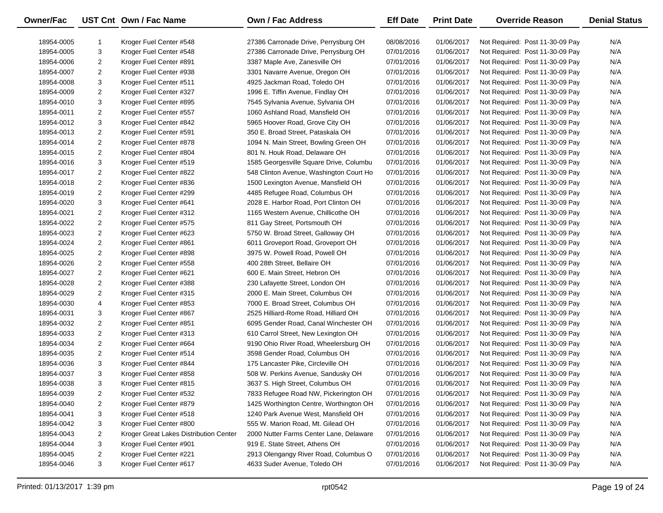| Owner/Fac  |                     | UST Cnt Own / Fac Name                 | Own / Fac Address                       | <b>Eff Date</b> | <b>Print Date</b> | <b>Override Reason</b>          | <b>Denial Status</b> |
|------------|---------------------|----------------------------------------|-----------------------------------------|-----------------|-------------------|---------------------------------|----------------------|
| 18954-0005 | -1                  | Kroger Fuel Center #548                | 27386 Carronade Drive, Perrysburg OH    | 08/08/2016      | 01/06/2017        | Not Required: Post 11-30-09 Pay | N/A                  |
| 18954-0005 | 3                   | Kroger Fuel Center #548                | 27386 Carronade Drive, Perrysburg OH    | 07/01/2016      | 01/06/2017        | Not Required: Post 11-30-09 Pay | N/A                  |
| 18954-0006 | $\overline{2}$      | Kroger Fuel Center #891                | 3387 Maple Ave, Zanesville OH           | 07/01/2016      | 01/06/2017        | Not Required: Post 11-30-09 Pay | N/A                  |
| 18954-0007 | $\overline{2}$      | Kroger Fuel Center #938                | 3301 Navarre Avenue, Oregon OH          | 07/01/2016      | 01/06/2017        | Not Required: Post 11-30-09 Pay | N/A                  |
| 18954-0008 | 3                   | Kroger Fuel Center #511                | 4925 Jackman Road, Toledo OH            | 07/01/2016      | 01/06/2017        | Not Required: Post 11-30-09 Pay | N/A                  |
| 18954-0009 | $\overline{2}$      | Kroger Fuel Center #327                | 1996 E. Tiffin Avenue, Findlay OH       | 07/01/2016      | 01/06/2017        | Not Required: Post 11-30-09 Pay | N/A                  |
| 18954-0010 | 3                   | Kroger Fuel Center #895                | 7545 Sylvania Avenue, Sylvania OH       | 07/01/2016      | 01/06/2017        | Not Required: Post 11-30-09 Pay | N/A                  |
| 18954-0011 | $\overline{2}$      | Kroger Fuel Center #557                | 1060 Ashland Road, Mansfield OH         | 07/01/2016      | 01/06/2017        | Not Required: Post 11-30-09 Pay | N/A                  |
| 18954-0012 | 3                   | Kroger Fuel Center #842                | 5965 Hoover Road, Grove City OH         | 07/01/2016      | 01/06/2017        | Not Required: Post 11-30-09 Pay | N/A                  |
|            | $\overline{2}$      |                                        | 350 E. Broad Street, Pataskala OH       |                 | 01/06/2017        |                                 | N/A                  |
| 18954-0013 | $\overline{2}$      | Kroger Fuel Center #591                |                                         | 07/01/2016      | 01/06/2017        | Not Required: Post 11-30-09 Pay | N/A                  |
| 18954-0014 |                     | Kroger Fuel Center #878                | 1094 N. Main Street, Bowling Green OH   | 07/01/2016      |                   | Not Required: Post 11-30-09 Pay |                      |
| 18954-0015 | $\overline{2}$<br>3 | Kroger Fuel Center #804                | 801 N. Houk Road, Delaware OH           | 07/01/2016      | 01/06/2017        | Not Required: Post 11-30-09 Pay | N/A                  |
| 18954-0016 |                     | Kroger Fuel Center #519                | 1585 Georgesville Square Drive, Columbu | 07/01/2016      | 01/06/2017        | Not Required: Post 11-30-09 Pay | N/A                  |
| 18954-0017 | $\overline{2}$      | Kroger Fuel Center #822                | 548 Clinton Avenue, Washington Court Ho | 07/01/2016      | 01/06/2017        | Not Required: Post 11-30-09 Pay | N/A                  |
| 18954-0018 | $\overline{2}$      | Kroger Fuel Center #836                | 1500 Lexington Avenue, Mansfield OH     | 07/01/2016      | 01/06/2017        | Not Required: Post 11-30-09 Pay | N/A                  |
| 18954-0019 | $\overline{2}$      | Kroger Fuel Center #299                | 4485 Refugee Road, Columbus OH          | 07/01/2016      | 01/06/2017        | Not Required: Post 11-30-09 Pay | N/A                  |
| 18954-0020 | 3                   | Kroger Fuel Center #641                | 2028 E. Harbor Road, Port Clinton OH    | 07/01/2016      | 01/06/2017        | Not Required: Post 11-30-09 Pay | N/A                  |
| 18954-0021 | $\overline{2}$      | Kroger Fuel Center #312                | 1165 Western Avenue, Chillicothe OH     | 07/01/2016      | 01/06/2017        | Not Required: Post 11-30-09 Pay | N/A                  |
| 18954-0022 | $\overline{2}$      | Kroger Fuel Center #575                | 811 Gay Street, Portsmouth OH           | 07/01/2016      | 01/06/2017        | Not Required: Post 11-30-09 Pay | N/A                  |
| 18954-0023 | $\overline{2}$      | Kroger Fuel Center #623                | 5750 W. Broad Street, Galloway OH       | 07/01/2016      | 01/06/2017        | Not Required: Post 11-30-09 Pay | N/A                  |
| 18954-0024 | $\overline{2}$      | Kroger Fuel Center #861                | 6011 Groveport Road, Groveport OH       | 07/01/2016      | 01/06/2017        | Not Required: Post 11-30-09 Pay | N/A                  |
| 18954-0025 | $\overline{2}$      | Kroger Fuel Center #898                | 3975 W. Powell Road, Powell OH          | 07/01/2016      | 01/06/2017        | Not Required: Post 11-30-09 Pay | N/A                  |
| 18954-0026 | $\overline{2}$      | Kroger Fuel Center #558                | 400 28th Street, Bellaire OH            | 07/01/2016      | 01/06/2017        | Not Required: Post 11-30-09 Pay | N/A                  |
| 18954-0027 | $\overline{2}$      | Kroger Fuel Center #621                | 600 E. Main Street, Hebron OH           | 07/01/2016      | 01/06/2017        | Not Required: Post 11-30-09 Pay | N/A                  |
| 18954-0028 | $\overline{2}$      | Kroger Fuel Center #388                | 230 Lafayette Street, London OH         | 07/01/2016      | 01/06/2017        | Not Required: Post 11-30-09 Pay | N/A                  |
| 18954-0029 | $\overline{2}$      | Kroger Fuel Center #315                | 2000 E. Main Street, Columbus OH        | 07/01/2016      | 01/06/2017        | Not Required: Post 11-30-09 Pay | N/A                  |
| 18954-0030 | 4                   | Kroger Fuel Center #853                | 7000 E. Broad Street, Columbus OH       | 07/01/2016      | 01/06/2017        | Not Required: Post 11-30-09 Pay | N/A                  |
| 18954-0031 | 3                   | Kroger Fuel Center #867                | 2525 Hilliard-Rome Road, Hilliard OH    | 07/01/2016      | 01/06/2017        | Not Required: Post 11-30-09 Pay | N/A                  |
| 18954-0032 | $\overline{2}$      | Kroger Fuel Center #851                | 6095 Gender Road, Canal Winchester OH   | 07/01/2016      | 01/06/2017        | Not Required: Post 11-30-09 Pay | N/A                  |
| 18954-0033 | $\overline{2}$      | Kroger Fuel Center #313                | 610 Carrol Street, New Lexington OH     | 07/01/2016      | 01/06/2017        | Not Required: Post 11-30-09 Pay | N/A                  |
| 18954-0034 | $\overline{2}$      | Kroger Fuel Center #664                | 9190 Ohio River Road, Wheelersburg OH   | 07/01/2016      | 01/06/2017        | Not Required: Post 11-30-09 Pay | N/A                  |
| 18954-0035 | $\overline{2}$      | Kroger Fuel Center #514                | 3598 Gender Road, Columbus OH           | 07/01/2016      | 01/06/2017        | Not Required: Post 11-30-09 Pay | N/A                  |
| 18954-0036 | 3                   | Kroger Fuel Center #844                | 175 Lancaster Pike, Circleville OH      | 07/01/2016      | 01/06/2017        | Not Required: Post 11-30-09 Pay | N/A                  |
| 18954-0037 | 3                   | Kroger Fuel Center #858                | 508 W. Perkins Avenue, Sandusky OH      | 07/01/2016      | 01/06/2017        | Not Required: Post 11-30-09 Pay | N/A                  |
| 18954-0038 | 3                   | Kroger Fuel Center #815                | 3637 S. High Street, Columbus OH        | 07/01/2016      | 01/06/2017        | Not Required: Post 11-30-09 Pay | N/A                  |
| 18954-0039 | 2                   | Kroger Fuel Center #532                | 7833 Refugee Road NW, Pickerington OH   | 07/01/2016      | 01/06/2017        | Not Required: Post 11-30-09 Pay | N/A                  |
| 18954-0040 | $\overline{c}$      | Kroger Fuel Center #879                | 1425 Worthington Centre, Worthington OH | 07/01/2016      | 01/06/2017        | Not Required: Post 11-30-09 Pay | N/A                  |
| 18954-0041 | 3                   | Kroger Fuel Center #518                | 1240 Park Avenue West, Mansfield OH     | 07/01/2016      | 01/06/2017        | Not Required: Post 11-30-09 Pay | N/A                  |
| 18954-0042 | 3                   | Kroger Fuel Center #800                | 555 W. Marion Road, Mt. Gilead OH       | 07/01/2016      | 01/06/2017        | Not Required: Post 11-30-09 Pay | N/A                  |
| 18954-0043 | $\overline{a}$      | Kroger Great Lakes Distribution Center | 2000 Nutter Farms Center Lane, Delaware | 07/01/2016      | 01/06/2017        | Not Required: Post 11-30-09 Pay | N/A                  |
| 18954-0044 | 3                   | Kroger Fuel Center #901                | 919 E. State Street, Athens OH          | 07/01/2016      | 01/06/2017        | Not Required: Post 11-30-09 Pay | N/A                  |
| 18954-0045 | $\overline{2}$      | Kroger Fuel Center #221                | 2913 Olengangy River Road, Columbus O   | 07/01/2016      | 01/06/2017        | Not Required: Post 11-30-09 Pay | N/A                  |
| 18954-0046 | 3                   | Kroger Fuel Center #617                | 4633 Suder Avenue, Toledo OH            | 07/01/2016      | 01/06/2017        | Not Required: Post 11-30-09 Pay | N/A                  |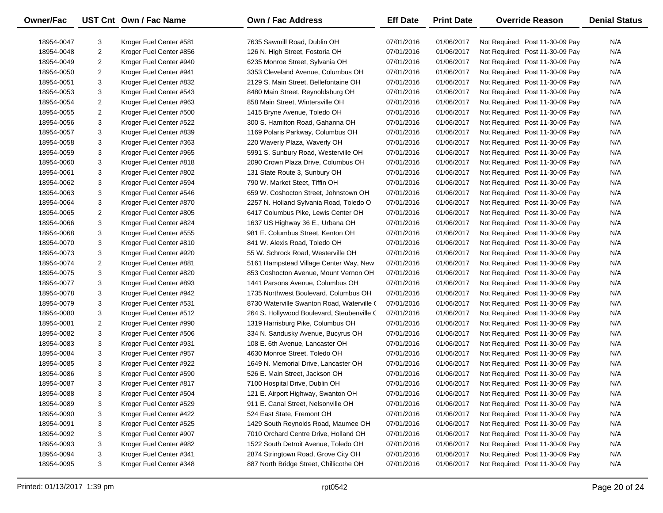| Owner/Fac  |                | UST Cnt Own / Fac Name  | Own / Fac Address                          | <b>Eff Date</b> | <b>Print Date</b> | <b>Override Reason</b>          | <b>Denial Status</b> |
|------------|----------------|-------------------------|--------------------------------------------|-----------------|-------------------|---------------------------------|----------------------|
| 18954-0047 | 3              | Kroger Fuel Center #581 | 7635 Sawmill Road, Dublin OH               | 07/01/2016      | 01/06/2017        | Not Required: Post 11-30-09 Pay | N/A                  |
| 18954-0048 | $\overline{2}$ | Kroger Fuel Center #856 | 126 N. High Street, Fostoria OH            | 07/01/2016      | 01/06/2017        | Not Required: Post 11-30-09 Pay | N/A                  |
| 18954-0049 | $\overline{2}$ | Kroger Fuel Center #940 | 6235 Monroe Street, Sylvania OH            | 07/01/2016      | 01/06/2017        | Not Required: Post 11-30-09 Pay | N/A                  |
| 18954-0050 | $\overline{2}$ | Kroger Fuel Center #941 | 3353 Cleveland Avenue, Columbus OH         | 07/01/2016      | 01/06/2017        | Not Required: Post 11-30-09 Pay | N/A                  |
| 18954-0051 | 3              | Kroger Fuel Center #832 | 2129 S. Main Street, Bellefontaine OH      | 07/01/2016      | 01/06/2017        | Not Required: Post 11-30-09 Pay | N/A                  |
| 18954-0053 | 3              | Kroger Fuel Center #543 | 8480 Main Street, Reynoldsburg OH          | 07/01/2016      | 01/06/2017        | Not Required: Post 11-30-09 Pay | N/A                  |
| 18954-0054 | $\overline{2}$ | Kroger Fuel Center #963 | 858 Main Street, Wintersville OH           | 07/01/2016      | 01/06/2017        | Not Required: Post 11-30-09 Pay | N/A                  |
| 18954-0055 | $\overline{2}$ | Kroger Fuel Center #500 | 1415 Bryne Avenue, Toledo OH               | 07/01/2016      | 01/06/2017        | Not Required: Post 11-30-09 Pay | N/A                  |
| 18954-0056 | 3              | Kroger Fuel Center #522 | 300 S. Hamilton Road, Gahanna OH           | 07/01/2016      | 01/06/2017        | Not Required: Post 11-30-09 Pay | N/A                  |
| 18954-0057 | 3              | Kroger Fuel Center #839 | 1169 Polaris Parkway, Columbus OH          | 07/01/2016      | 01/06/2017        | Not Required: Post 11-30-09 Pay | N/A                  |
| 18954-0058 | 3              | Kroger Fuel Center #363 | 220 Waverly Plaza, Waverly OH              | 07/01/2016      | 01/06/2017        | Not Required: Post 11-30-09 Pay | N/A                  |
| 18954-0059 | 3              | Kroger Fuel Center #965 | 5991 S. Sunbury Road, Westerville OH       | 07/01/2016      | 01/06/2017        | Not Required: Post 11-30-09 Pay | N/A                  |
| 18954-0060 | 3              | Kroger Fuel Center #818 | 2090 Crown Plaza Drive, Columbus OH        | 07/01/2016      | 01/06/2017        | Not Required: Post 11-30-09 Pay | N/A                  |
| 18954-0061 | 3              | Kroger Fuel Center #802 | 131 State Route 3, Sunbury OH              | 07/01/2016      | 01/06/2017        | Not Required: Post 11-30-09 Pay | N/A                  |
| 18954-0062 | 3              | Kroger Fuel Center #594 | 790 W. Market Steet, Tiffin OH             | 07/01/2016      | 01/06/2017        | Not Required: Post 11-30-09 Pay | N/A                  |
| 18954-0063 | 3              | Kroger Fuel Center #546 | 659 W. Coshocton Street, Johnstown OH      | 07/01/2016      | 01/06/2017        | Not Required: Post 11-30-09 Pay | N/A                  |
| 18954-0064 | 3              | Kroger Fuel Center #870 | 2257 N. Holland Sylvania Road, Toledo O    | 07/01/2016      | 01/06/2017        | Not Required: Post 11-30-09 Pay | N/A                  |
| 18954-0065 | $\overline{2}$ | Kroger Fuel Center #805 | 6417 Columbus Pike, Lewis Center OH        | 07/01/2016      | 01/06/2017        | Not Required: Post 11-30-09 Pay | N/A                  |
| 18954-0066 | 3              | Kroger Fuel Center #824 | 1637 US Highway 36 E., Urbana OH           | 07/01/2016      | 01/06/2017        | Not Required: Post 11-30-09 Pay | N/A                  |
| 18954-0068 | 3              | Kroger Fuel Center #555 | 981 E. Columbus Street, Kenton OH          | 07/01/2016      | 01/06/2017        | Not Required: Post 11-30-09 Pay | N/A                  |
| 18954-0070 | 3              | Kroger Fuel Center #810 | 841 W. Alexis Road, Toledo OH              | 07/01/2016      | 01/06/2017        | Not Required: Post 11-30-09 Pay | N/A                  |
| 18954-0073 | 3              | Kroger Fuel Center #920 | 55 W. Schrock Road, Westerville OH         | 07/01/2016      | 01/06/2017        | Not Required: Post 11-30-09 Pay | N/A                  |
| 18954-0074 | $\overline{2}$ | Kroger Fuel Center #881 | 5161 Hampstead Village Center Way, New     | 07/01/2016      | 01/06/2017        | Not Required: Post 11-30-09 Pay | N/A                  |
| 18954-0075 | 3              | Kroger Fuel Center #820 | 853 Coshocton Avenue, Mount Vernon OH      | 07/01/2016      | 01/06/2017        | Not Required: Post 11-30-09 Pay | N/A                  |
| 18954-0077 | 3              | Kroger Fuel Center #893 | 1441 Parsons Avenue, Columbus OH           | 07/01/2016      | 01/06/2017        | Not Required: Post 11-30-09 Pay | N/A                  |
| 18954-0078 | 3              | Kroger Fuel Center #942 | 1735 Northwest Boulevard, Columbus OH      | 07/01/2016      | 01/06/2017        | Not Required: Post 11-30-09 Pay | N/A                  |
| 18954-0079 | 3              | Kroger Fuel Center #531 | 8730 Waterville Swanton Road, Waterville ( | 07/01/2016      | 01/06/2017        | Not Required: Post 11-30-09 Pay | N/A                  |
| 18954-0080 | 3              | Kroger Fuel Center #512 | 264 S. Hollywood Boulevard, Steubenville ( | 07/01/2016      | 01/06/2017        | Not Required: Post 11-30-09 Pay | N/A                  |
| 18954-0081 | $\overline{2}$ | Kroger Fuel Center #990 | 1319 Harrisburg Pike, Columbus OH          | 07/01/2016      | 01/06/2017        | Not Required: Post 11-30-09 Pay | N/A                  |
| 18954-0082 | 3              | Kroger Fuel Center #506 | 334 N. Sandusky Avenue, Bucyrus OH         | 07/01/2016      | 01/06/2017        | Not Required: Post 11-30-09 Pay | N/A                  |
| 18954-0083 | 3              | Kroger Fuel Center #931 | 108 E. 6th Avenue, Lancaster OH            | 07/01/2016      | 01/06/2017        | Not Required: Post 11-30-09 Pay | N/A                  |
| 18954-0084 | 3              | Kroger Fuel Center #957 | 4630 Monroe Street, Toledo OH              | 07/01/2016      | 01/06/2017        | Not Required: Post 11-30-09 Pay | N/A                  |
| 18954-0085 | 3              | Kroger Fuel Center #922 | 1649 N. Memorial Drive, Lancaster OH       | 07/01/2016      | 01/06/2017        | Not Required: Post 11-30-09 Pay | N/A                  |
| 18954-0086 | 3              | Kroger Fuel Center #590 | 526 E. Main Street, Jackson OH             | 07/01/2016      | 01/06/2017        | Not Required: Post 11-30-09 Pay | N/A                  |
| 18954-0087 | 3              | Kroger Fuel Center #817 | 7100 Hospital Drive, Dublin OH             | 07/01/2016      | 01/06/2017        | Not Required: Post 11-30-09 Pay | N/A                  |
| 18954-0088 | 3              | Kroger Fuel Center #504 | 121 E. Airport Highway, Swanton OH         | 07/01/2016      | 01/06/2017        | Not Required: Post 11-30-09 Pay | N/A                  |
| 18954-0089 | 3              | Kroger Fuel Center #529 | 911 E. Canal Street, Nelsonville OH        | 07/01/2016      | 01/06/2017        | Not Required: Post 11-30-09 Pay | N/A                  |
| 18954-0090 | 3              | Kroger Fuel Center #422 | 524 East State, Fremont OH                 | 07/01/2016      | 01/06/2017        | Not Required: Post 11-30-09 Pay | N/A                  |
| 18954-0091 | 3              | Kroger Fuel Center #525 | 1429 South Reynolds Road, Maumee OH        | 07/01/2016      | 01/06/2017        | Not Required: Post 11-30-09 Pay | N/A                  |
| 18954-0092 | 3              | Kroger Fuel Center #907 | 7010 Orchard Centre Drive, Holland OH      | 07/01/2016      | 01/06/2017        | Not Required: Post 11-30-09 Pay | N/A                  |
| 18954-0093 | 3              | Kroger Fuel Center #982 | 1522 South Detroit Avenue, Toledo OH       | 07/01/2016      | 01/06/2017        | Not Required: Post 11-30-09 Pay | N/A                  |
| 18954-0094 | 3              | Kroger Fuel Center #341 | 2874 Stringtown Road, Grove City OH        | 07/01/2016      | 01/06/2017        | Not Required: Post 11-30-09 Pay | N/A                  |
| 18954-0095 | 3              | Kroger Fuel Center #348 | 887 North Bridge Street, Chillicothe OH    | 07/01/2016      | 01/06/2017        | Not Required: Post 11-30-09 Pay | N/A                  |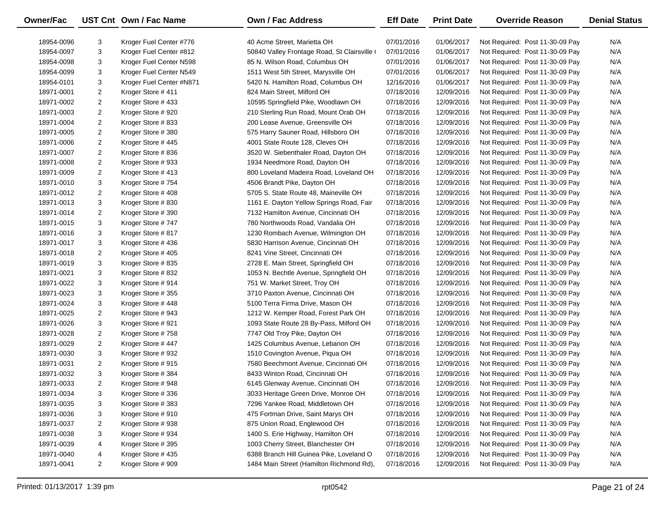| Owner/Fac  |                         | UST Cnt Own / Fac Name   | <b>Own / Fac Address</b>                     | <b>Eff Date</b> | <b>Print Date</b> | <b>Override Reason</b>          | <b>Denial Status</b> |
|------------|-------------------------|--------------------------|----------------------------------------------|-----------------|-------------------|---------------------------------|----------------------|
| 18954-0096 | 3                       | Kroger Fuel Center #776  | 40 Acme Street. Marietta OH                  | 07/01/2016      | 01/06/2017        | Not Required: Post 11-30-09 Pay | N/A                  |
| 18954-0097 | 3                       | Kroger Fuel Center #812  | 50840 Valley Frontage Road, St Clairsville ( | 07/01/2016      | 01/06/2017        | Not Required: Post 11-30-09 Pay | N/A                  |
| 18954-0098 | 3                       | Kroger Fuel Center N598  | 85 N. Wilson Road, Columbus OH               | 07/01/2016      | 01/06/2017        | Not Required: Post 11-30-09 Pay | N/A                  |
| 18954-0099 | 3                       | Kroger Fuel Center N549  | 1511 West 5th Street, Marysville OH          | 07/01/2016      | 01/06/2017        | Not Required: Post 11-30-09 Pay | N/A                  |
| 18954-0101 | 3                       | Kroger Fuel Center #N871 | 5420 N. Hamilton Road, Columbus OH           | 12/16/2016      | 01/06/2017        | Not Required: Post 11-30-09 Pay | N/A                  |
| 18971-0001 | 2                       | Kroger Store #411        | 824 Main Street, Milford OH                  | 07/18/2016      | 12/09/2016        | Not Required: Post 11-30-09 Pay | N/A                  |
| 18971-0002 | 2                       | Kroger Store #433        | 10595 Springfield Pike, Woodlawn OH          | 07/18/2016      | 12/09/2016        | Not Required: Post 11-30-09 Pay | N/A                  |
| 18971-0003 | 2                       | Kroger Store #920        | 210 Sterling Run Road, Mount Orab OH         | 07/18/2016      | 12/09/2016        | Not Required: Post 11-30-09 Pay | N/A                  |
| 18971-0004 | $\overline{c}$          | Kroger Store #833        | 200 Lease Avenue, Greensville OH             | 07/18/2016      | 12/09/2016        | Not Required: Post 11-30-09 Pay | N/A                  |
| 18971-0005 | $\overline{a}$          | Kroger Store #380        | 575 Harry Sauner Road, Hillsboro OH          | 07/18/2016      | 12/09/2016        | Not Required: Post 11-30-09 Pay | N/A                  |
| 18971-0006 | 2                       | Kroger Store #445        | 4001 State Route 128, Cleves OH              | 07/18/2016      | 12/09/2016        | Not Required: Post 11-30-09 Pay | N/A                  |
| 18971-0007 | 2                       | Kroger Store #836        | 3520 W. Siebenthaler Road, Dayton OH         | 07/18/2016      | 12/09/2016        | Not Required: Post 11-30-09 Pay | N/A                  |
| 18971-0008 | $\overline{\mathbf{c}}$ | Kroger Store #933        | 1934 Needmore Road, Dayton OH                | 07/18/2016      | 12/09/2016        | Not Required: Post 11-30-09 Pay | N/A                  |
| 18971-0009 | 2                       | Kroger Store #413        | 800 Loveland Madeira Road, Loveland OH       | 07/18/2016      | 12/09/2016        | Not Required: Post 11-30-09 Pay | N/A                  |
| 18971-0010 | 3                       | Kroger Store #754        | 4506 Brandt Pike, Dayton OH                  | 07/18/2016      | 12/09/2016        | Not Required: Post 11-30-09 Pay | N/A                  |
| 18971-0012 | 2                       | Kroger Store #408        | 5705 S. State Route 48, Maineville OH        | 07/18/2016      | 12/09/2016        | Not Required: Post 11-30-09 Pay | N/A                  |
| 18971-0013 | 3                       | Kroger Store #830        | 1161 E. Dayton Yellow Springs Road, Fair     | 07/18/2016      | 12/09/2016        | Not Required: Post 11-30-09 Pay | N/A                  |
| 18971-0014 | 2                       | Kroger Store #390        | 7132 Hamilton Avenue, Cincinnati OH          | 07/18/2016      | 12/09/2016        | Not Required: Post 11-30-09 Pay | N/A                  |
| 18971-0015 | 3                       | Kroger Store #747        | 780 Northwoods Road, Vandalia OH             | 07/18/2016      | 12/09/2016        | Not Required: Post 11-30-09 Pay | N/A                  |
| 18971-0016 | 3                       | Kroger Store #817        | 1230 Rombach Avenue, Wilmington OH           | 07/18/2016      | 12/09/2016        | Not Required: Post 11-30-09 Pay | N/A                  |
| 18971-0017 | 3                       | Kroger Store #436        | 5830 Harrison Avenue, Cincinnati OH          | 07/18/2016      | 12/09/2016        | Not Required: Post 11-30-09 Pay | N/A                  |
| 18971-0018 | 2                       | Kroger Store #405        | 8241 Vine Street, Cincinnati OH              | 07/18/2016      | 12/09/2016        | Not Required: Post 11-30-09 Pay | N/A                  |
| 18971-0019 | 3                       | Kroger Store #835        | 2728 E. Main Street, Springfield OH          | 07/18/2016      | 12/09/2016        | Not Required: Post 11-30-09 Pay | N/A                  |
| 18971-0021 | 3                       | Kroger Store #832        | 1053 N. Bechtle Avenue, Springfield OH       | 07/18/2016      | 12/09/2016        | Not Required: Post 11-30-09 Pay | N/A                  |
| 18971-0022 | 3                       | Kroger Store #914        | 751 W. Market Street, Troy OH                | 07/18/2016      | 12/09/2016        | Not Required: Post 11-30-09 Pay | N/A                  |
| 18971-0023 | 3                       | Kroger Store #355        | 3710 Paxton Avenue, Cincinnati OH            | 07/18/2016      | 12/09/2016        | Not Required: Post 11-30-09 Pay | N/A                  |
| 18971-0024 | 3                       | Kroger Store #448        | 5100 Terra Firma Drive, Mason OH             | 07/18/2016      | 12/09/2016        | Not Required: Post 11-30-09 Pay | N/A                  |
| 18971-0025 | 2                       | Kroger Store #943        | 1212 W. Kemper Road, Forest Park OH          | 07/18/2016      | 12/09/2016        | Not Required: Post 11-30-09 Pay | N/A                  |
| 18971-0026 | 3                       | Kroger Store #921        | 1093 State Route 28 By-Pass, Milford OH      | 07/18/2016      | 12/09/2016        | Not Required: Post 11-30-09 Pay | N/A                  |
| 18971-0028 | 2                       | Kroger Store #758        | 7747 Old Troy Pike, Dayton OH                | 07/18/2016      | 12/09/2016        | Not Required: Post 11-30-09 Pay | N/A                  |
| 18971-0029 | $\overline{c}$          | Kroger Store #447        | 1425 Columbus Avenue, Lebanon OH             | 07/18/2016      | 12/09/2016        | Not Required: Post 11-30-09 Pay | N/A                  |
| 18971-0030 | 3                       | Kroger Store #932        | 1510 Covington Avenue, Piqua OH              | 07/18/2016      | 12/09/2016        | Not Required: Post 11-30-09 Pay | N/A                  |
| 18971-0031 | $\overline{2}$          | Kroger Store #915        | 7580 Beechmont Avenue, Cincinnati OH         | 07/18/2016      | 12/09/2016        | Not Required: Post 11-30-09 Pay | N/A                  |
| 18971-0032 | 3                       | Kroger Store #384        | 8433 Winton Road, Cincinnati OH              | 07/18/2016      | 12/09/2016        | Not Required: Post 11-30-09 Pay | N/A                  |
| 18971-0033 | $\overline{2}$          | Kroger Store #948        | 6145 Glenway Avenue, Cincinnati OH           | 07/18/2016      | 12/09/2016        | Not Required: Post 11-30-09 Pay | N/A                  |
| 18971-0034 | 3                       | Kroger Store #336        | 3033 Heritage Green Drive, Monroe OH         | 07/18/2016      | 12/09/2016        | Not Required: Post 11-30-09 Pay | N/A                  |
| 18971-0035 | 3                       | Kroger Store #383        | 7296 Yankee Road, Middletown OH              | 07/18/2016      | 12/09/2016        | Not Required: Post 11-30-09 Pay | N/A                  |
| 18971-0036 | 3                       | Kroger Store #910        | 475 Fortman Drive, Saint Marys OH            | 07/18/2016      | 12/09/2016        | Not Required: Post 11-30-09 Pay | N/A                  |
| 18971-0037 | $\overline{a}$          | Kroger Store #938        | 875 Union Road, Englewood OH                 | 07/18/2016      | 12/09/2016        | Not Required: Post 11-30-09 Pay | N/A                  |
| 18971-0038 | 3                       | Kroger Store #934        | 1400 S. Erie Highway, Hamilton OH            | 07/18/2016      | 12/09/2016        | Not Required: Post 11-30-09 Pay | N/A                  |
| 18971-0039 | 4                       | Kroger Store #395        | 1003 Cherry Street, Blanchester OH           | 07/18/2016      | 12/09/2016        | Not Required: Post 11-30-09 Pay | N/A                  |
| 18971-0040 | 4                       | Kroger Store #435        | 6388 Branch Hill Guinea Pike, Loveland O     | 07/18/2016      | 12/09/2016        | Not Required: Post 11-30-09 Pay | N/A                  |
| 18971-0041 | 2                       | Kroger Store #909        | 1484 Main Street (Hamilton Richmond Rd),     | 07/18/2016      | 12/09/2016        | Not Required: Post 11-30-09 Pay | N/A                  |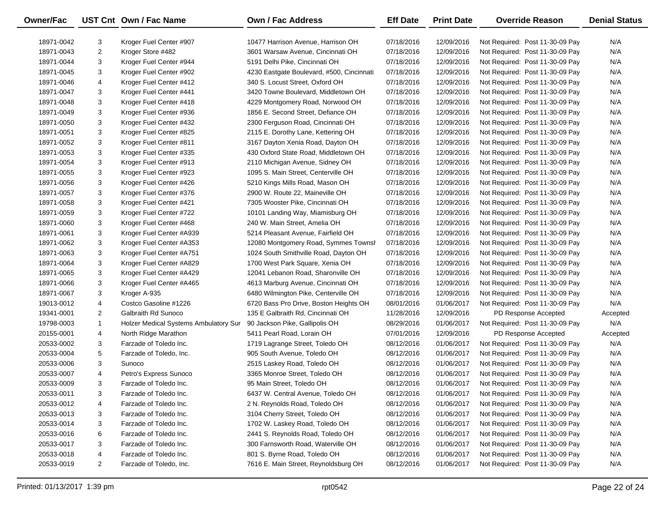| Owner/Fac  |                | UST Cnt Own / Fac Name                | <b>Own / Fac Address</b>                  | <b>Eff Date</b> | <b>Print Date</b> | <b>Override Reason</b>          | <b>Denial Status</b> |
|------------|----------------|---------------------------------------|-------------------------------------------|-----------------|-------------------|---------------------------------|----------------------|
| 18971-0042 | 3              | Kroger Fuel Center #907               | 10477 Harrison Avenue, Harrison OH        | 07/18/2016      | 12/09/2016        | Not Required: Post 11-30-09 Pay | N/A                  |
| 18971-0043 | $\overline{2}$ | Kroger Store #482                     | 3601 Warsaw Avenue, Cincinnati OH         | 07/18/2016      | 12/09/2016        | Not Required: Post 11-30-09 Pay | N/A                  |
| 18971-0044 | 3              | Kroger Fuel Center #944               | 5191 Delhi Pike, Cincinnati OH            | 07/18/2016      | 12/09/2016        | Not Required: Post 11-30-09 Pay | N/A                  |
| 18971-0045 | 3              | Kroger Fuel Center #902               | 4230 Eastgate Boulevard, #500, Cincinnati | 07/18/2016      | 12/09/2016        | Not Required: Post 11-30-09 Pay | N/A                  |
| 18971-0046 | 4              | Kroger Fuel Center #412               | 340 S. Locust Street, Oxford OH           | 07/18/2016      | 12/09/2016        | Not Required: Post 11-30-09 Pay | N/A                  |
| 18971-0047 | 3              | Kroger Fuel Center #441               | 3420 Towne Boulevard, Middletown OH       | 07/18/2016      | 12/09/2016        | Not Required: Post 11-30-09 Pay | N/A                  |
| 18971-0048 | 3              | Kroger Fuel Center #418               | 4229 Montgomery Road, Norwood OH          | 07/18/2016      | 12/09/2016        | Not Required: Post 11-30-09 Pay | N/A                  |
| 18971-0049 | 3              | Kroger Fuel Center #936               | 1856 E. Second Street, Defiance OH        | 07/18/2016      | 12/09/2016        | Not Required: Post 11-30-09 Pay | N/A                  |
| 18971-0050 | 3              | Kroger Fuel Center #432               | 2300 Ferguson Road, Cincinnati OH         | 07/18/2016      | 12/09/2016        | Not Required: Post 11-30-09 Pay | N/A                  |
| 18971-0051 | 3              | Kroger Fuel Center #825               | 2115 E. Dorothy Lane, Kettering OH        | 07/18/2016      | 12/09/2016        | Not Required: Post 11-30-09 Pay | N/A                  |
| 18971-0052 | 3              | Kroger Fuel Center #811               | 3167 Dayton Xenia Road, Dayton OH         | 07/18/2016      | 12/09/2016        | Not Required: Post 11-30-09 Pay | N/A                  |
| 18971-0053 | 3              | Kroger Fuel Center #335               | 430 Oxford State Road, Middletown OH      | 07/18/2016      | 12/09/2016        | Not Required: Post 11-30-09 Pay | N/A                  |
| 18971-0054 | 3              | Kroger Fuel Center #913               | 2110 Michigan Avenue, Sidney OH           | 07/18/2016      | 12/09/2016        | Not Required: Post 11-30-09 Pay | N/A                  |
| 18971-0055 | 3              | Kroger Fuel Center #923               | 1095 S. Main Street, Centerville OH       | 07/18/2016      | 12/09/2016        | Not Required: Post 11-30-09 Pay | N/A                  |
| 18971-0056 | 3              | Kroger Fuel Center #426               | 5210 Kings Mills Road, Mason OH           | 07/18/2016      | 12/09/2016        | Not Required: Post 11-30-09 Pay | N/A                  |
| 18971-0057 | 3              | Kroger Fuel Center #376               | 2900 W. Route 22, Maineville OH           | 07/18/2016      | 12/09/2016        | Not Required: Post 11-30-09 Pay | N/A                  |
| 18971-0058 | 3              | Kroger Fuel Center #421               | 7305 Wooster Pike, Cincinnati OH          | 07/18/2016      | 12/09/2016        | Not Required: Post 11-30-09 Pay | N/A                  |
| 18971-0059 | 3              | Kroger Fuel Center #722               | 10101 Landing Way, Miamisburg OH          | 07/18/2016      | 12/09/2016        | Not Required: Post 11-30-09 Pay | N/A                  |
| 18971-0060 | 3              | Kroger Fuel Center #468               | 240 W. Main Street, Amelia OH             | 07/18/2016      | 12/09/2016        | Not Required: Post 11-30-09 Pay | N/A                  |
| 18971-0061 | 3              | Kroger Fuel Center #A939              | 5214 Pleasant Avenue, Fairfield OH        | 07/18/2016      | 12/09/2016        | Not Required: Post 11-30-09 Pay | N/A                  |
| 18971-0062 | 3              | Kroger Fuel Center #A353              | 12080 Montgomery Road, Symmes Townsh      | 07/18/2016      | 12/09/2016        | Not Required: Post 11-30-09 Pay | N/A                  |
| 18971-0063 | 3              | Kroger Fuel Center #A751              | 1024 South Smithville Road, Dayton OH     | 07/18/2016      | 12/09/2016        | Not Required: Post 11-30-09 Pay | N/A                  |
| 18971-0064 | 3              | Kroger Fuel Center #A829              | 1700 West Park Square, Xenia OH           | 07/18/2016      | 12/09/2016        | Not Required: Post 11-30-09 Pay | N/A                  |
| 18971-0065 | 3              | Kroger Fuel Center #A429              | 12041 Lebanon Road, Sharonville OH        | 07/18/2016      | 12/09/2016        | Not Required: Post 11-30-09 Pay | N/A                  |
| 18971-0066 | 3              | Kroger Fuel Center #A465              | 4613 Marburg Avenue, Cincinnati OH        | 07/18/2016      | 12/09/2016        | Not Required: Post 11-30-09 Pay | N/A                  |
| 18971-0067 | 3              | Kroger A-935                          | 6480 Wilmington Pike, Centerville OH      | 07/18/2016      | 12/09/2016        | Not Required: Post 11-30-09 Pay | N/A                  |
| 19013-0012 | 4              | Costco Gasoline #1226                 | 6720 Bass Pro Drive, Boston Heights OH    | 08/01/2016      | 01/06/2017        | Not Required: Post 11-30-09 Pay | N/A                  |
| 19341-0001 | $\overline{2}$ | Galbraith Rd Sunoco                   | 135 E Galbraith Rd, Cincinnati OH         | 11/28/2016      | 12/09/2016        | PD Response Accepted            | Accepted             |
| 19798-0003 | $\mathbf{1}$   | Holzer Medical Systems Ambulatory Sur | 90 Jackson Pike, Gallipolis OH            | 08/29/2016      | 01/06/2017        | Not Required: Post 11-30-09 Pay | N/A                  |
| 20155-0001 | 4              | North Ridge Marathon                  | 5411 Pearl Road, Lorain OH                | 07/01/2016      | 12/09/2016        | PD Response Accepted            | Accepted             |
| 20533-0002 | 3              | Farzade of Toledo Inc.                | 1719 Lagrange Street, Toledo OH           | 08/12/2016      | 01/06/2017        | Not Required: Post 11-30-09 Pay | N/A                  |
| 20533-0004 | 5              | Farzade of Toledo, Inc.               | 905 South Avenue, Toledo OH               | 08/12/2016      | 01/06/2017        | Not Required: Post 11-30-09 Pay | N/A                  |
| 20533-0006 | 3              | Sunoco                                | 2515 Laskey Road, Toledo OH               | 08/12/2016      | 01/06/2017        | Not Required: Post 11-30-09 Pay | N/A                  |
| 20533-0007 | 4              | Petro's Express Sunoco                | 3365 Monroe Street, Toledo OH             | 08/12/2016      | 01/06/2017        | Not Required: Post 11-30-09 Pay | N/A                  |
| 20533-0009 | 3              | Farzade of Toledo Inc.                | 95 Main Street, Toledo OH                 | 08/12/2016      | 01/06/2017        | Not Required: Post 11-30-09 Pay | N/A                  |
| 20533-0011 | 3              | Farzade of Toledo Inc.                | 6437 W. Central Avenue, Toledo OH         | 08/12/2016      | 01/06/2017        | Not Required: Post 11-30-09 Pay | N/A                  |
| 20533-0012 | 4              | Farzade of Toledo Inc.                | 2 N. Reynolds Road, Toledo OH             | 08/12/2016      | 01/06/2017        | Not Required: Post 11-30-09 Pay | N/A                  |
| 20533-0013 | 3              | Farzade of Toledo Inc.                | 3104 Cherry Street, Toledo OH             | 08/12/2016      | 01/06/2017        | Not Required: Post 11-30-09 Pay | N/A                  |
| 20533-0014 | 3              | Farzade of Toledo Inc.                | 1702 W. Laskey Road, Toledo OH            | 08/12/2016      | 01/06/2017        | Not Required: Post 11-30-09 Pay | N/A                  |
| 20533-0016 | 6              | Farzade of Toledo Inc.                | 2441 S. Reynolds Road, Toledo OH          | 08/12/2016      | 01/06/2017        | Not Required: Post 11-30-09 Pay | N/A                  |
| 20533-0017 | 3              | Farzade of Toledo Inc.                | 300 Farnsworth Road, Waterville OH        | 08/12/2016      | 01/06/2017        | Not Required: Post 11-30-09 Pay | N/A                  |
| 20533-0018 | 4              | Farzade of Toledo Inc.                | 801 S. Byrne Road, Toledo OH              | 08/12/2016      | 01/06/2017        | Not Required: Post 11-30-09 Pay | N/A                  |
| 20533-0019 | $\overline{2}$ | Farzade of Toledo, Inc.               | 7616 E. Main Street, Reynoldsburg OH      | 08/12/2016      | 01/06/2017        | Not Required: Post 11-30-09 Pay | N/A                  |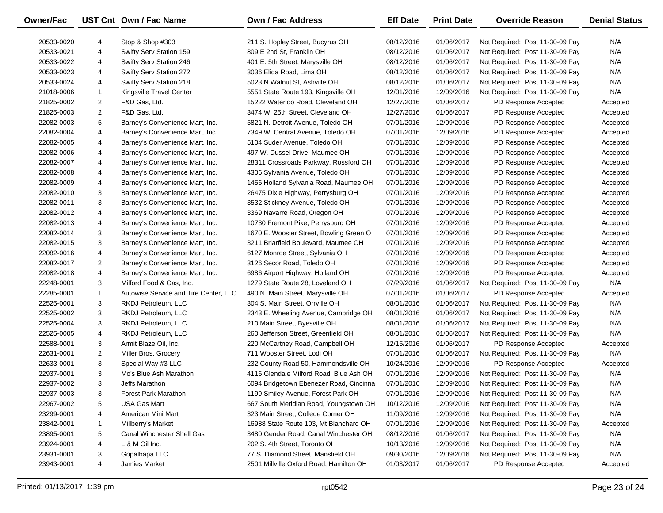| Owner/Fac  |                | UST Cnt Own / Fac Name                | <b>Own / Fac Address</b>                | <b>Eff Date</b> | <b>Print Date</b> | <b>Override Reason</b>          | <b>Denial Status</b> |
|------------|----------------|---------------------------------------|-----------------------------------------|-----------------|-------------------|---------------------------------|----------------------|
| 20533-0020 | 4              | Stop & Shop #303                      | 211 S. Hopley Street, Bucyrus OH        | 08/12/2016      | 01/06/2017        | Not Required: Post 11-30-09 Pay | N/A                  |
| 20533-0021 | 4              | Swifty Serv Station 159               | 809 E 2nd St, Franklin OH               | 08/12/2016      | 01/06/2017        | Not Required: Post 11-30-09 Pay | N/A                  |
| 20533-0022 | 4              | Swifty Serv Station 246               | 401 E. 5th Street, Marysville OH        | 08/12/2016      | 01/06/2017        | Not Required: Post 11-30-09 Pay | N/A                  |
| 20533-0023 | 4              | <b>Swifty Serv Station 272</b>        | 3036 Elida Road, Lima OH                | 08/12/2016      | 01/06/2017        | Not Required: Post 11-30-09 Pay | N/A                  |
| 20533-0024 | 4              | Swifty Serv Station 218               | 5023 N Walnut St, Ashville OH           | 08/12/2016      | 01/06/2017        | Not Required: Post 11-30-09 Pay | N/A                  |
| 21018-0006 | 1              | Kingsville Travel Center              | 5551 State Route 193, Kingsville OH     | 12/01/2016      | 12/09/2016        | Not Required: Post 11-30-09 Pay | N/A                  |
| 21825-0002 | 2              | F&D Gas, Ltd.                         | 15222 Waterloo Road, Cleveland OH       | 12/27/2016      | 01/06/2017        | PD Response Accepted            | Accepted             |
| 21825-0003 | $\overline{2}$ | F&D Gas, Ltd.                         | 3474 W. 25th Street, Cleveland OH       | 12/27/2016      | 01/06/2017        | PD Response Accepted            | Accepted             |
| 22082-0003 | 5              | Barney's Convenience Mart, Inc.       | 5821 N. Detroit Avenue, Toledo OH       | 07/01/2016      | 12/09/2016        | PD Response Accepted            | Accepted             |
| 22082-0004 | 4              | Barney's Convenience Mart, Inc.       | 7349 W. Central Avenue, Toledo OH       | 07/01/2016      | 12/09/2016        | PD Response Accepted            | Accepted             |
| 22082-0005 | 4              | Barney's Convenience Mart, Inc.       | 5104 Suder Avenue, Toledo OH            | 07/01/2016      | 12/09/2016        | PD Response Accepted            | Accepted             |
| 22082-0006 | 4              | Barney's Convenience Mart, Inc.       | 497 W. Dussel Drive, Maumee OH          | 07/01/2016      | 12/09/2016        | PD Response Accepted            | Accepted             |
| 22082-0007 | 4              | Barney's Convenience Mart, Inc.       | 28311 Crossroads Parkway, Rossford OH   | 07/01/2016      | 12/09/2016        | PD Response Accepted            | Accepted             |
| 22082-0008 | 4              | Barney's Convenience Mart, Inc.       | 4306 Sylvania Avenue, Toledo OH         | 07/01/2016      | 12/09/2016        | PD Response Accepted            | Accepted             |
| 22082-0009 | 4              | Barney's Convenience Mart, Inc.       | 1456 Holland Sylvania Road, Maumee OH   | 07/01/2016      | 12/09/2016        | PD Response Accepted            | Accepted             |
| 22082-0010 | 3              | Barney's Convenience Mart, Inc.       | 26475 Dixie Highway, Perrysburg OH      | 07/01/2016      | 12/09/2016        | PD Response Accepted            | Accepted             |
| 22082-0011 | 3              | Barney's Convenience Mart, Inc.       | 3532 Stickney Avenue, Toledo OH         | 07/01/2016      | 12/09/2016        | PD Response Accepted            | Accepted             |
| 22082-0012 | 4              | Barney's Convenience Mart, Inc.       | 3369 Navarre Road, Oregon OH            | 07/01/2016      | 12/09/2016        | PD Response Accepted            | Accepted             |
| 22082-0013 | 4              | Barney's Convenience Mart, Inc.       | 10730 Fremont Pike, Perrysburg OH       | 07/01/2016      | 12/09/2016        | PD Response Accepted            | Accepted             |
| 22082-0014 | 3              | Barney's Convenience Mart, Inc.       | 1670 E. Wooster Street, Bowling Green O | 07/01/2016      | 12/09/2016        | PD Response Accepted            | Accepted             |
| 22082-0015 | 3              | Barney's Convenience Mart, Inc.       | 3211 Briarfield Boulevard, Maumee OH    | 07/01/2016      | 12/09/2016        | PD Response Accepted            | Accepted             |
| 22082-0016 | 4              | Barney's Convenience Mart, Inc.       | 6127 Monroe Street, Sylvania OH         | 07/01/2016      | 12/09/2016        | PD Response Accepted            | Accepted             |
| 22082-0017 | 2              | Barney's Convenience Mart, Inc.       | 3126 Secor Road, Toledo OH              | 07/01/2016      | 12/09/2016        | PD Response Accepted            | Accepted             |
| 22082-0018 | 4              | Barney's Convenience Mart, Inc.       | 6986 Airport Highway, Holland OH        | 07/01/2016      | 12/09/2016        | PD Response Accepted            | Accepted             |
| 22248-0001 | 3              | Milford Food & Gas, Inc.              | 1279 State Route 28, Loveland OH        | 07/29/2016      | 01/06/2017        | Not Required: Post 11-30-09 Pay | N/A                  |
| 22285-0001 | $\mathbf{1}$   | Autowise Service and Tire Center, LLC | 490 N. Main Street, Marysville OH       | 07/01/2016      | 01/06/2017        | PD Response Accepted            | Accepted             |
| 22525-0001 | 3              | RKDJ Petroleum, LLC                   | 304 S. Main Street, Orrville OH         | 08/01/2016      | 01/06/2017        | Not Required: Post 11-30-09 Pay | N/A                  |
| 22525-0002 | 3              | RKDJ Petroleum, LLC                   | 2343 E. Wheeling Avenue, Cambridge OH   | 08/01/2016      | 01/06/2017        | Not Required: Post 11-30-09 Pay | N/A                  |
| 22525-0004 | 3              | RKDJ Petroleum, LLC                   | 210 Main Street, Byesville OH           | 08/01/2016      | 01/06/2017        | Not Required: Post 11-30-09 Pay | N/A                  |
| 22525-0005 | 4              | RKDJ Petroleum, LLC                   | 260 Jefferson Street, Greenfield OH     | 08/01/2016      | 01/06/2017        | Not Required: Post 11-30-09 Pay | N/A                  |
| 22588-0001 | 3              | Armit Blaze Oil, Inc.                 | 220 McCartney Road, Campbell OH         | 12/15/2016      | 01/06/2017        | PD Response Accepted            | Accepted             |
| 22631-0001 | $\overline{2}$ | Miller Bros. Grocery                  | 711 Wooster Street, Lodi OH             | 07/01/2016      | 01/06/2017        | Not Required: Post 11-30-09 Pay | N/A                  |
| 22633-0001 | 3              | Special Way #3 LLC                    | 232 County Road 50, Hammondsville OH    | 10/24/2016      | 12/09/2016        | PD Response Accepted            | Accepted             |
| 22937-0001 | 3              | Mo's Blue Ash Marathon                | 4116 Glendale Milford Road, Blue Ash OH | 07/01/2016      | 12/09/2016        | Not Required: Post 11-30-09 Pay | N/A                  |
| 22937-0002 | 3              | Jeffs Marathon                        | 6094 Bridgetown Ebenezer Road, Cincinna | 07/01/2016      | 12/09/2016        | Not Required: Post 11-30-09 Pay | N/A                  |
| 22937-0003 | 3              | <b>Forest Park Marathon</b>           | 1199 Smiley Avenue, Forest Park OH      | 07/01/2016      | 12/09/2016        | Not Required: Post 11-30-09 Pay | N/A                  |
| 22967-0002 | 5              | <b>USA Gas Mart</b>                   | 667 South Meridian Road, Youngstown OH  | 10/12/2016      | 12/09/2016        | Not Required: Post 11-30-09 Pay | N/A                  |
| 23299-0001 | 4              | American Mini Mart                    | 323 Main Street, College Corner OH      | 11/09/2016      | 12/09/2016        | Not Required: Post 11-30-09 Pay | N/A                  |
| 23842-0001 | 1              | Millberry's Market                    | 16988 State Route 103, Mt Blanchard OH  | 07/01/2016      | 12/09/2016        | Not Required: Post 11-30-09 Pay | Accepted             |
| 23895-0001 | 5              | <b>Canal Winchester Shell Gas</b>     | 3480 Gender Road, Canal Winchester OH   | 08/12/2016      | 01/06/2017        | Not Required: Post 11-30-09 Pay | N/A                  |
| 23924-0001 | 4              | L & M Oil Inc.                        | 202 S. 4th Street, Toronto OH           | 10/13/2016      | 12/09/2016        | Not Required: Post 11-30-09 Pay | N/A                  |
| 23931-0001 | 3              | Gopalbapa LLC                         | 77 S. Diamond Street, Mansfield OH      | 09/30/2016      | 12/09/2016        | Not Required: Post 11-30-09 Pay | N/A                  |
| 23943-0001 | 4              | Jamies Market                         | 2501 Millville Oxford Road, Hamilton OH | 01/03/2017      | 01/06/2017        | PD Response Accepted            | Accepted             |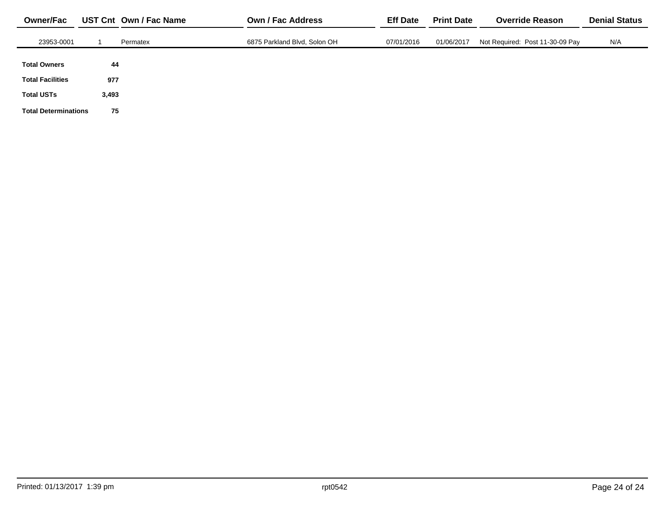| <b>Owner/Fac</b>            |       | UST Cnt Own / Fac Name | Own / Fac Address            | <b>Eff Date</b> | <b>Print Date</b> | <b>Override Reason</b>          | <b>Denial Status</b> |
|-----------------------------|-------|------------------------|------------------------------|-----------------|-------------------|---------------------------------|----------------------|
| 23953-0001                  |       | Permatex               | 6875 Parkland Blvd, Solon OH | 07/01/2016      | 01/06/2017        | Not Required: Post 11-30-09 Pay | N/A                  |
| <b>Total Owners</b>         | 44    |                        |                              |                 |                   |                                 |                      |
| <b>Total Facilities</b>     | 977   |                        |                              |                 |                   |                                 |                      |
| <b>Total USTs</b>           | 3,493 |                        |                              |                 |                   |                                 |                      |
| <b>Total Determinations</b> | 75    |                        |                              |                 |                   |                                 |                      |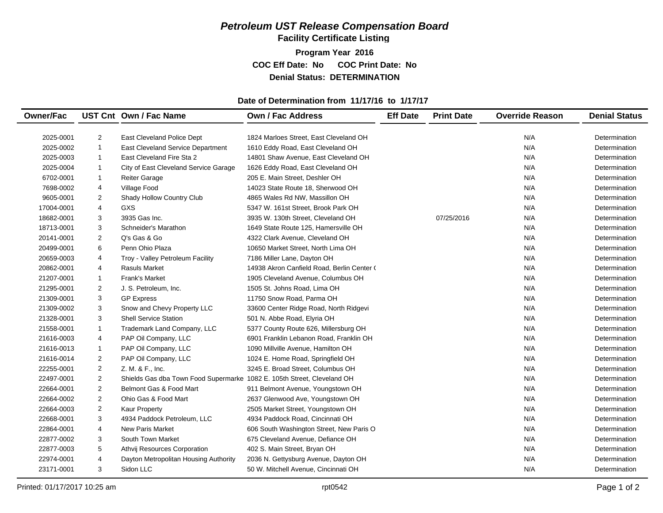**Facility Certificate Listing**

**Program Year 2016 COC Eff Date: No COC Print Date: No Denial Status: DETERMINATION**

#### **Date of Determination from 11/17/16 to 1/17/17**

| <b>Denial Status</b> |
|----------------------|
|                      |
| Determination        |
| Determination        |
| Determination        |
| Determination        |
| Determination        |
| Determination        |
| Determination        |
| Determination        |
| Determination        |
| Determination        |
| Determination        |
| Determination        |
| Determination        |
| Determination        |
| Determination        |
| Determination        |
| Determination        |
| Determination        |
| Determination        |
| Determination        |
| Determination        |
| Determination        |
| Determination        |
| Determination        |
| Determination        |
| Determination        |
| Determination        |
| Determination        |
| Determination        |
| Determination        |
| Determination        |
| Determination        |
| Determination        |
| Determination        |
|                      |